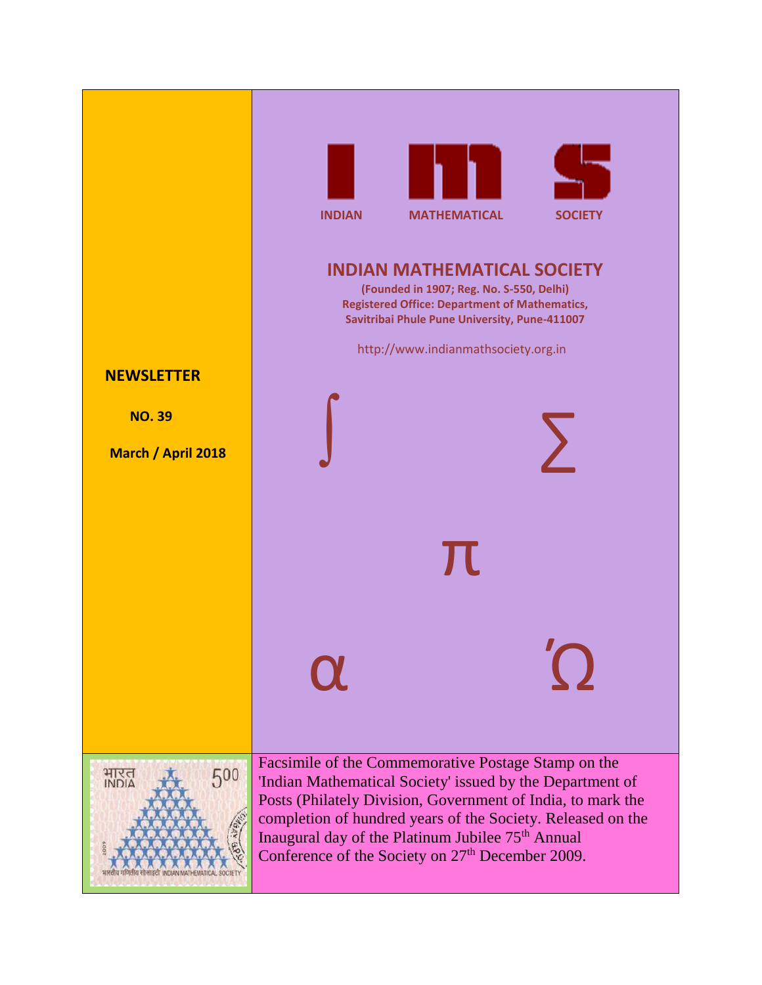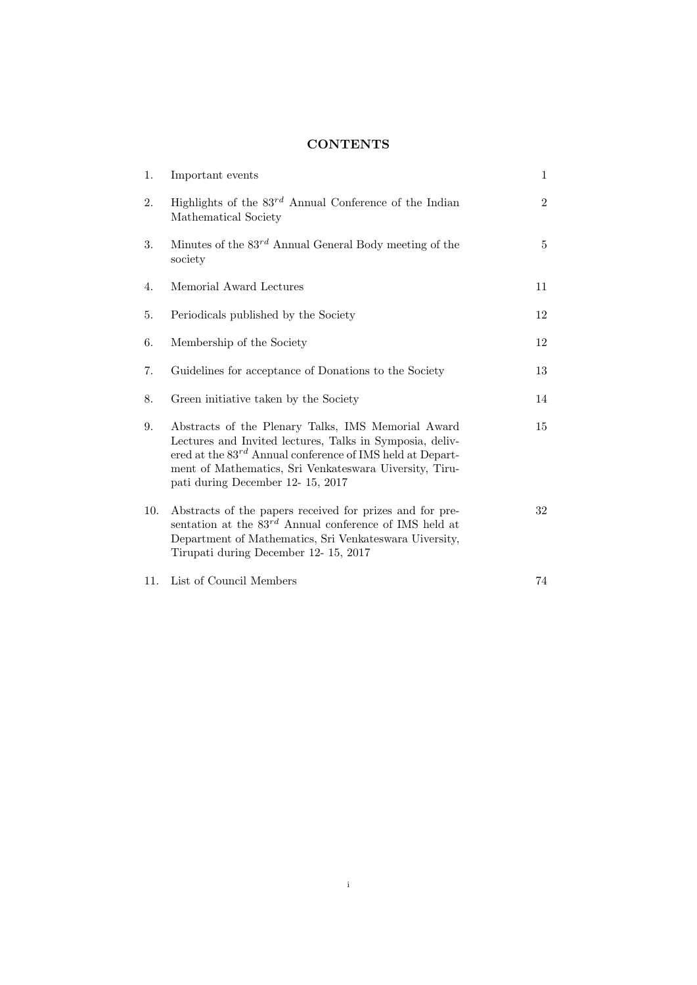# **CONTENTS**

| 1.  | Important events                                                                                                                                                                                                                                                               | $\mathbf{1}$   |  |
|-----|--------------------------------------------------------------------------------------------------------------------------------------------------------------------------------------------------------------------------------------------------------------------------------|----------------|--|
| 2.  | Highlights of the $83^{rd}$ Annual Conference of the Indian<br>Mathematical Society                                                                                                                                                                                            | $\overline{2}$ |  |
| 3.  | Minutes of the $83^{rd}$ Annual General Body meeting of the<br>society                                                                                                                                                                                                         | 5              |  |
| 4.  | Memorial Award Lectures                                                                                                                                                                                                                                                        | 11             |  |
| 5.  | Periodicals published by the Society                                                                                                                                                                                                                                           | 12             |  |
| 6.  | Membership of the Society                                                                                                                                                                                                                                                      | 12             |  |
| 7.  | Guidelines for acceptance of Donations to the Society                                                                                                                                                                                                                          | 13             |  |
| 8.  | Green initiative taken by the Society                                                                                                                                                                                                                                          | 14             |  |
| 9.  | Abstracts of the Plenary Talks, IMS Memorial Award<br>Lectures and Invited lectures, Talks in Symposia, deliv-<br>ered at the $83^{rd}$ Annual conference of IMS held at Depart-<br>ment of Mathematics, Sri Venkateswara Uiversity, Tiru-<br>pati during December 12-15, 2017 | 15             |  |
| 10. | Abstracts of the papers received for prizes and for pre-<br>sentation at the $83^{rd}$ Annual conference of IMS held at<br>Department of Mathematics, Sri Venkateswara Uiversity,<br>Tirupati during December 12-15, 2017                                                      | 32             |  |
| 11. | List of Council Members                                                                                                                                                                                                                                                        | 74             |  |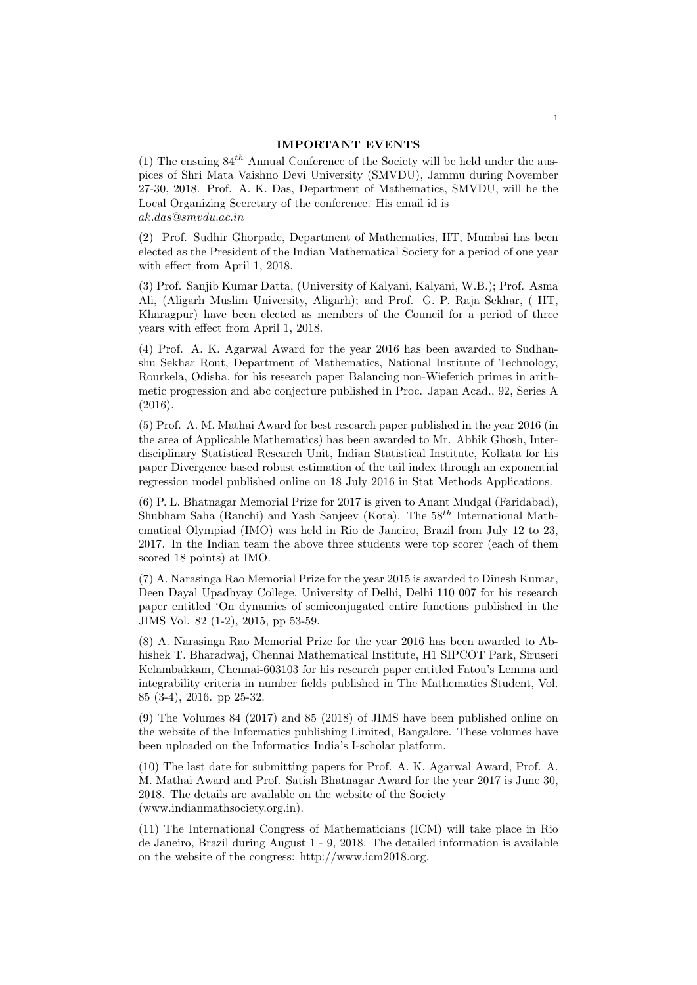### IMPORTANT EVENTS

(1) The ensuing  $84^{th}$  Annual Conference of the Society will be held under the auspices of Shri Mata Vaishno Devi University (SMVDU), Jammu during November 27-30, 2018. Prof. A. K. Das, Department of Mathematics, SMVDU, will be the Local Organizing Secretary of the conference. His email id is ak.das@smvdu.ac.in

(2) Prof. Sudhir Ghorpade, Department of Mathematics, IIT, Mumbai has been elected as the President of the Indian Mathematical Society for a period of one year with effect from April 1, 2018.

(3) Prof. Sanjib Kumar Datta, (University of Kalyani, Kalyani, W.B.); Prof. Asma Ali, (Aligarh Muslim University, Aligarh); and Prof. G. P. Raja Sekhar, ( IIT, Kharagpur) have been elected as members of the Council for a period of three years with effect from April 1, 2018.

(4) Prof. A. K. Agarwal Award for the year 2016 has been awarded to Sudhanshu Sekhar Rout, Department of Mathematics, National Institute of Technology, Rourkela, Odisha, for his research paper Balancing non-Wieferich primes in arithmetic progression and abc conjecture published in Proc. Japan Acad., 92, Series A (2016).

(5) Prof. A. M. Mathai Award for best research paper published in the year 2016 (in the area of Applicable Mathematics) has been awarded to Mr. Abhik Ghosh, Interdisciplinary Statistical Research Unit, Indian Statistical Institute, Kolkata for his paper Divergence based robust estimation of the tail index through an exponential regression model published online on 18 July 2016 in Stat Methods Applications.

(6) P. L. Bhatnagar Memorial Prize for 2017 is given to Anant Mudgal (Faridabad), Shubham Saha (Ranchi) and Yash Sanjeev (Kota). The  $58^{th}$  International Mathematical Olympiad (IMO) was held in Rio de Janeiro, Brazil from July 12 to 23, 2017. In the Indian team the above three students were top scorer (each of them scored 18 points) at IMO.

(7) A. Narasinga Rao Memorial Prize for the year 2015 is awarded to Dinesh Kumar, Deen Dayal Upadhyay College, University of Delhi, Delhi 110 007 for his research paper entitled 'On dynamics of semiconjugated entire functions published in the JIMS Vol. 82 (1-2), 2015, pp 53-59.

(8) A. Narasinga Rao Memorial Prize for the year 2016 has been awarded to Abhishek T. Bharadwaj, Chennai Mathematical Institute, H1 SIPCOT Park, Siruseri Kelambakkam, Chennai-603103 for his research paper entitled Fatou's Lemma and integrability criteria in number fields published in The Mathematics Student, Vol. 85 (3-4), 2016. pp 25-32.

(9) The Volumes 84 (2017) and 85 (2018) of JIMS have been published online on the website of the Informatics publishing Limited, Bangalore. These volumes have been uploaded on the Informatics India's I-scholar platform.

(10) The last date for submitting papers for Prof. A. K. Agarwal Award, Prof. A. M. Mathai Award and Prof. Satish Bhatnagar Award for the year 2017 is June 30, 2018. The details are available on the website of the Society (www.indianmathsociety.org.in).

(11) The International Congress of Mathematicians (ICM) will take place in Rio de Janeiro, Brazil during August 1 - 9, 2018. The detailed information is available on the website of the congress: http://www.icm2018.org.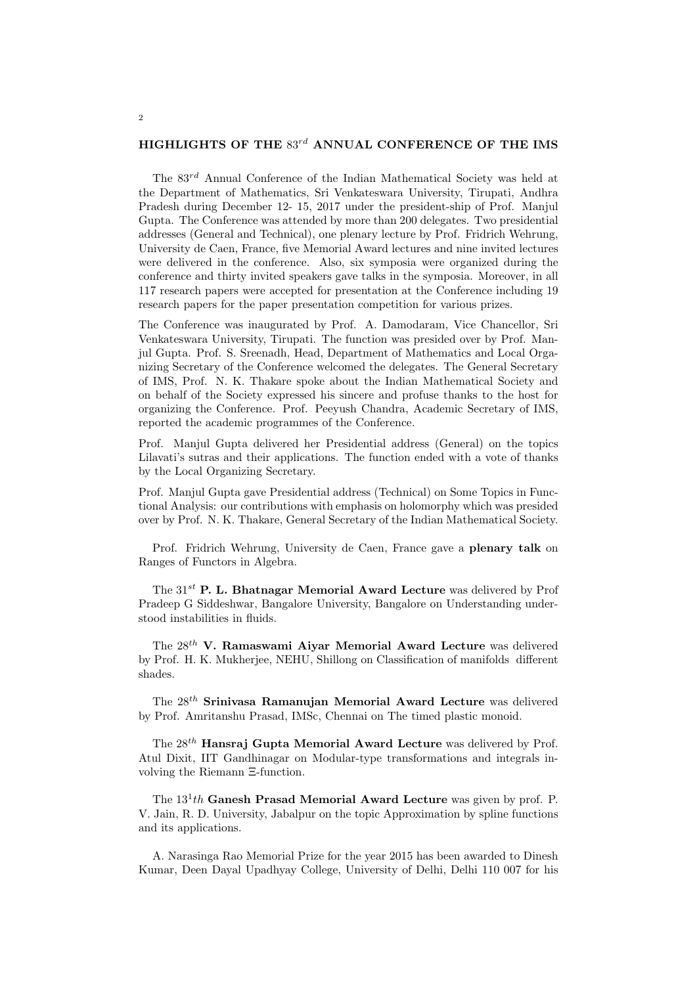### HIGHLIGHTS OF THE  $83^{rd}$  ANNUAL CONFERENCE OF THE IMS

The  $83^{rd}$  Annual Conference of the Indian Mathematical Society was held at the Department of Mathematics, Sri Venkateswara University, Tirupati, Andhra Pradesh during December 12- 15, 2017 under the president-ship of Prof. Manjul Gupta. The Conference was attended by more than 200 delegates. Two presidential addresses (General and Technical), one plenary lecture by Prof. Fridrich Wehrung, University de Caen, France, five Memorial Award lectures and nine invited lectures were delivered in the conference. Also, six symposia were organized during the conference and thirty invited speakers gave talks in the symposia. Moreover, in all 117 research papers were accepted for presentation at the Conference including 19 research papers for the paper presentation competition for various prizes.

The Conference was inaugurated by Prof. A. Damodaram, Vice Chancellor, Sri Venkateswara University, Tirupati. The function was presided over by Prof. Manjul Gupta. Prof. S. Sreenadh, Head, Department of Mathematics and Local Organizing Secretary of the Conference welcomed the delegates. The General Secretary of IMS, Prof. N. K. Thakare spoke about the Indian Mathematical Society and on behalf of the Society expressed his sincere and profuse thanks to the host for organizing the Conference. Prof. Peeyush Chandra, Academic Secretary of IMS, reported the academic programmes of the Conference.

Prof. Manjul Gupta delivered her Presidential address (General) on the topics Lilavati's sutras and their applications. The function ended with a vote of thanks by the Local Organizing Secretary.

Prof. Manjul Gupta gave Presidential address (Technical) on Some Topics in Functional Analysis: our contributions with emphasis on holomorphy which was presided over by Prof. N. K. Thakare, General Secretary of the Indian Mathematical Society.

Prof. Fridrich Wehrung, University de Caen, France gave a plenary talk on Ranges of Functors in Algebra.

The  $31^{st}$  P. L. Bhatnagar Memorial Award Lecture was delivered by Prof Pradeep G Siddeshwar, Bangalore University, Bangalore on Understanding understood instabilities in fluids.

The 28th V. Ramaswami Aiyar Memorial Award Lecture was delivered by Prof. H. K. Mukherjee, NEHU, Shillong on Classification of manifolds different shades.

The 28th Srinivasa Ramanujan Memorial Award Lecture was delivered by Prof. Amritanshu Prasad, IMSc, Chennai on The timed plastic monoid.

The  $28^{th}$  Hansraj Gupta Memorial Award Lecture was delivered by Prof. Atul Dixit, IIT Gandhinagar on Modular-type transformations and integrals involving the Riemann Ξ-function.

The  $13<sup>1</sup>th$  Ganesh Prasad Memorial Award Lecture was given by prof. P. V. Jain, R. D. University, Jabalpur on the topic Approximation by spline functions and its applications.

A. Narasinga Rao Memorial Prize for the year 2015 has been awarded to Dinesh Kumar, Deen Dayal Upadhyay College, University of Delhi, Delhi 110 007 for his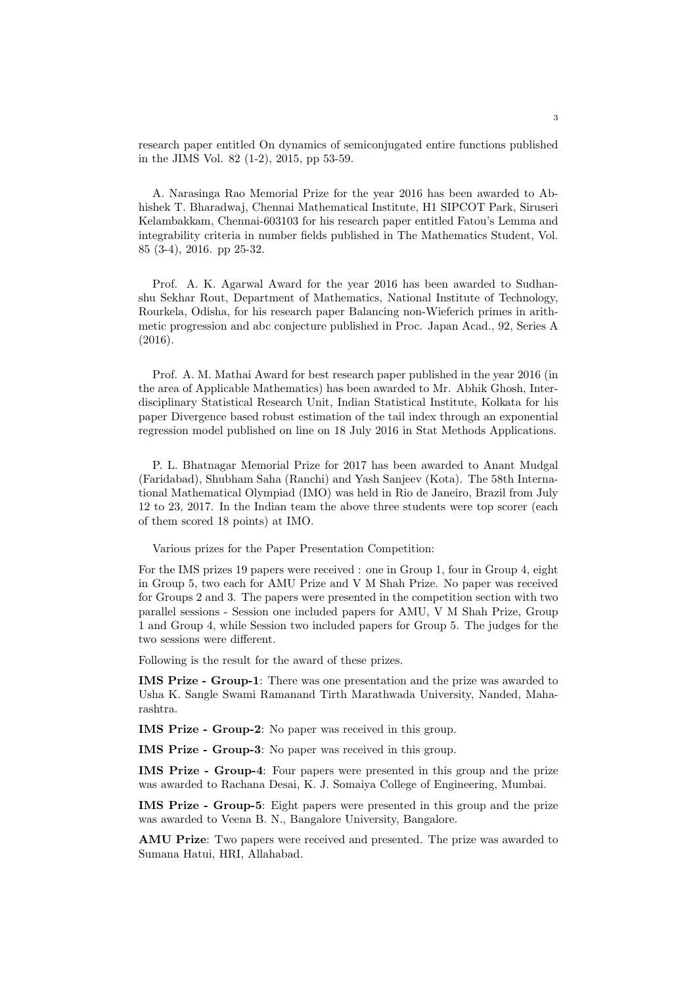research paper entitled On dynamics of semiconjugated entire functions published in the JIMS Vol. 82 (1-2), 2015, pp 53-59.

A. Narasinga Rao Memorial Prize for the year 2016 has been awarded to Abhishek T. Bharadwaj, Chennai Mathematical Institute, H1 SIPCOT Park, Siruseri Kelambakkam, Chennai-603103 for his research paper entitled Fatou's Lemma and integrability criteria in number fields published in The Mathematics Student, Vol. 85 (3-4), 2016. pp 25-32.

Prof. A. K. Agarwal Award for the year 2016 has been awarded to Sudhanshu Sekhar Rout, Department of Mathematics, National Institute of Technology, Rourkela, Odisha, for his research paper Balancing non-Wieferich primes in arithmetic progression and abc conjecture published in Proc. Japan Acad., 92, Series A (2016).

Prof. A. M. Mathai Award for best research paper published in the year 2016 (in the area of Applicable Mathematics) has been awarded to Mr. Abhik Ghosh, Interdisciplinary Statistical Research Unit, Indian Statistical Institute, Kolkata for his paper Divergence based robust estimation of the tail index through an exponential regression model published on line on 18 July 2016 in Stat Methods Applications.

P. L. Bhatnagar Memorial Prize for 2017 has been awarded to Anant Mudgal (Faridabad), Shubham Saha (Ranchi) and Yash Sanjeev (Kota). The 58th International Mathematical Olympiad (IMO) was held in Rio de Janeiro, Brazil from July 12 to 23, 2017. In the Indian team the above three students were top scorer (each of them scored 18 points) at IMO.

Various prizes for the Paper Presentation Competition:

For the IMS prizes 19 papers were received : one in Group 1, four in Group 4, eight in Group 5, two each for AMU Prize and V M Shah Prize. No paper was received for Groups 2 and 3. The papers were presented in the competition section with two parallel sessions - Session one included papers for AMU, V M Shah Prize, Group 1 and Group 4, while Session two included papers for Group 5. The judges for the two sessions were different.

Following is the result for the award of these prizes.

IMS Prize - Group-1: There was one presentation and the prize was awarded to Usha K. Sangle Swami Ramanand Tirth Marathwada University, Nanded, Maharashtra.

IMS Prize - Group-2: No paper was received in this group.

IMS Prize - Group-3: No paper was received in this group.

IMS Prize - Group-4: Four papers were presented in this group and the prize was awarded to Rachana Desai, K. J. Somaiya College of Engineering, Mumbai.

IMS Prize - Group-5: Eight papers were presented in this group and the prize was awarded to Veena B. N., Bangalore University, Bangalore.

AMU Prize: Two papers were received and presented. The prize was awarded to Sumana Hatui, HRI, Allahabad.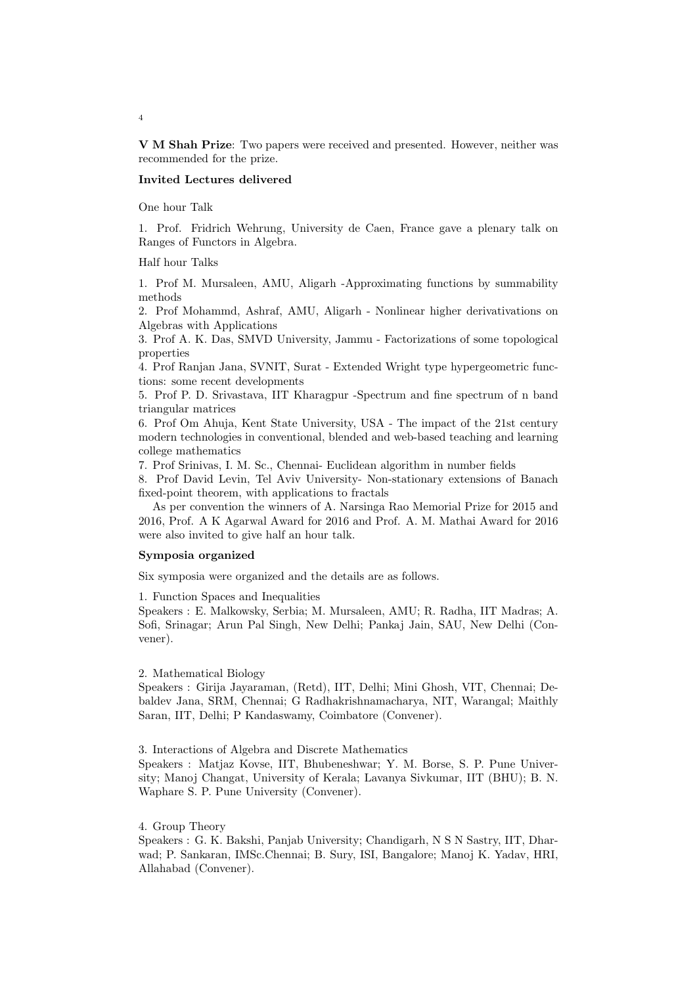V M Shah Prize: Two papers were received and presented. However, neither was recommended for the prize.

### Invited Lectures delivered

One hour Talk

1. Prof. Fridrich Wehrung, University de Caen, France gave a plenary talk on Ranges of Functors in Algebra.

Half hour Talks

1. Prof M. Mursaleen, AMU, Aligarh -Approximating functions by summability methods

2. Prof Mohammd, Ashraf, AMU, Aligarh - Nonlinear higher derivativations on Algebras with Applications

3. Prof A. K. Das, SMVD University, Jammu - Factorizations of some topological properties

4. Prof Ranjan Jana, SVNIT, Surat - Extended Wright type hypergeometric functions: some recent developments

5. Prof P. D. Srivastava, IIT Kharagpur -Spectrum and fine spectrum of n band triangular matrices

6. Prof Om Ahuja, Kent State University, USA - The impact of the 21st century modern technologies in conventional, blended and web-based teaching and learning college mathematics

7. Prof Srinivas, I. M. Sc., Chennai- Euclidean algorithm in number fields

8. Prof David Levin, Tel Aviv University- Non-stationary extensions of Banach fixed-point theorem, with applications to fractals

As per convention the winners of A. Narsinga Rao Memorial Prize for 2015 and 2016, Prof. A K Agarwal Award for 2016 and Prof. A. M. Mathai Award for 2016 were also invited to give half an hour talk.

### Symposia organized

Six symposia were organized and the details are as follows.

1. Function Spaces and Inequalities

Speakers : E. Malkowsky, Serbia; M. Mursaleen, AMU; R. Radha, IIT Madras; A. Sofi, Srinagar; Arun Pal Singh, New Delhi; Pankaj Jain, SAU, New Delhi (Convener).

#### 2. Mathematical Biology

Speakers : Girija Jayaraman, (Retd), IIT, Delhi; Mini Ghosh, VIT, Chennai; Debaldev Jana, SRM, Chennai; G Radhakrishnamacharya, NIT, Warangal; Maithly Saran, IIT, Delhi; P Kandaswamy, Coimbatore (Convener).

3. Interactions of Algebra and Discrete Mathematics

Speakers : Matjaz Kovse, IIT, Bhubeneshwar; Y. M. Borse, S. P. Pune University; Manoj Changat, University of Kerala; Lavanya Sivkumar, IIT (BHU); B. N. Waphare S. P. Pune University (Convener).

### 4. Group Theory

Speakers : G. K. Bakshi, Panjab University; Chandigarh, N S N Sastry, IIT, Dharwad; P. Sankaran, IMSc.Chennai; B. Sury, ISI, Bangalore; Manoj K. Yadav, HRI, Allahabad (Convener).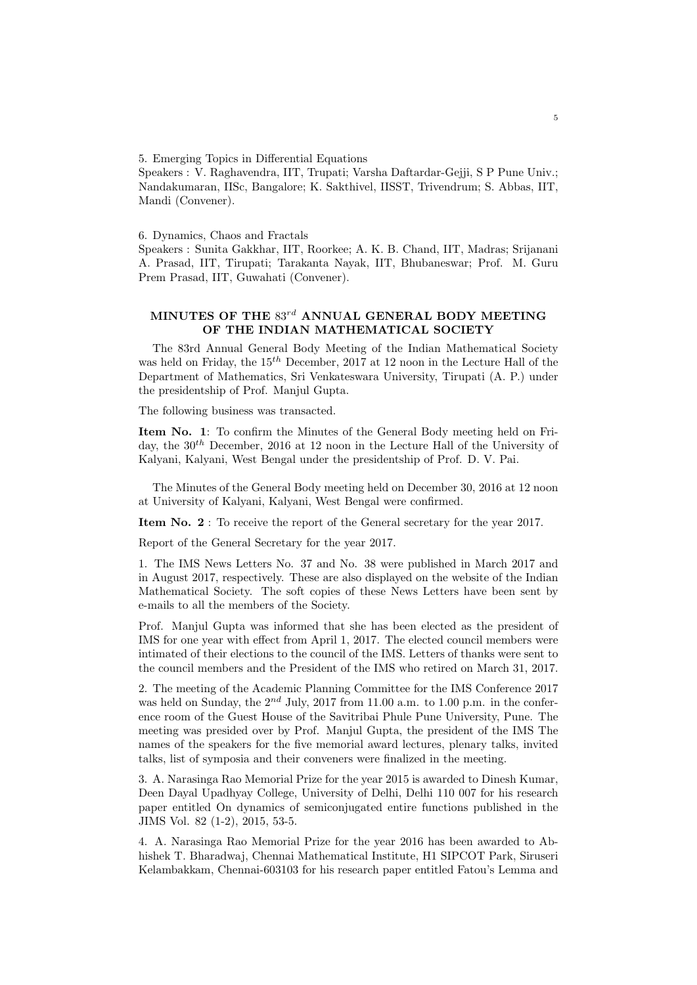5. Emerging Topics in Differential Equations

Speakers : V. Raghavendra, IIT, Trupati; Varsha Daftardar-Gejji, S P Pune Univ.; Nandakumaran, IISc, Bangalore; K. Sakthivel, IISST, Trivendrum; S. Abbas, IIT, Mandi (Convener).

6. Dynamics, Chaos and Fractals

Speakers : Sunita Gakkhar, IIT, Roorkee; A. K. B. Chand, IIT, Madras; Srijanani A. Prasad, IIT, Tirupati; Tarakanta Nayak, IIT, Bhubaneswar; Prof. M. Guru Prem Prasad, IIT, Guwahati (Convener).

# MINUTES OF THE  $83^{rd}$  ANNUAL GENERAL BODY MEETING OF THE INDIAN MATHEMATICAL SOCIETY

The 83rd Annual General Body Meeting of the Indian Mathematical Society was held on Friday, the  $15^{th}$  December, 2017 at 12 noon in the Lecture Hall of the Department of Mathematics, Sri Venkateswara University, Tirupati (A. P.) under the presidentship of Prof. Manjul Gupta.

The following business was transacted.

Item No. 1: To confirm the Minutes of the General Body meeting held on Friday, the  $30<sup>th</sup>$  December, 2016 at 12 noon in the Lecture Hall of the University of Kalyani, Kalyani, West Bengal under the presidentship of Prof. D. V. Pai.

The Minutes of the General Body meeting held on December 30, 2016 at 12 noon at University of Kalyani, Kalyani, West Bengal were confirmed.

Item No. 2 : To receive the report of the General secretary for the year 2017.

Report of the General Secretary for the year 2017.

1. The IMS News Letters No. 37 and No. 38 were published in March 2017 and in August 2017, respectively. These are also displayed on the website of the Indian Mathematical Society. The soft copies of these News Letters have been sent by e-mails to all the members of the Society.

Prof. Manjul Gupta was informed that she has been elected as the president of IMS for one year with effect from April 1, 2017. The elected council members were intimated of their elections to the council of the IMS. Letters of thanks were sent to the council members and the President of the IMS who retired on March 31, 2017.

2. The meeting of the Academic Planning Committee for the IMS Conference 2017 was held on Sunday, the  $2^{nd}$  July, 2017 from 11.00 a.m. to 1.00 p.m. in the conference room of the Guest House of the Savitribai Phule Pune University, Pune. The meeting was presided over by Prof. Manjul Gupta, the president of the IMS The names of the speakers for the five memorial award lectures, plenary talks, invited talks, list of symposia and their conveners were finalized in the meeting.

3. A. Narasinga Rao Memorial Prize for the year 2015 is awarded to Dinesh Kumar, Deen Dayal Upadhyay College, University of Delhi, Delhi 110 007 for his research paper entitled On dynamics of semiconjugated entire functions published in the JIMS Vol. 82 (1-2), 2015, 53-5.

4. A. Narasinga Rao Memorial Prize for the year 2016 has been awarded to Abhishek T. Bharadwaj, Chennai Mathematical Institute, H1 SIPCOT Park, Siruseri Kelambakkam, Chennai-603103 for his research paper entitled Fatou's Lemma and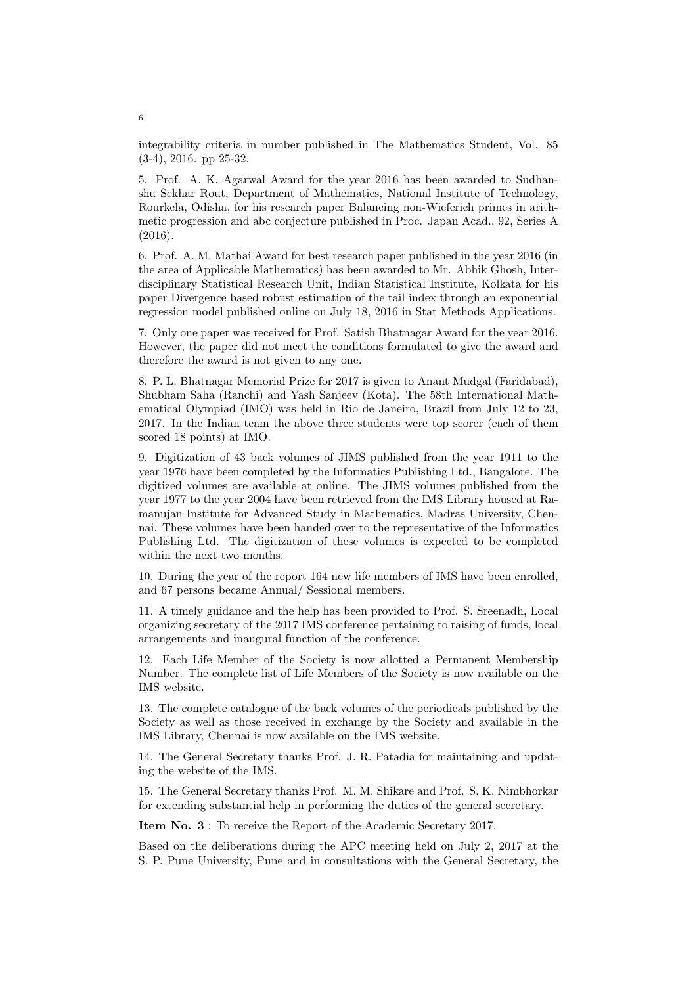integrability criteria in number published in The Mathematics Student, Vol. 85 (3-4), 2016. pp 25-32.

5. Prof. A. K. Agarwal Award for the year 2016 has been awarded to Sudhanshu Sekhar Rout, Department of Mathematics, National Institute of Technology, Rourkela, Odisha, for his research paper Balancing non-Wieferich primes in arithmetic progression and abc conjecture published in Proc. Japan Acad., 92, Series A (2016).

6. Prof. A. M. Mathai Award for best research paper published in the year 2016 (in the area of Applicable Mathematics) has been awarded to Mr. Abhik Ghosh, Interdisciplinary Statistical Research Unit, Indian Statistical Institute, Kolkata for his paper Divergence based robust estimation of the tail index through an exponential regression model published online on July 18, 2016 in Stat Methods Applications.

7. Only one paper was received for Prof. Satish Bhatnagar Award for the year 2016. However, the paper did not meet the conditions formulated to give the award and therefore the award is not given to any one.

8. P. L. Bhatnagar Memorial Prize for 2017 is given to Anant Mudgal (Faridabad), Shubham Saha (Ranchi) and Yash Sanjeev (Kota). The 58th International Mathematical Olympiad (IMO) was held in Rio de Janeiro, Brazil from July 12 to 23, 2017. In the Indian team the above three students were top scorer (each of them scored 18 points) at IMO.

9. Digitization of 43 back volumes of JIMS published from the year 1911 to the year 1976 have been completed by the Informatics Publishing Ltd., Bangalore. The digitized volumes are available at online. The JIMS volumes published from the year 1977 to the year 2004 have been retrieved from the IMS Library housed at Ramanujan Institute for Advanced Study in Mathematics, Madras University, Chennai. These volumes have been handed over to the representative of the Informatics Publishing Ltd. The digitization of these volumes is expected to be completed within the next two months.

10. During the year of the report 164 new life members of IMS have been enrolled, and 67 persons became Annual/ Sessional members.

11. A timely guidance and the help has been provided to Prof. S. Sreenadh, Local organizing secretary of the 2017 IMS conference pertaining to raising of funds, local arrangements and inaugural function of the conference.

12. Each Life Member of the Society is now allotted a Permanent Membership Number. The complete list of Life Members of the Society is now available on the IMS website.

13. The complete catalogue of the back volumes of the periodicals published by the Society as well as those received in exchange by the Society and available in the IMS Library, Chennai is now available on the IMS website.

14. The General Secretary thanks Prof. J. R. Patadia for maintaining and updating the website of the IMS.

15. The General Secretary thanks Prof. M. M. Shikare and Prof. S. K. Nimbhorkar for extending substantial help in performing the duties of the general secretary.

Item No. 3 : To receive the Report of the Academic Secretary 2017.

Based on the deliberations during the APC meeting held on July 2, 2017 at the S. P. Pune University, Pune and in consultations with the General Secretary, the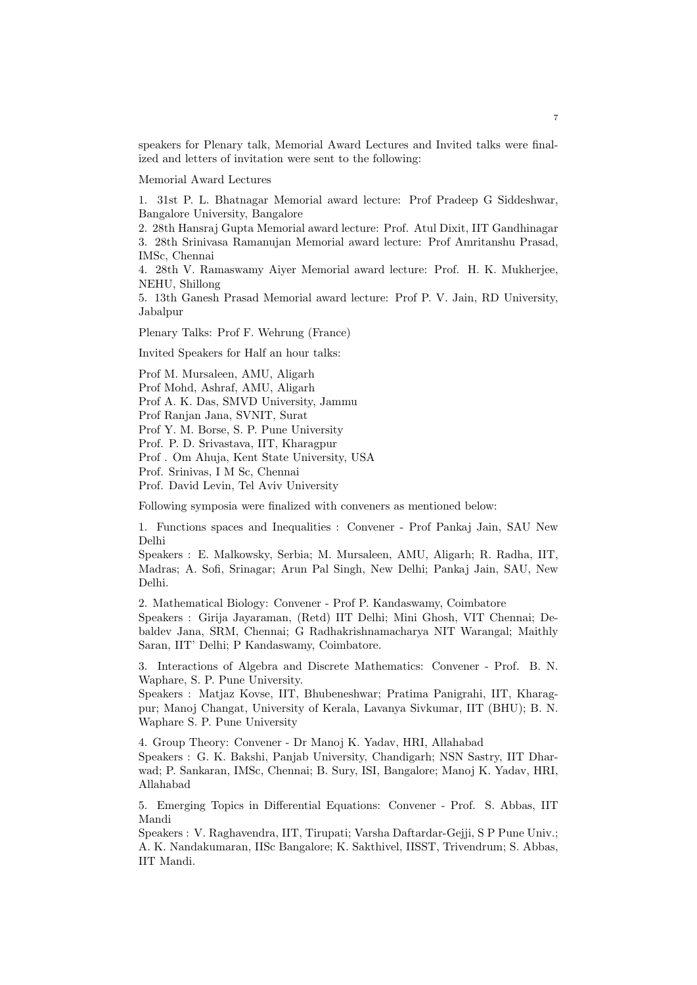speakers for Plenary talk, Memorial Award Lectures and Invited talks were finalized and letters of invitation were sent to the following:

Memorial Award Lectures

1. 31st P. L. Bhatnagar Memorial award lecture: Prof Pradeep G Siddeshwar, Bangalore University, Bangalore

2. 28th Hansraj Gupta Memorial award lecture: Prof. Atul Dixit, IIT Gandhinagar 3. 28th Srinivasa Ramanujan Memorial award lecture: Prof Amritanshu Prasad, IMSc, Chennai

4. 28th V. Ramaswamy Aiyer Memorial award lecture: Prof. H. K. Mukherjee, NEHU, Shillong

5. 13th Ganesh Prasad Memorial award lecture: Prof P. V. Jain, RD University, Jabalpur

Plenary Talks: Prof F. Wehrung (France)

Invited Speakers for Half an hour talks:

Prof M. Mursaleen, AMU, Aligarh

Prof Mohd, Ashraf, AMU, Aligarh

Prof A. K. Das, SMVD University, Jammu

Prof Ranjan Jana, SVNIT, Surat

Prof Y. M. Borse, S. P. Pune University

Prof. P. D. Srivastava, IIT, Kharagpur

Prof . Om Ahuja, Kent State University, USA

Prof. Srinivas, I M Sc, Chennai

Prof. David Levin, Tel Aviv University

Following symposia were finalized with conveners as mentioned below:

1. Functions spaces and Inequalities : Convener - Prof Pankaj Jain, SAU New Delhi

Speakers : E. Malkowsky, Serbia; M. Mursaleen, AMU, Aligarh; R. Radha, IIT, Madras; A. Sofi, Srinagar; Arun Pal Singh, New Delhi; Pankaj Jain, SAU, New Delhi.

2. Mathematical Biology: Convener - Prof P. Kandaswamy, Coimbatore

Speakers : Girija Jayaraman, (Retd) IIT Delhi; Mini Ghosh, VIT Chennai; Debaldev Jana, SRM, Chennai; G Radhakrishnamacharya NIT Warangal; Maithly Saran, IIT' Delhi; P Kandaswamy, Coimbatore.

3. Interactions of Algebra and Discrete Mathematics: Convener - Prof. B. N. Waphare, S. P. Pune University.

Speakers : Matjaz Kovse, IIT, Bhubeneshwar; Pratima Panigrahi, IIT, Kharagpur; Manoj Changat, University of Kerala, Lavanya Sivkumar, IIT (BHU); B. N. Waphare S. P. Pune University

4. Group Theory: Convener - Dr Manoj K. Yadav, HRI, Allahabad

Speakers : G. K. Bakshi, Panjab University, Chandigarh; NSN Sastry, IIT Dharwad; P. Sankaran, IMSc, Chennai; B. Sury, ISI, Bangalore; Manoj K. Yadav, HRI, Allahabad

5. Emerging Topics in Differential Equations: Convener - Prof. S. Abbas, IIT Mandi

Speakers : V. Raghavendra, IIT, Tirupati; Varsha Daftardar-Gejji, S P Pune Univ.; A. K. Nandakumaran, IISc Bangalore; K. Sakthivel, IISST, Trivendrum; S. Abbas, IIT Mandi.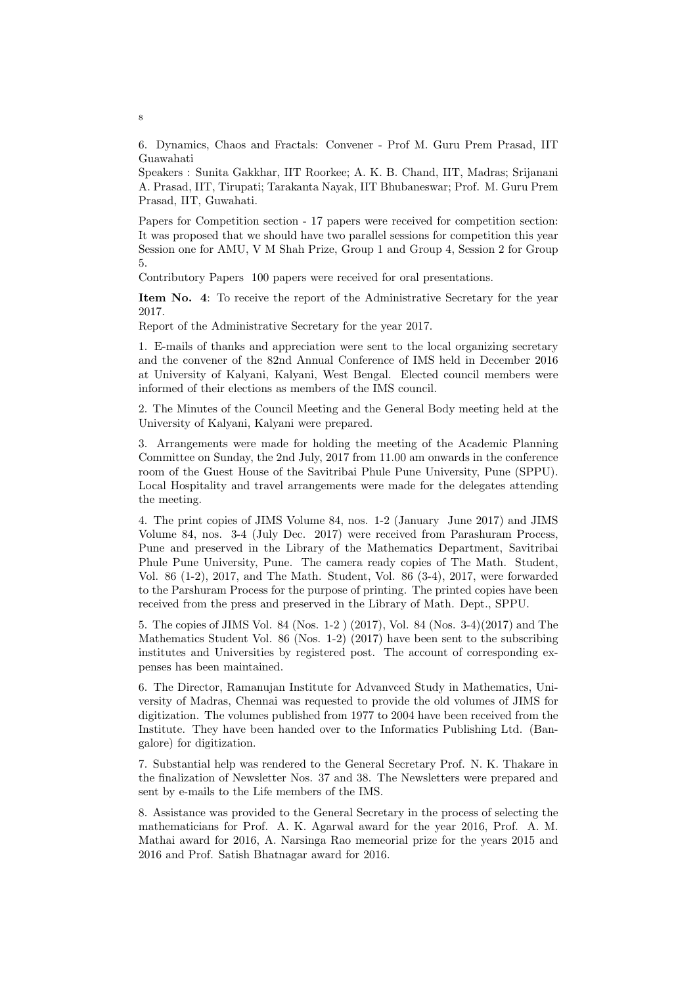6. Dynamics, Chaos and Fractals: Convener - Prof M. Guru Prem Prasad, IIT Guawahati

Speakers : Sunita Gakkhar, IIT Roorkee; A. K. B. Chand, IIT, Madras; Srijanani A. Prasad, IIT, Tirupati; Tarakanta Nayak, IIT Bhubaneswar; Prof. M. Guru Prem Prasad, IIT, Guwahati.

Papers for Competition section - 17 papers were received for competition section: It was proposed that we should have two parallel sessions for competition this year Session one for AMU, V M Shah Prize, Group 1 and Group 4, Session 2 for Group 5.

Contributory Papers 100 papers were received for oral presentations.

Item No. 4: To receive the report of the Administrative Secretary for the year 2017.

Report of the Administrative Secretary for the year 2017.

1. E-mails of thanks and appreciation were sent to the local organizing secretary and the convener of the 82nd Annual Conference of IMS held in December 2016 at University of Kalyani, Kalyani, West Bengal. Elected council members were informed of their elections as members of the IMS council.

2. The Minutes of the Council Meeting and the General Body meeting held at the University of Kalyani, Kalyani were prepared.

3. Arrangements were made for holding the meeting of the Academic Planning Committee on Sunday, the 2nd July, 2017 from 11.00 am onwards in the conference room of the Guest House of the Savitribai Phule Pune University, Pune (SPPU). Local Hospitality and travel arrangements were made for the delegates attending the meeting.

4. The print copies of JIMS Volume 84, nos. 1-2 (January June 2017) and JIMS Volume 84, nos. 3-4 (July Dec. 2017) were received from Parashuram Process, Pune and preserved in the Library of the Mathematics Department, Savitribai Phule Pune University, Pune. The camera ready copies of The Math. Student, Vol. 86 (1-2), 2017, and The Math. Student, Vol. 86 (3-4), 2017, were forwarded to the Parshuram Process for the purpose of printing. The printed copies have been received from the press and preserved in the Library of Math. Dept., SPPU.

5. The copies of JIMS Vol. 84 (Nos. 1-2 ) (2017), Vol. 84 (Nos. 3-4)(2017) and The Mathematics Student Vol. 86 (Nos. 1-2) (2017) have been sent to the subscribing institutes and Universities by registered post. The account of corresponding expenses has been maintained.

6. The Director, Ramanujan Institute for Advanvced Study in Mathematics, University of Madras, Chennai was requested to provide the old volumes of JIMS for digitization. The volumes published from 1977 to 2004 have been received from the Institute. They have been handed over to the Informatics Publishing Ltd. (Bangalore) for digitization.

7. Substantial help was rendered to the General Secretary Prof. N. K. Thakare in the finalization of Newsletter Nos. 37 and 38. The Newsletters were prepared and sent by e-mails to the Life members of the IMS.

8. Assistance was provided to the General Secretary in the process of selecting the mathematicians for Prof. A. K. Agarwal award for the year 2016, Prof. A. M. Mathai award for 2016, A. Narsinga Rao memeorial prize for the years 2015 and 2016 and Prof. Satish Bhatnagar award for 2016.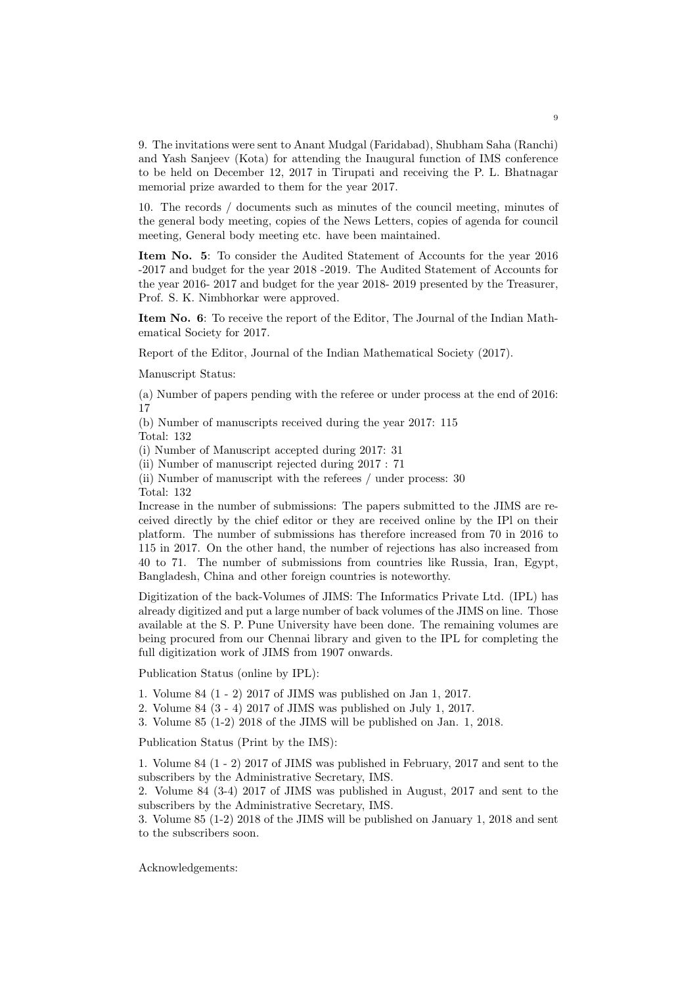9. The invitations were sent to Anant Mudgal (Faridabad), Shubham Saha (Ranchi) and Yash Sanjeev (Kota) for attending the Inaugural function of IMS conference to be held on December 12, 2017 in Tirupati and receiving the P. L. Bhatnagar memorial prize awarded to them for the year 2017.

10. The records / documents such as minutes of the council meeting, minutes of the general body meeting, copies of the News Letters, copies of agenda for council meeting, General body meeting etc. have been maintained.

Item No. 5: To consider the Audited Statement of Accounts for the year 2016 -2017 and budget for the year 2018 -2019. The Audited Statement of Accounts for the year 2016- 2017 and budget for the year 2018- 2019 presented by the Treasurer, Prof. S. K. Nimbhorkar were approved.

Item No. 6: To receive the report of the Editor, The Journal of the Indian Mathematical Society for 2017.

Report of the Editor, Journal of the Indian Mathematical Society (2017).

Manuscript Status:

(a) Number of papers pending with the referee or under process at the end of 2016: 17

(b) Number of manuscripts received during the year 2017: 115 Total: 132

(i) Number of Manuscript accepted during 2017: 31

(ii) Number of manuscript rejected during 2017 : 71

(ii) Number of manuscript with the referees / under process: 30 Total: 132

Increase in the number of submissions: The papers submitted to the JIMS are received directly by the chief editor or they are received online by the IPl on their platform. The number of submissions has therefore increased from 70 in 2016 to 115 in 2017. On the other hand, the number of rejections has also increased from 40 to 71. The number of submissions from countries like Russia, Iran, Egypt, Bangladesh, China and other foreign countries is noteworthy.

Digitization of the back-Volumes of JIMS: The Informatics Private Ltd. (IPL) has already digitized and put a large number of back volumes of the JIMS on line. Those available at the S. P. Pune University have been done. The remaining volumes are being procured from our Chennai library and given to the IPL for completing the full digitization work of JIMS from 1907 onwards.

Publication Status (online by IPL):

1. Volume 84 (1 - 2) 2017 of JIMS was published on Jan 1, 2017.

2. Volume 84 (3 - 4) 2017 of JIMS was published on July 1, 2017.

3. Volume 85 (1-2) 2018 of the JIMS will be published on Jan. 1, 2018.

Publication Status (Print by the IMS):

1. Volume 84 (1 - 2) 2017 of JIMS was published in February, 2017 and sent to the subscribers by the Administrative Secretary, IMS.

2. Volume 84 (3-4) 2017 of JIMS was published in August, 2017 and sent to the subscribers by the Administrative Secretary, IMS.

3. Volume 85 (1-2) 2018 of the JIMS will be published on January 1, 2018 and sent to the subscribers soon.

Acknowledgements: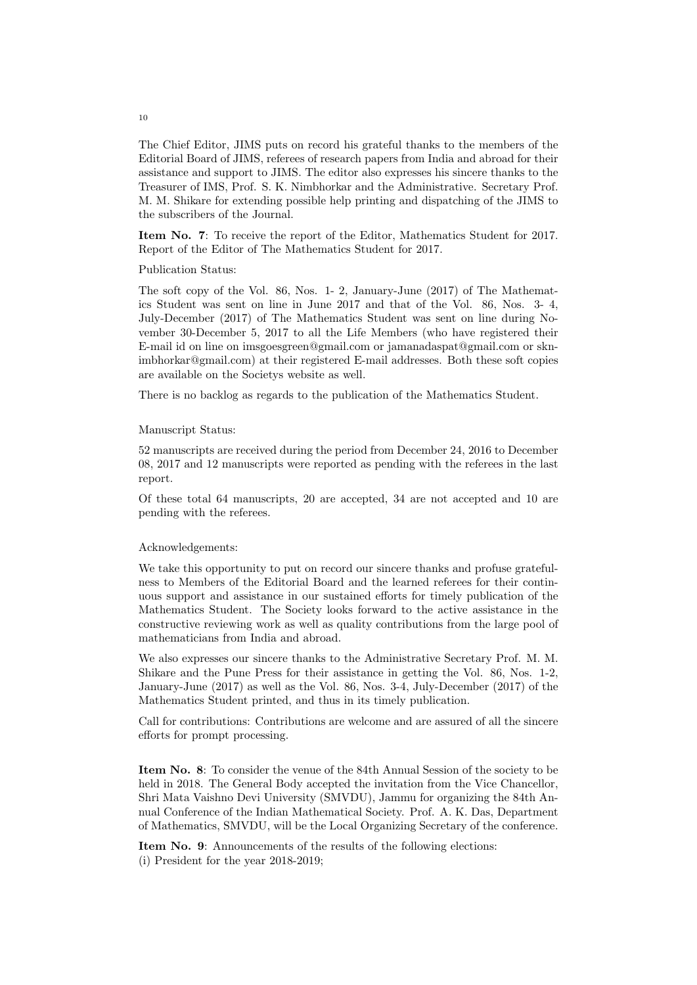The Chief Editor, JIMS puts on record his grateful thanks to the members of the Editorial Board of JIMS, referees of research papers from India and abroad for their assistance and support to JIMS. The editor also expresses his sincere thanks to the Treasurer of IMS, Prof. S. K. Nimbhorkar and the Administrative. Secretary Prof. M. M. Shikare for extending possible help printing and dispatching of the JIMS to the subscribers of the Journal.

Item No. 7: To receive the report of the Editor, Mathematics Student for 2017. Report of the Editor of The Mathematics Student for 2017.

Publication Status:

The soft copy of the Vol. 86, Nos. 1- 2, January-June (2017) of The Mathematics Student was sent on line in June 2017 and that of the Vol. 86, Nos. 3- 4, July-December (2017) of The Mathematics Student was sent on line during November 30-December 5, 2017 to all the Life Members (who have registered their E-mail id on line on imsgoesgreen@gmail.com or jamanadaspat@gmail.com or sknimbhorkar@gmail.com) at their registered E-mail addresses. Both these soft copies are available on the Societys website as well.

There is no backlog as regards to the publication of the Mathematics Student.

#### Manuscript Status:

52 manuscripts are received during the period from December 24, 2016 to December 08, 2017 and 12 manuscripts were reported as pending with the referees in the last report.

Of these total 64 manuscripts, 20 are accepted, 34 are not accepted and 10 are pending with the referees.

#### Acknowledgements:

We take this opportunity to put on record our sincere thanks and profuse gratefulness to Members of the Editorial Board and the learned referees for their continuous support and assistance in our sustained efforts for timely publication of the Mathematics Student. The Society looks forward to the active assistance in the constructive reviewing work as well as quality contributions from the large pool of mathematicians from India and abroad.

We also expresses our sincere thanks to the Administrative Secretary Prof. M. M. Shikare and the Pune Press for their assistance in getting the Vol. 86, Nos. 1-2, January-June (2017) as well as the Vol. 86, Nos. 3-4, July-December (2017) of the Mathematics Student printed, and thus in its timely publication.

Call for contributions: Contributions are welcome and are assured of all the sincere efforts for prompt processing.

Item No. 8: To consider the venue of the 84th Annual Session of the society to be held in 2018. The General Body accepted the invitation from the Vice Chancellor, Shri Mata Vaishno Devi University (SMVDU), Jammu for organizing the 84th Annual Conference of the Indian Mathematical Society. Prof. A. K. Das, Department of Mathematics, SMVDU, will be the Local Organizing Secretary of the conference.

Item No. 9: Announcements of the results of the following elections: (i) President for the year 2018-2019;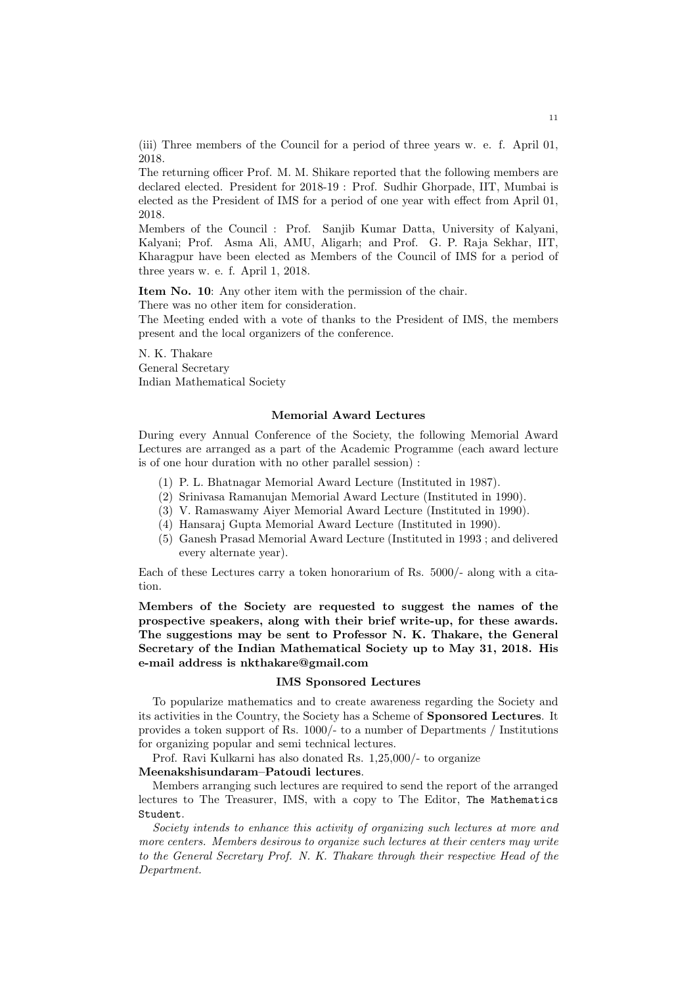(iii) Three members of the Council for a period of three years w. e. f. April 01, 2018.

The returning officer Prof. M. M. Shikare reported that the following members are declared elected. President for 2018-19 : Prof. Sudhir Ghorpade, IIT, Mumbai is elected as the President of IMS for a period of one year with effect from April 01, 2018.

Members of the Council : Prof. Sanjib Kumar Datta, University of Kalyani, Kalyani; Prof. Asma Ali, AMU, Aligarh; and Prof. G. P. Raja Sekhar, IIT, Kharagpur have been elected as Members of the Council of IMS for a period of three years w. e. f. April 1, 2018.

Item No. 10: Any other item with the permission of the chair.

There was no other item for consideration.

The Meeting ended with a vote of thanks to the President of IMS, the members present and the local organizers of the conference.

N. K. Thakare General Secretary Indian Mathematical Society

### Memorial Award Lectures

During every Annual Conference of the Society, the following Memorial Award Lectures are arranged as a part of the Academic Programme (each award lecture is of one hour duration with no other parallel session) :

- (1) P. L. Bhatnagar Memorial Award Lecture (Instituted in 1987).
- (2) Srinivasa Ramanujan Memorial Award Lecture (Instituted in 1990).
- (3) V. Ramaswamy Aiyer Memorial Award Lecture (Instituted in 1990).
- (4) Hansaraj Gupta Memorial Award Lecture (Instituted in 1990).
- (5) Ganesh Prasad Memorial Award Lecture (Instituted in 1993 ; and delivered every alternate year).

Each of these Lectures carry a token honorarium of Rs. 5000/- along with a citation.

Members of the Society are requested to suggest the names of the prospective speakers, along with their brief write-up, for these awards. The suggestions may be sent to Professor N. K. Thakare, the General Secretary of the Indian Mathematical Society up to May 31, 2018. His e-mail address is nkthakare@gmail.com

### IMS Sponsored Lectures

To popularize mathematics and to create awareness regarding the Society and its activities in the Country, the Society has a Scheme of Sponsored Lectures. It provides a token support of Rs. 1000/- to a number of Departments / Institutions for organizing popular and semi technical lectures.

Prof. Ravi Kulkarni has also donated Rs. 1,25,000/- to organize

# Meenakshisundaram–Patoudi lectures.

Members arranging such lectures are required to send the report of the arranged lectures to The Treasurer, IMS, with a copy to The Editor, The Mathematics Student.

Society intends to enhance this activity of organizing such lectures at more and more centers. Members desirous to organize such lectures at their centers may write to the General Secretary Prof. N. K. Thakare through their respective Head of the Department.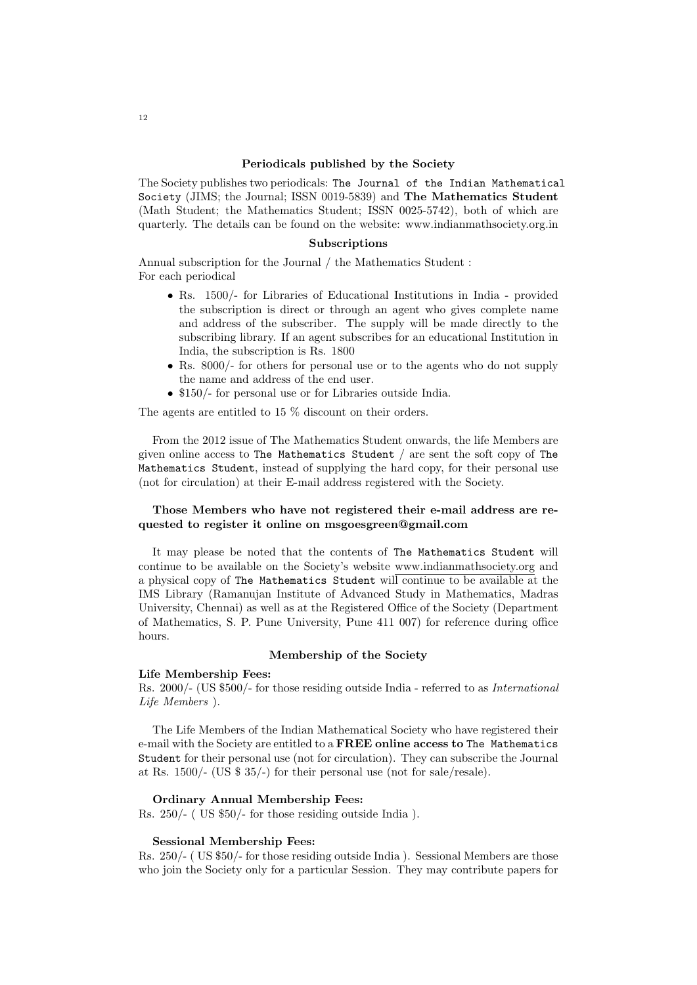### Periodicals published by the Society

The Society publishes two periodicals: The Journal of the Indian Mathematical Society (JIMS; the Journal; ISSN 0019-5839) and The Mathematics Student (Math Student; the Mathematics Student; ISSN 0025-5742), both of which are quarterly. The details can be found on the website: www.indianmathsociety.org.in

## Subscriptions

Annual subscription for the Journal / the Mathematics Student : For each periodical

- Rs. 1500/- for Libraries of Educational Institutions in India provided the subscription is direct or through an agent who gives complete name and address of the subscriber. The supply will be made directly to the subscribing library. If an agent subscribes for an educational Institution in India, the subscription is Rs. 1800
- Rs. 8000/- for others for personal use or to the agents who do not supply the name and address of the end user.
- \$150/- for personal use or for Libraries outside India.

The agents are entitled to 15 % discount on their orders.

From the 2012 issue of The Mathematics Student onwards, the life Members are given online access to The Mathematics Student / are sent the soft copy of The Mathematics Student, instead of supplying the hard copy, for their personal use (not for circulation) at their E-mail address registered with the Society.

## Those Members who have not registered their e-mail address are requested to register it online on msgoesgreen@gmail.com

It may please be noted that the contents of The Mathematics Student will continue to be available on the Society's website www.indianmathsociety.org and a physical copy of The Mathematics Student will continue to be available at the IMS Library (Ramanujan Institute of Advanced Study in Mathematics, Madras University, Chennai) as well as at the Registered Office of the Society (Department of Mathematics, S. P. Pune University, Pune 411 007) for reference during office hours.

#### Membership of the Society

### Life Membership Fees:

Rs. 2000/- (US \$500/- for those residing outside India - referred to as International Life Members ).

The Life Members of the Indian Mathematical Society who have registered their e-mail with the Society are entitled to a FREE online access to The Mathematics Student for their personal use (not for circulation). They can subscribe the Journal at Rs. 1500/- (US \$ 35/-) for their personal use (not for sale/resale).

### Ordinary Annual Membership Fees:

Rs. 250/- ( US \$50/- for those residing outside India ).

#### Sessional Membership Fees:

Rs. 250/- ( US \$50/- for those residing outside India ). Sessional Members are those who join the Society only for a particular Session. They may contribute papers for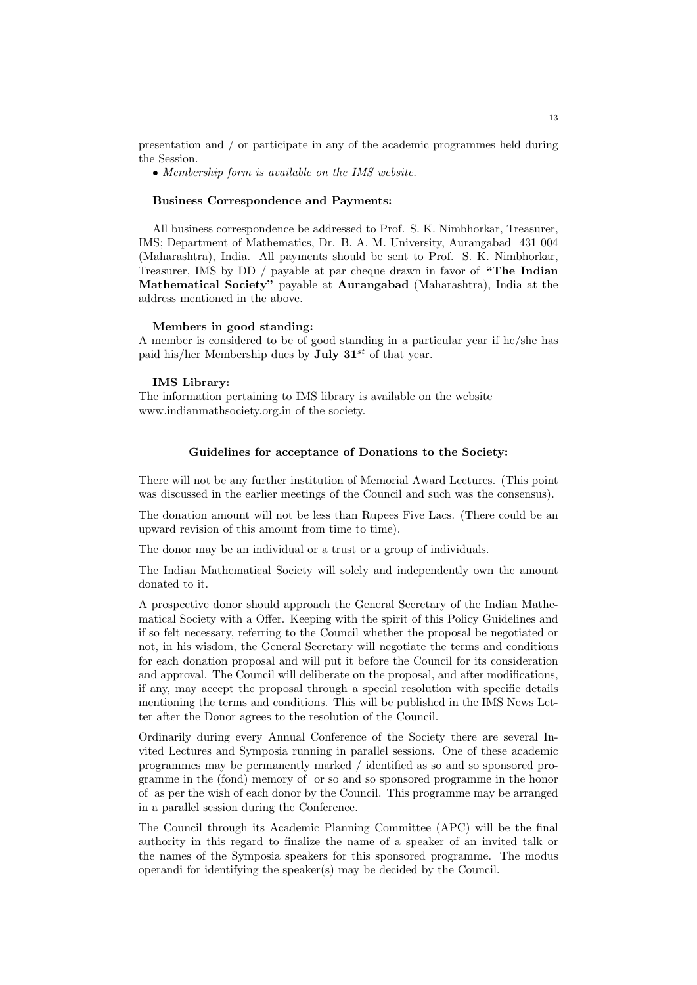presentation and / or participate in any of the academic programmes held during the Session.

• Membership form is available on the IMS website.

### Business Correspondence and Payments:

All business correspondence be addressed to Prof. S. K. Nimbhorkar, Treasurer, IMS; Department of Mathematics, Dr. B. A. M. University, Aurangabad 431 004 (Maharashtra), India. All payments should be sent to Prof. S. K. Nimbhorkar, Treasurer, IMS by DD / payable at par cheque drawn in favor of "The Indian Mathematical Society" payable at Aurangabad (Maharashtra), India at the address mentioned in the above.

### Members in good standing:

A member is considered to be of good standing in a particular year if he/she has paid his/her Membership dues by **July 31**<sup>st</sup> of that year.

#### IMS Library:

The information pertaining to IMS library is available on the website www.indianmathsociety.org.in of the society.

### Guidelines for acceptance of Donations to the Society:

There will not be any further institution of Memorial Award Lectures. (This point was discussed in the earlier meetings of the Council and such was the consensus).

The donation amount will not be less than Rupees Five Lacs. (There could be an upward revision of this amount from time to time).

The donor may be an individual or a trust or a group of individuals.

The Indian Mathematical Society will solely and independently own the amount donated to it.

A prospective donor should approach the General Secretary of the Indian Mathematical Society with a Offer. Keeping with the spirit of this Policy Guidelines and if so felt necessary, referring to the Council whether the proposal be negotiated or not, in his wisdom, the General Secretary will negotiate the terms and conditions for each donation proposal and will put it before the Council for its consideration and approval. The Council will deliberate on the proposal, and after modifications, if any, may accept the proposal through a special resolution with specific details mentioning the terms and conditions. This will be published in the IMS News Letter after the Donor agrees to the resolution of the Council.

Ordinarily during every Annual Conference of the Society there are several Invited Lectures and Symposia running in parallel sessions. One of these academic programmes may be permanently marked / identified as so and so sponsored programme in the (fond) memory of or so and so sponsored programme in the honor of as per the wish of each donor by the Council. This programme may be arranged in a parallel session during the Conference.

The Council through its Academic Planning Committee (APC) will be the final authority in this regard to finalize the name of a speaker of an invited talk or the names of the Symposia speakers for this sponsored programme. The modus operandi for identifying the speaker(s) may be decided by the Council.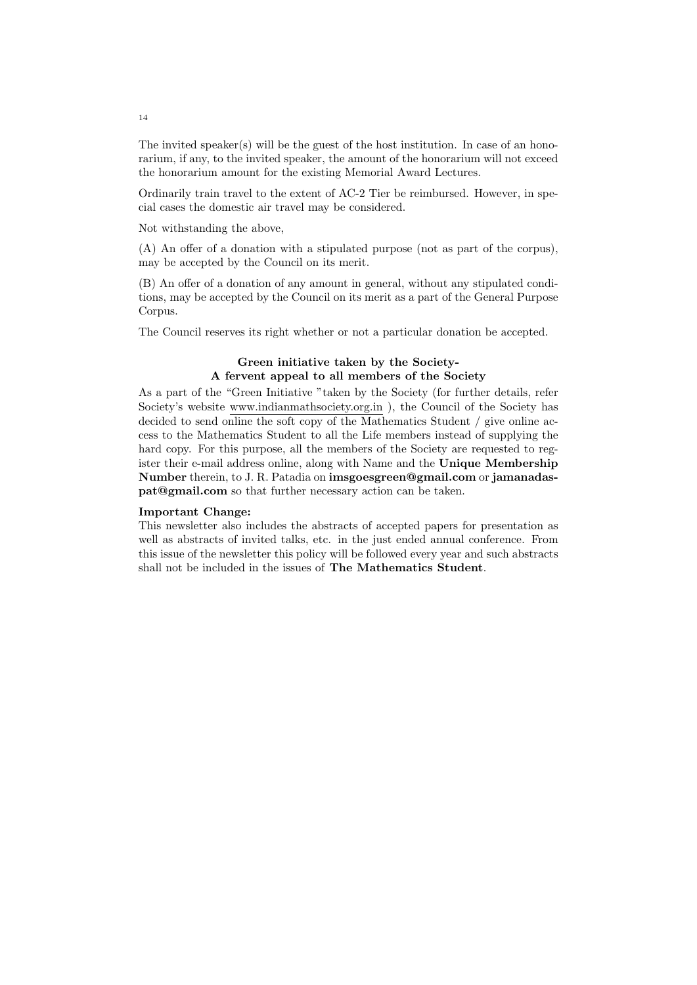The invited speaker(s) will be the guest of the host institution. In case of an honorarium, if any, to the invited speaker, the amount of the honorarium will not exceed the honorarium amount for the existing Memorial Award Lectures.

Ordinarily train travel to the extent of AC-2 Tier be reimbursed. However, in special cases the domestic air travel may be considered.

Not withstanding the above,

(A) An offer of a donation with a stipulated purpose (not as part of the corpus), may be accepted by the Council on its merit.

(B) An offer of a donation of any amount in general, without any stipulated conditions, may be accepted by the Council on its merit as a part of the General Purpose Corpus.

The Council reserves its right whether or not a particular donation be accepted.

## Green initiative taken by the Society-A fervent appeal to all members of the Society

As a part of the "Green Initiative "taken by the Society (for further details, refer Society's website www.indianmathsociety.org.in ), the Council of the Society has decided to send online the soft copy of the Mathematics Student / give online access to the Mathematics Student to all the Life members instead of supplying the hard copy. For this purpose, all the members of the Society are requested to register their e-mail address online, along with Name and the Unique Membership Number therein, to J. R. Patadia on imsgoesgreen@gmail.com or jamanadaspat@gmail.com so that further necessary action can be taken.

#### Important Change:

This newsletter also includes the abstracts of accepted papers for presentation as well as abstracts of invited talks, etc. in the just ended annual conference. From this issue of the newsletter this policy will be followed every year and such abstracts shall not be included in the issues of The Mathematics Student.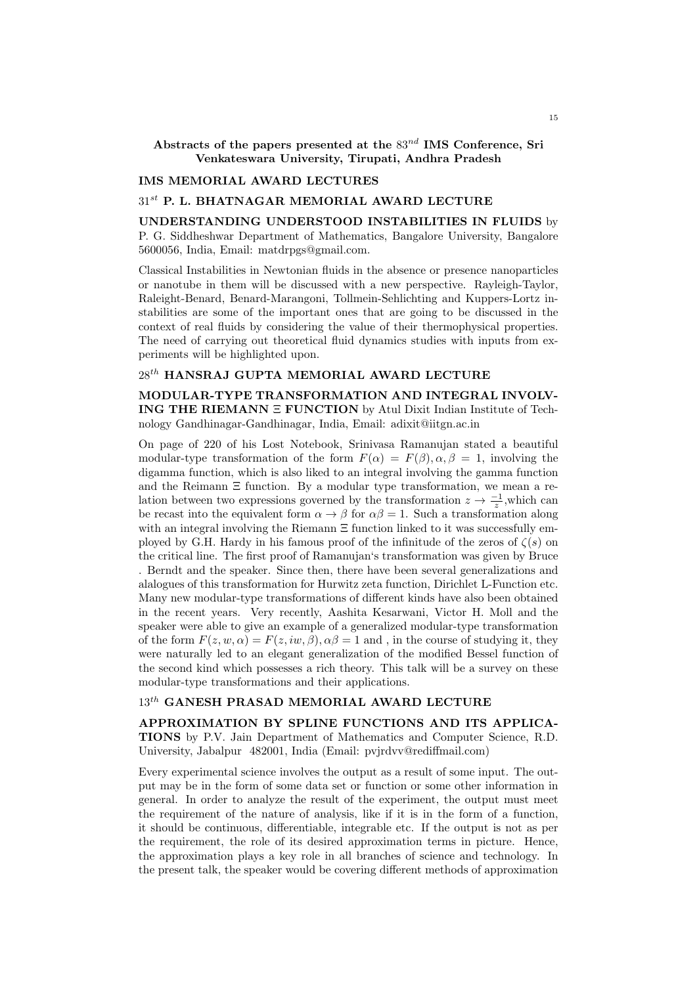Abstracts of the papers presented at the  $83^{nd}$  IMS Conference, Sri Venkateswara University, Tirupati, Andhra Pradesh

#### IMS MEMORIAL AWARD LECTURES

### $31^{st}$  P. L. BHATNAGAR MEMORIAL AWARD LECTURE

UNDERSTANDING UNDERSTOOD INSTABILITIES IN FLUIDS by P. G. Siddheshwar Department of Mathematics, Bangalore University, Bangalore 5600056, India, Email: matdrpgs@gmail.com.

Classical Instabilities in Newtonian fluids in the absence or presence nanoparticles or nanotube in them will be discussed with a new perspective. Rayleigh-Taylor, Raleight-Benard, Benard-Marangoni, Tollmein-Sehlichting and Kuppers-Lortz instabilities are some of the important ones that are going to be discussed in the context of real fluids by considering the value of their thermophysical properties. The need of carrying out theoretical fluid dynamics studies with inputs from experiments will be highlighted upon.

# $28^{th}$ HANSRAJ GUPTA MEMORIAL AWARD LECTURE

MODULAR-TYPE TRANSFORMATION AND INTEGRAL INVOLV-ING THE RIEMANN Ξ FUNCTION by Atul Dixit Indian Institute of Technology Gandhinagar-Gandhinagar, India, Email: adixit@iitgn.ac.in

On page of 220 of his Lost Notebook, Srinivasa Ramanujan stated a beautiful modular-type transformation of the form  $F(\alpha) = F(\beta), \alpha, \beta = 1$ , involving the digamma function, which is also liked to an integral involving the gamma function and the Reimann Ξ function. By a modular type transformation, we mean a relation between two expressions governed by the transformation  $z \to \frac{-1}{z}$ , which can be recast into the equivalent form  $\alpha \to \beta$  for  $\alpha \beta = 1$ . Such a transformation along with an integral involving the Riemann  $\Xi$  function linked to it was successfully employed by G.H. Hardy in his famous proof of the infinitude of the zeros of  $\zeta(s)$  on the critical line. The first proof of Ramanujan's transformation was given by Bruce . Berndt and the speaker. Since then, there have been several generalizations and alalogues of this transformation for Hurwitz zeta function, Dirichlet L-Function etc. Many new modular-type transformations of different kinds have also been obtained in the recent years. Very recently, Aashita Kesarwani, Victor H. Moll and the speaker were able to give an example of a generalized modular-type transformation of the form  $F(z, w, \alpha) = F(z, iw, \beta), \alpha\beta = 1$  and, in the course of studying it, they were naturally led to an elegant generalization of the modified Bessel function of the second kind which possesses a rich theory. This talk will be a survey on these modular-type transformations and their applications.

# $13^{th}$  GANESH PRASAD MEMORIAL AWARD LECTURE

APPROXIMATION BY SPLINE FUNCTIONS AND ITS APPLICA-TIONS by P.V. Jain Department of Mathematics and Computer Science, R.D. University, Jabalpur 482001, India (Email: pvjrdvv@rediffmail.com)

Every experimental science involves the output as a result of some input. The output may be in the form of some data set or function or some other information in general. In order to analyze the result of the experiment, the output must meet the requirement of the nature of analysis, like if it is in the form of a function, it should be continuous, differentiable, integrable etc. If the output is not as per the requirement, the role of its desired approximation terms in picture. Hence, the approximation plays a key role in all branches of science and technology. In the present talk, the speaker would be covering different methods of approximation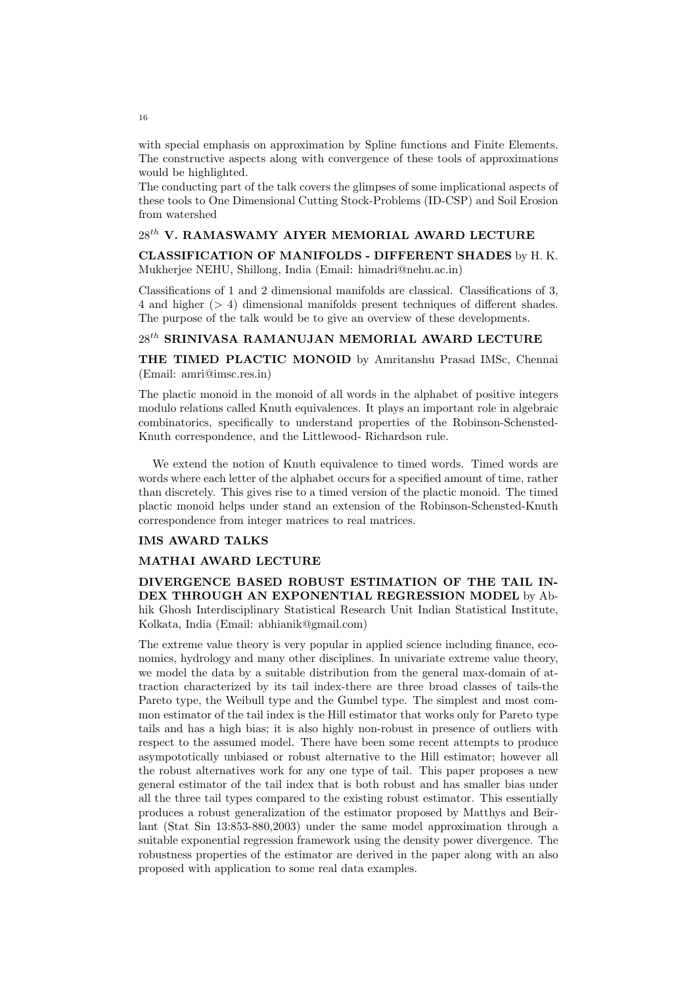with special emphasis on approximation by Spline functions and Finite Elements. The constructive aspects along with convergence of these tools of approximations would be highlighted.

The conducting part of the talk covers the glimpses of some implicational aspects of these tools to One Dimensional Cutting Stock-Problems (ID-CSP) and Soil Erosion from watershed

# $28^{th}$ V. RAMASWAMY AIYER MEMORIAL AWARD LECTURE

CLASSIFICATION OF MANIFOLDS - DIFFERENT SHADES by H. K. Mukherjee NEHU, Shillong, India (Email: himadri@nehu.ac.in)

Classifications of 1 and 2 dimensional manifolds are classical. Classifications of 3, 4 and higher (> 4) dimensional manifolds present techniques of different shades. The purpose of the talk would be to give an overview of these developments.

# $28^{th}$  SRINIVASA RAMANUJAN MEMORIAL AWARD LECTURE

THE TIMED PLACTIC MONOID by Amritanshu Prasad IMSc, Chennai (Email: amri@imsc.res.in)

The plactic monoid in the monoid of all words in the alphabet of positive integers modulo relations called Knuth equivalences. It plays an important role in algebraic combinatorics, specifically to understand properties of the Robinson-Schensted-Knuth correspondence, and the Littlewood- Richardson rule.

We extend the notion of Knuth equivalence to timed words. Timed words are words where each letter of the alphabet occurs for a specified amount of time, rather than discretely. This gives rise to a timed version of the plactic monoid. The timed plactic monoid helps under stand an extension of the Robinson-Schensted-Knuth correspondence from integer matrices to real matrices.

#### IMS AWARD TALKS

### MATHAI AWARD LECTURE

DIVERGENCE BASED ROBUST ESTIMATION OF THE TAIL IN-DEX THROUGH AN EXPONENTIAL REGRESSION MODEL by Abhik Ghosh Interdisciplinary Statistical Research Unit Indian Statistical Institute, Kolkata, India (Email: abhianik@gmail.com)

The extreme value theory is very popular in applied science including finance, economics, hydrology and many other disciplines. In univariate extreme value theory, we model the data by a suitable distribution from the general max-domain of attraction characterized by its tail index-there are three broad classes of tails-the Pareto type, the Weibull type and the Gumbel type. The simplest and most common estimator of the tail index is the Hill estimator that works only for Pareto type tails and has a high bias; it is also highly non-robust in presence of outliers with respect to the assumed model. There have been some recent attempts to produce asympototically unbiased or robust alternative to the Hill estimator; however all the robust alternatives work for any one type of tail. This paper proposes a new general estimator of the tail index that is both robust and has smaller bias under all the three tail types compared to the existing robust estimator. This essentially produces a robust generalization of the estimator proposed by Matthys and Beirlant (Stat Sin 13:853-880,2003) under the same model approximation through a suitable exponential regression framework using the density power divergence. The robustness properties of the estimator are derived in the paper along with an also proposed with application to some real data examples.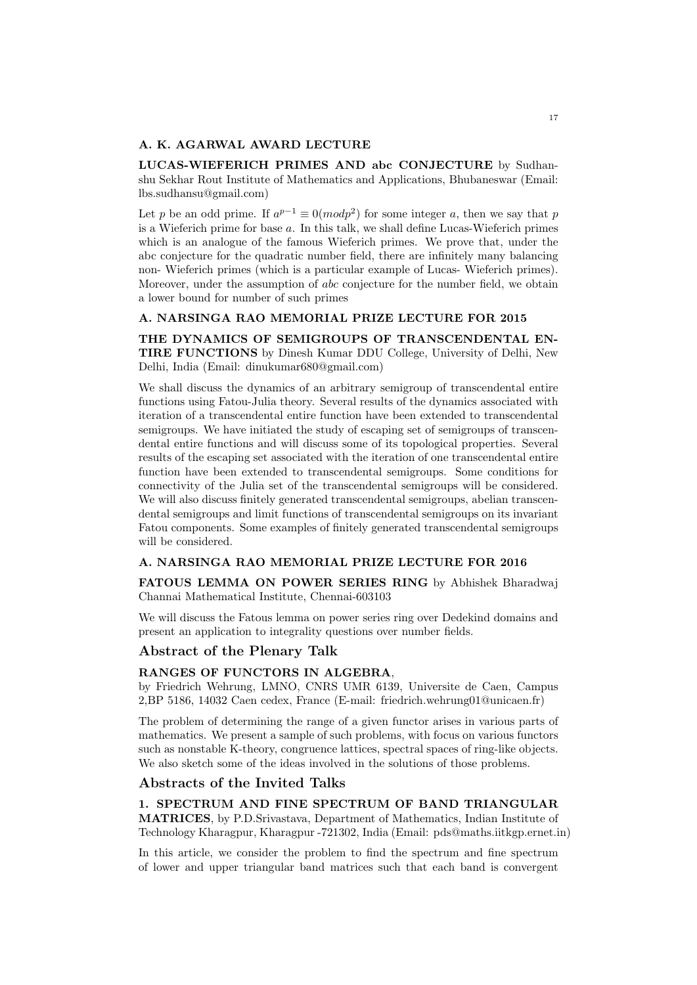### A. K. AGARWAL AWARD LECTURE

LUCAS-WIEFERICH PRIMES AND abc CONJECTURE by Sudhanshu Sekhar Rout Institute of Mathematics and Applications, Bhubaneswar (Email: lbs.sudhansu@gmail.com)

Let p be an odd prime. If  $a^{p-1} \equiv 0 (mod p^2)$  for some integer a, then we say that p is a Wieferich prime for base a. In this talk, we shall define Lucas-Wieferich primes which is an analogue of the famous Wieferich primes. We prove that, under the abc conjecture for the quadratic number field, there are infinitely many balancing non- Wieferich primes (which is a particular example of Lucas- Wieferich primes). Moreover, under the assumption of abc conjecture for the number field, we obtain a lower bound for number of such primes

### A. NARSINGA RAO MEMORIAL PRIZE LECTURE FOR 2015

THE DYNAMICS OF SEMIGROUPS OF TRANSCENDENTAL EN-TIRE FUNCTIONS by Dinesh Kumar DDU College, University of Delhi, New Delhi, India (Email: dinukumar680@gmail.com)

We shall discuss the dynamics of an arbitrary semigroup of transcendental entire functions using Fatou-Julia theory. Several results of the dynamics associated with iteration of a transcendental entire function have been extended to transcendental semigroups. We have initiated the study of escaping set of semigroups of transcendental entire functions and will discuss some of its topological properties. Several results of the escaping set associated with the iteration of one transcendental entire function have been extended to transcendental semigroups. Some conditions for connectivity of the Julia set of the transcendental semigroups will be considered. We will also discuss finitely generated transcendental semigroups, abelian transcendental semigroups and limit functions of transcendental semigroups on its invariant Fatou components. Some examples of finitely generated transcendental semigroups will be considered.

### A. NARSINGA RAO MEMORIAL PRIZE LECTURE FOR 2016

FATOUS LEMMA ON POWER SERIES RING by Abhishek Bharadwaj Channai Mathematical Institute, Chennai-603103

We will discuss the Fatous lemma on power series ring over Dedekind domains and present an application to integrality questions over number fields.

# Abstract of the Plenary Talk

# RANGES OF FUNCTORS IN ALGEBRA,

by Friedrich Wehrung, LMNO, CNRS UMR 6139, Universite de Caen, Campus 2,BP 5186, 14032 Caen cedex, France (E-mail: friedrich.wehrung01@unicaen.fr)

The problem of determining the range of a given functor arises in various parts of mathematics. We present a sample of such problems, with focus on various functors such as nonstable K-theory, congruence lattices, spectral spaces of ring-like objects. We also sketch some of the ideas involved in the solutions of those problems.

### Abstracts of the Invited Talks

1. SPECTRUM AND FINE SPECTRUM OF BAND TRIANGULAR MATRICES, by P.D.Srivastava, Department of Mathematics, Indian Institute of Technology Kharagpur, Kharagpur -721302, India (Email: pds@maths.iitkgp.ernet.in)

In this article, we consider the problem to find the spectrum and fine spectrum of lower and upper triangular band matrices such that each band is convergent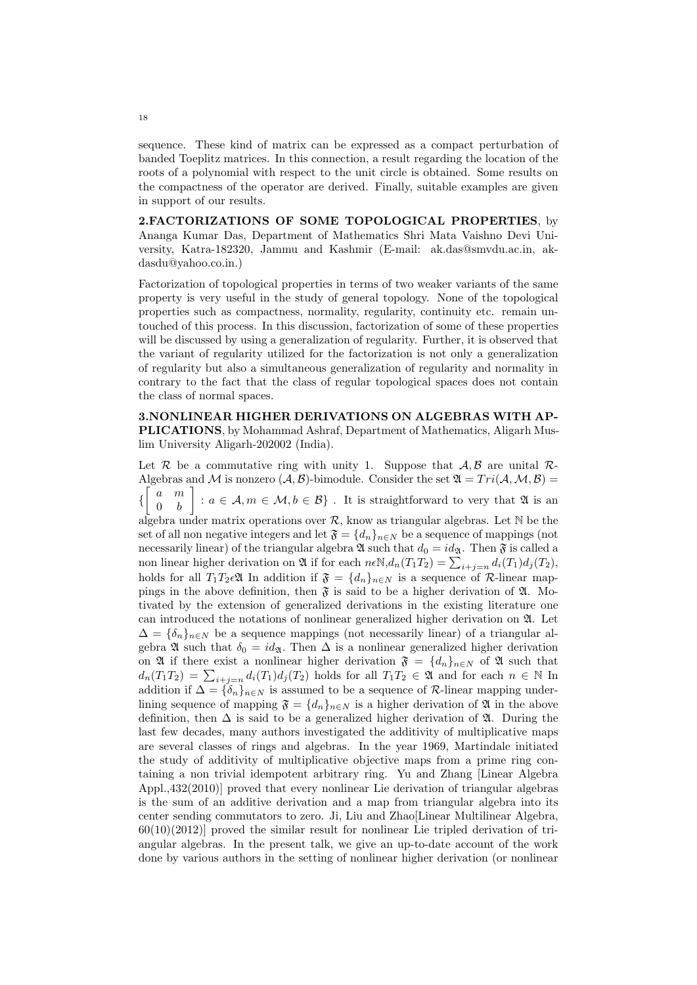sequence. These kind of matrix can be expressed as a compact perturbation of banded Toeplitz matrices. In this connection, a result regarding the location of the roots of a polynomial with respect to the unit circle is obtained. Some results on the compactness of the operator are derived. Finally, suitable examples are given in support of our results.

2.FACTORIZATIONS OF SOME TOPOLOGICAL PROPERTIES, by Ananga Kumar Das, Department of Mathematics Shri Mata Vaishno Devi University, Katra-182320, Jammu and Kashmir (E-mail: ak.das@smvdu.ac.in, akdasdu@yahoo.co.in.)

Factorization of topological properties in terms of two weaker variants of the same property is very useful in the study of general topology. None of the topological properties such as compactness, normality, regularity, continuity etc. remain untouched of this process. In this discussion, factorization of some of these properties will be discussed by using a generalization of regularity. Further, it is observed that the variant of regularity utilized for the factorization is not only a generalization of regularity but also a simultaneous generalization of regularity and normality in contrary to the fact that the class of regular topological spaces does not contain the class of normal spaces.

3.NONLINEAR HIGHER DERIVATIONS ON ALGEBRAS WITH AP-PLICATIONS, by Mohammad Ashraf, Department of Mathematics, Aligarh Muslim University Aligarh-202002 (India).

Let R be a commutative ring with unity 1. Suppose that  $\mathcal{A}, \mathcal{B}$  are unital R-Algebras and M is nonzero  $(A, B)$ -bimodule. Consider the set  $\mathfrak{A} = Tri(A, M, B)$  $\left\{ \right.$ a m  $0 \quad b$ :  $a \in \mathcal{A}, m \in \mathcal{M}, b \in \mathcal{B}$ . It is straightforward to very that  $\mathfrak{A}$  is an algebra under matrix operations over  $\mathcal{R}$ , know as triangular algebras. Let N be the set of all non negative integers and let  $\mathfrak{F} = \{d_n\}_{n \in \mathbb{N}}$  be a sequence of mappings (not necessarily linear) of the triangular algebra  $\mathfrak A$  such that  $d_0 = id_{\mathfrak A}$ . Then  $\mathfrak F$  is called a non linear higher derivation on **2** if for each  $n \in \mathbb{N}$ , $d_n(T_1, T_2) = \sum_{i+j=n} d_i(T_1) d_j(T_2)$ , holds for all  $T_1T_2\in\mathfrak{A}$  In addition if  $\mathfrak{F} = \{d_n\}_{n\in\mathbb{N}}$  is a sequence of R-linear mappings in the above definition, then  $\mathfrak F$  is said to be a higher derivation of  $\mathfrak A$ . Motivated by the extension of generalized derivations in the existing literature one can introduced the notations of nonlinear generalized higher derivation on A. Let  $\Delta = {\delta_n}_{n \in \mathbb{N}}$  be a sequence mappings (not necessarily linear) of a triangular algebra  $\mathfrak A$  such that  $\delta_0 = id_{\mathfrak A}$ . Then  $\Delta$  is a nonlinear generalized higher derivation on  $\mathfrak{A}$  if there exist a nonlinear higher derivation  $\mathfrak{F} = \{d_n\}_{n \in \mathbb{N}}$  of  $\mathfrak{A}$  such that  $d_n(T_1T_2) = \sum_{i+j=n} d_i(T_1)d_j(T_2)$  holds for all  $T_1T_2 \in \mathfrak{A}$  and for each  $n \in \mathbb{N}$  In addition if  $\Delta = {\delta_n}_{n \in N}$  is assumed to be a sequence of R-linear mapping underlining sequence of mapping  $\mathfrak{F} = \{d_n\}_{n \in \mathbb{N}}$  is a higher derivation of  $\mathfrak{A}$  in the above definition, then  $\Delta$  is said to be a generalized higher derivation of  $\mathfrak{A}$ . During the last few decades, many authors investigated the additivity of multiplicative maps are several classes of rings and algebras. In the year 1969, Martindale initiated the study of additivity of multiplicative objective maps from a prime ring containing a non trivial idempotent arbitrary ring. Yu and Zhang [Linear Algebra Appl.,432(2010)] proved that every nonlinear Lie derivation of triangular algebras is the sum of an additive derivation and a map from triangular algebra into its center sending commutators to zero. Ji, Liu and Zhao[Linear Multilinear Algebra,  $60(10)(2012)$  proved the similar result for nonlinear Lie tripled derivation of triangular algebras. In the present talk, we give an up-to-date account of the work done by various authors in the setting of nonlinear higher derivation (or nonlinear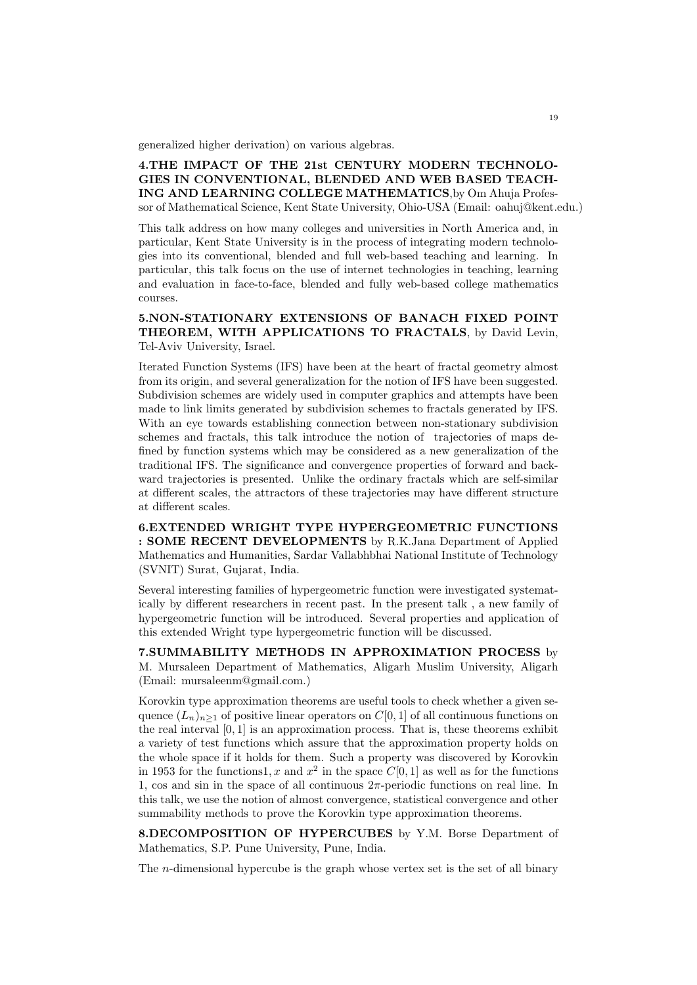generalized higher derivation) on various algebras.

4.THE IMPACT OF THE 21st CENTURY MODERN TECHNOLO-GIES IN CONVENTIONAL, BLENDED AND WEB BASED TEACH-ING AND LEARNING COLLEGE MATHEMATICS,by Om Ahuja Professor of Mathematical Science, Kent State University, Ohio-USA (Email: oahuj@kent.edu.)

This talk address on how many colleges and universities in North America and, in particular, Kent State University is in the process of integrating modern technologies into its conventional, blended and full web-based teaching and learning. In particular, this talk focus on the use of internet technologies in teaching, learning and evaluation in face-to-face, blended and fully web-based college mathematics courses.

# 5.NON-STATIONARY EXTENSIONS OF BANACH FIXED POINT THEOREM, WITH APPLICATIONS TO FRACTALS, by David Levin, Tel-Aviv University, Israel.

Iterated Function Systems (IFS) have been at the heart of fractal geometry almost from its origin, and several generalization for the notion of IFS have been suggested. Subdivision schemes are widely used in computer graphics and attempts have been made to link limits generated by subdivision schemes to fractals generated by IFS. With an eye towards establishing connection between non-stationary subdivision schemes and fractals, this talk introduce the notion of trajectories of maps defined by function systems which may be considered as a new generalization of the traditional IFS. The significance and convergence properties of forward and backward trajectories is presented. Unlike the ordinary fractals which are self-similar at different scales, the attractors of these trajectories may have different structure at different scales.

6.EXTENDED WRIGHT TYPE HYPERGEOMETRIC FUNCTIONS : SOME RECENT DEVELOPMENTS by R.K.Jana Department of Applied Mathematics and Humanities, Sardar Vallabhbhai National Institute of Technology (SVNIT) Surat, Gujarat, India.

Several interesting families of hypergeometric function were investigated systematically by different researchers in recent past. In the present talk , a new family of hypergeometric function will be introduced. Several properties and application of this extended Wright type hypergeometric function will be discussed.

7.SUMMABILITY METHODS IN APPROXIMATION PROCESS by M. Mursaleen Department of Mathematics, Aligarh Muslim University, Aligarh (Email: mursaleenm@gmail.com.)

Korovkin type approximation theorems are useful tools to check whether a given sequence  $(L_n)_{n\geq 1}$  of positive linear operators on  $C[0, 1]$  of all continuous functions on the real interval  $[0, 1]$  is an approximation process. That is, these theorems exhibit a variety of test functions which assure that the approximation property holds on the whole space if it holds for them. Such a property was discovered by Korovkin in 1953 for the functions1, x and  $x^2$  in the space  $C[0, 1]$  as well as for the functions 1, cos and sin in the space of all continuous  $2\pi$ -periodic functions on real line. In this talk, we use the notion of almost convergence, statistical convergence and other summability methods to prove the Korovkin type approximation theorems.

8.DECOMPOSITION OF HYPERCUBES by Y.M. Borse Department of Mathematics, S.P. Pune University, Pune, India.

The n-dimensional hypercube is the graph whose vertex set is the set of all binary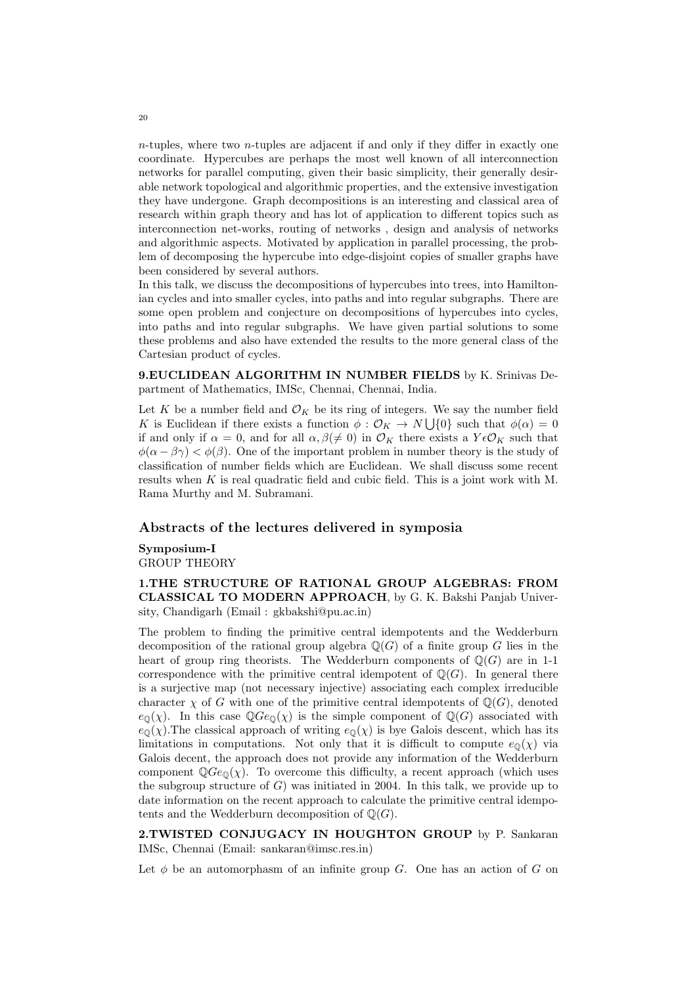$n$ -tuples, where two *n*-tuples are adjacent if and only if they differ in exactly one coordinate. Hypercubes are perhaps the most well known of all interconnection networks for parallel computing, given their basic simplicity, their generally desirable network topological and algorithmic properties, and the extensive investigation they have undergone. Graph decompositions is an interesting and classical area of research within graph theory and has lot of application to different topics such as interconnection net-works, routing of networks , design and analysis of networks and algorithmic aspects. Motivated by application in parallel processing, the problem of decomposing the hypercube into edge-disjoint copies of smaller graphs have been considered by several authors.

In this talk, we discuss the decompositions of hypercubes into trees, into Hamiltonian cycles and into smaller cycles, into paths and into regular subgraphs. There are some open problem and conjecture on decompositions of hypercubes into cycles, into paths and into regular subgraphs. We have given partial solutions to some these problems and also have extended the results to the more general class of the Cartesian product of cycles.

9.EUCLIDEAN ALGORITHM IN NUMBER FIELDS by K. Srinivas Department of Mathematics, IMSc, Chennai, Chennai, India.

Let K be a number field and  $\mathcal{O}_K$  be its ring of integers. We say the number field K is Euclidean if there exists a function  $\phi : \mathcal{O}_K \to N \cup \{0\}$  such that  $\phi(\alpha) = 0$ if and only if  $\alpha = 0$ , and for all  $\alpha, \beta \neq 0$ ) in  $\mathcal{O}_K$  there exists a  $Y \in \mathcal{O}_K$  such that  $\phi(\alpha - \beta \gamma) < \phi(\beta)$ . One of the important problem in number theory is the study of classification of number fields which are Euclidean. We shall discuss some recent results when K is real quadratic field and cubic field. This is a joint work with M. Rama Murthy and M. Subramani.

### Abstracts of the lectures delivered in symposia

### Symposium-I GROUP THEORY

1.THE STRUCTURE OF RATIONAL GROUP ALGEBRAS: FROM CLASSICAL TO MODERN APPROACH, by G. K. Bakshi Panjab University, Chandigarh (Email : gkbakshi@pu.ac.in)

The problem to finding the primitive central idempotents and the Wedderburn decomposition of the rational group algebra  $\mathbb{Q}(G)$  of a finite group G lies in the heart of group ring theorists. The Wedderburn components of  $\mathbb{O}(G)$  are in 1-1 correspondence with the primitive central idempotent of  $\mathbb{Q}(G)$ . In general there is a surjective map (not necessary injective) associating each complex irreducible character  $\chi$  of G with one of the primitive central idempotents of  $\mathbb{Q}(G)$ , denoted  $e_{\mathbb{Q}}(\chi)$ . In this case  $\mathbb{Q}Ge_{\mathbb{Q}}(\chi)$  is the simple component of  $\mathbb{Q}(G)$  associated with  $e_0(\chi)$ . The classical approach of writing  $e_0(\chi)$  is bye Galois descent, which has its limitations in computations. Not only that it is difficult to compute  $e_{\mathbb{Q}}(\chi)$  via Galois decent, the approach does not provide any information of the Wedderburn component  $\mathbb{Q}Ge_{\mathbb{Q}}(\chi)$ . To overcome this difficulty, a recent approach (which uses the subgroup structure of  $G$ ) was initiated in 2004. In this talk, we provide up to date information on the recent approach to calculate the primitive central idempotents and the Wedderburn decomposition of  $\mathbb{Q}(G)$ .

2.TWISTED CONJUGACY IN HOUGHTON GROUP by P. Sankaran IMSc, Chennai (Email: sankaran@imsc.res.in)

Let  $\phi$  be an automorphasm of an infinite group G. One has an action of G on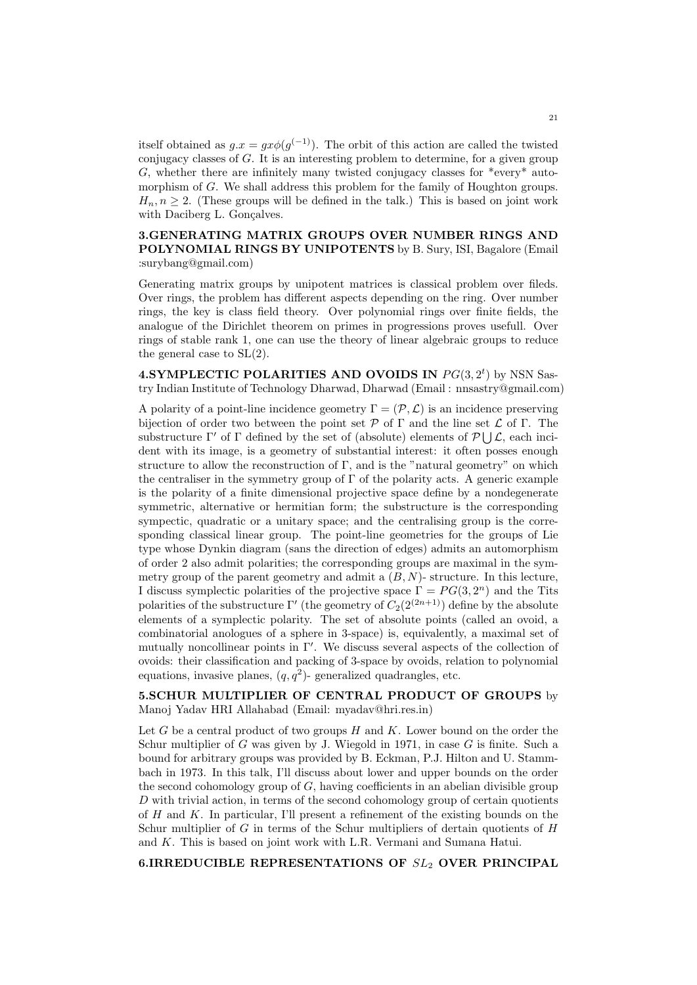itself obtained as  $g.x = gx\phi(g^{(-1)})$ . The orbit of this action are called the twisted conjugacy classes of G. It is an interesting problem to determine, for a given group G, whether there are infinitely many twisted conjugacy classes for  $*$ every $*$  automorphism of G. We shall address this problem for the family of Houghton groups.  $H_n, n \geq 2$ . (These groups will be defined in the talk.) This is based on joint work with Daciberg L. Gonçalves.

# 3.GENERATING MATRIX GROUPS OVER NUMBER RINGS AND POLYNOMIAL RINGS BY UNIPOTENTS by B. Sury, ISI, Bagalore (Email :surybang@gmail.com)

Generating matrix groups by unipotent matrices is classical problem over fileds. Over rings, the problem has different aspects depending on the ring. Over number rings, the key is class field theory. Over polynomial rings over finite fields, the analogue of the Dirichlet theorem on primes in progressions proves usefull. Over rings of stable rank 1, one can use the theory of linear algebraic groups to reduce the general case to SL(2).

**4.SYMPLECTIC POLARITIES AND OVOIDS IN**  $PG(3, 2^t)$  by NSN Sastry Indian Institute of Technology Dharwad, Dharwad (Email : nnsastry@gmail.com)

A polarity of a point-line incidence geometry  $\Gamma = (\mathcal{P}, \mathcal{L})$  is an incidence preserving bijection of order two between the point set  $\mathcal P$  of  $\Gamma$  and the line set  $\mathcal L$  of  $\Gamma$ . The substructure  $\Gamma'$  of  $\Gamma$  defined by the set of (absolute) elements of  $\mathcal{P} \bigcup \mathcal{L}$ , each incident with its image, is a geometry of substantial interest: it often posses enough structure to allow the reconstruction of  $\Gamma$ , and is the "natural geometry" on which the centraliser in the symmetry group of  $\Gamma$  of the polarity acts. A generic example is the polarity of a finite dimensional projective space define by a nondegenerate symmetric, alternative or hermitian form; the substructure is the corresponding sympectic, quadratic or a unitary space; and the centralising group is the corresponding classical linear group. The point-line geometries for the groups of Lie type whose Dynkin diagram (sans the direction of edges) admits an automorphism of order 2 also admit polarities; the corresponding groups are maximal in the symmetry group of the parent geometry and admit a  $(B, N)$ - structure. In this lecture, I discuss symplectic polarities of the projective space  $\Gamma = PG(3, 2^n)$  and the Tits polarities of the substructure  $\Gamma'$  (the geometry of  $C_2(2^{(2n+1)})$  define by the absolute elements of a symplectic polarity. The set of absolute points (called an ovoid, a combinatorial anologues of a sphere in 3-space) is, equivalently, a maximal set of mutually noncollinear points in  $\Gamma'$ . We discuss several aspects of the collection of ovoids: their classification and packing of 3-space by ovoids, relation to polynomial equations, invasive planes,  $(q, q^2)$ - generalized quadrangles, etc.

5.SCHUR MULTIPLIER OF CENTRAL PRODUCT OF GROUPS by Manoj Yadav HRI Allahabad (Email: myadav@hri.res.in)

Let G be a central product of two groups  $H$  and  $K$ . Lower bound on the order the Schur multiplier of G was given by J. Wiegold in 1971, in case G is finite. Such a bound for arbitrary groups was provided by B. Eckman, P.J. Hilton and U. Stammbach in 1973. In this talk, I'll discuss about lower and upper bounds on the order the second cohomology group of  $G$ , having coefficients in an abelian divisible group  $D$  with trivial action, in terms of the second cohomology group of certain quotients of  $H$  and  $K$ . In particular, I'll present a refinement of the existing bounds on the Schur multiplier of  $G$  in terms of the Schur multipliers of dertain quotients of  $H$ and K. This is based on joint work with L.R. Vermani and Sumana Hatui.

6.IRREDUCIBLE REPRESENTATIONS OF  $SL_2$  OVER PRINCIPAL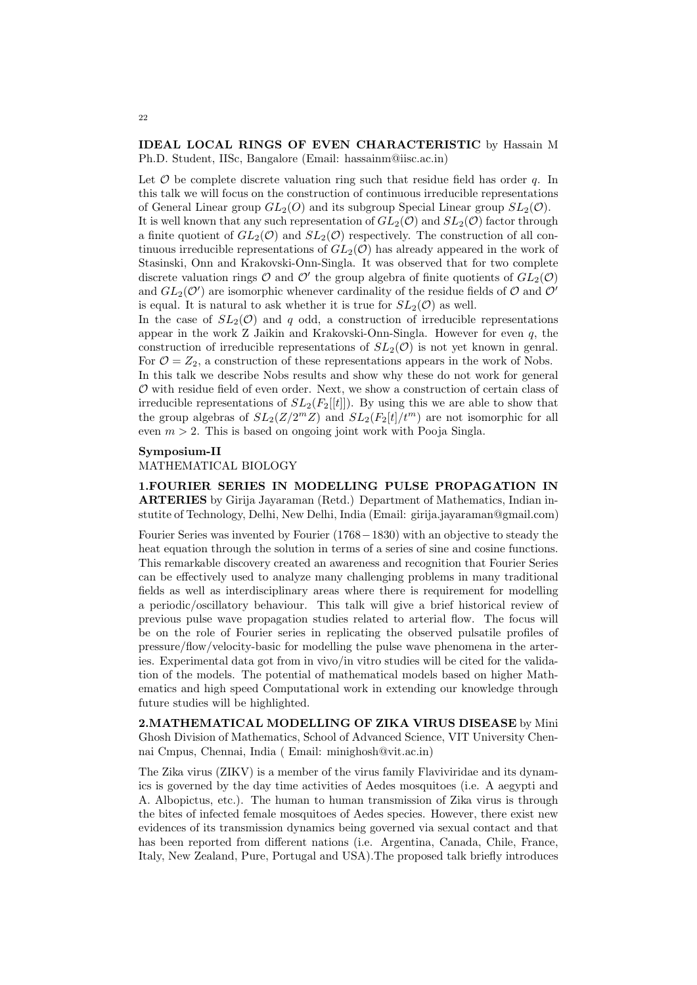### IDEAL LOCAL RINGS OF EVEN CHARACTERISTIC by Hassain M Ph.D. Student, IISc, Bangalore (Email: hassainm@iisc.ac.in)

Let  $\mathcal O$  be complete discrete valuation ring such that residue field has order q. In this talk we will focus on the construction of continuous irreducible representations of General Linear group  $GL_2(O)$  and its subgroup Special Linear group  $SL_2(O)$ . It is well known that any such representation of  $GL_2(\mathcal{O})$  and  $SL_2(\mathcal{O})$  factor through a finite quotient of  $GL_2(\mathcal{O})$  and  $SL_2(\mathcal{O})$  respectively. The construction of all continuous irreducible representations of  $GL_2(\mathcal{O})$  has already appeared in the work of Stasinski, Onn and Krakovski-Onn-Singla. It was observed that for two complete discrete valuation rings  $\mathcal O$  and  $\mathcal O'$  the group algebra of finite quotients of  $GL_2(\mathcal O)$ and  $GL_2(\mathcal{O}')$  are isomorphic whenever cardinality of the residue fields of  $\mathcal O$  and  $\mathcal O'$ is equal. It is natural to ask whether it is true for  $SL_2(\mathcal{O})$  as well.

In the case of  $SL_2(\mathcal{O})$  and q odd, a construction of irreducible representations appear in the work Z Jaikin and Krakovski-Onn-Singla. However for even q, the construction of irreducible representations of  $SL_2(\mathcal{O})$  is not yet known in genral. For  $\mathcal{O} = Z_2$ , a construction of these representations appears in the work of Nobs.

In this talk we describe Nobs results and show why these do not work for general  $\mathcal O$  with residue field of even order. Next, we show a construction of certain class of irreducible representations of  $SL_2(F_2[[t]])$ . By using this we are able to show that the group algebras of  $SL_2(Z/2mZ)$  and  $SL_2(F_2[t]/t^m)$  are not isomorphic for all even  $m > 2$ . This is based on ongoing joint work with Pooja Singla.

#### Symposium-II

### MATHEMATICAL BIOLOGY

1.FOURIER SERIES IN MODELLING PULSE PROPAGATION IN ARTERIES by Girija Jayaraman (Retd.) Department of Mathematics, Indian instutite of Technology, Delhi, New Delhi, India (Email: girija.jayaraman@gmail.com)

Fourier Series was invented by Fourier (1768−1830) with an objective to steady the heat equation through the solution in terms of a series of sine and cosine functions. This remarkable discovery created an awareness and recognition that Fourier Series can be effectively used to analyze many challenging problems in many traditional fields as well as interdisciplinary areas where there is requirement for modelling a periodic/oscillatory behaviour. This talk will give a brief historical review of previous pulse wave propagation studies related to arterial flow. The focus will be on the role of Fourier series in replicating the observed pulsatile profiles of pressure/flow/velocity-basic for modelling the pulse wave phenomena in the arteries. Experimental data got from in vivo/in vitro studies will be cited for the validation of the models. The potential of mathematical models based on higher Mathematics and high speed Computational work in extending our knowledge through future studies will be highlighted.

2.MATHEMATICAL MODELLING OF ZIKA VIRUS DISEASE by Mini Ghosh Division of Mathematics, School of Advanced Science, VIT University Chennai Cmpus, Chennai, India ( Email: minighosh@vit.ac.in)

The Zika virus (ZIKV) is a member of the virus family Flaviviridae and its dynamics is governed by the day time activities of Aedes mosquitoes (i.e. A aegypti and A. Albopictus, etc.). The human to human transmission of Zika virus is through the bites of infected female mosquitoes of Aedes species. However, there exist new evidences of its transmission dynamics being governed via sexual contact and that has been reported from different nations (i.e. Argentina, Canada, Chile, France, Italy, New Zealand, Pure, Portugal and USA).The proposed talk briefly introduces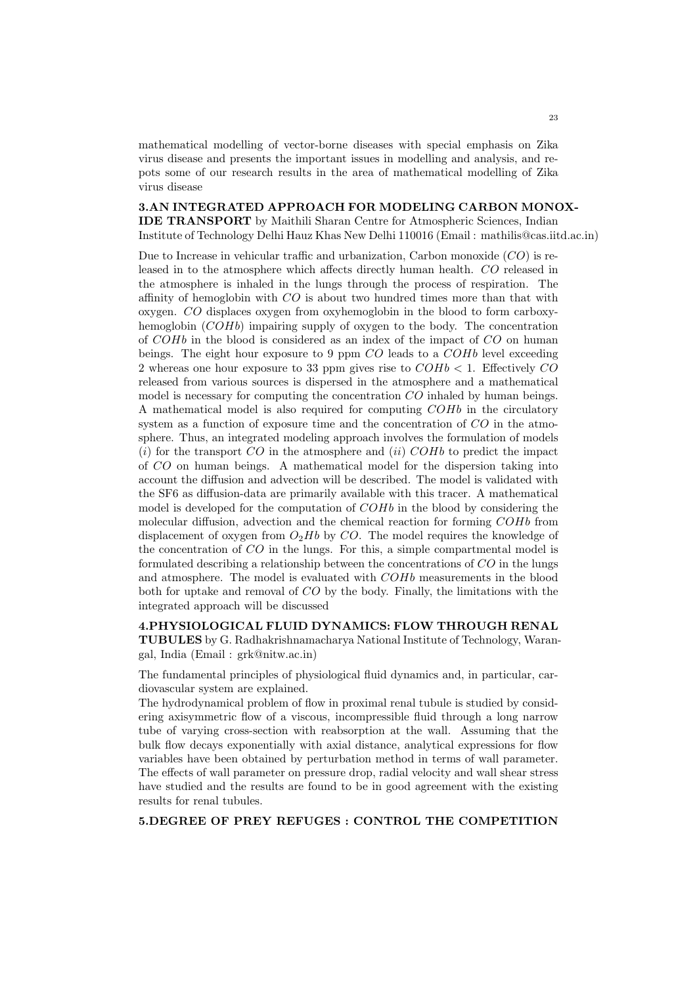mathematical modelling of vector-borne diseases with special emphasis on Zika virus disease and presents the important issues in modelling and analysis, and repots some of our research results in the area of mathematical modelling of Zika virus disease

3.AN INTEGRATED APPROACH FOR MODELING CARBON MONOX-IDE TRANSPORT by Maithili Sharan Centre for Atmospheric Sciences, Indian Institute of Technology Delhi Hauz Khas New Delhi 110016 (Email : mathilis@cas.iitd.ac.in)

Due to Increase in vehicular traffic and urbanization, Carbon monoxide  $(CO)$  is released in to the atmosphere which affects directly human health. CO released in the atmosphere is inhaled in the lungs through the process of respiration. The affinity of hemoglobin with CO is about two hundred times more than that with oxygen. CO displaces oxygen from oxyhemoglobin in the blood to form carboxyhemoglobin (COHb) impairing supply of oxygen to the body. The concentration of COHb in the blood is considered as an index of the impact of CO on human beings. The eight hour exposure to 9 ppm  $CO$  leads to a  $COHb$  level exceeding 2 whereas one hour exposure to 33 ppm gives rise to  $COHb < 1$ . Effectively CO released from various sources is dispersed in the atmosphere and a mathematical model is necessary for computing the concentration CO inhaled by human beings. A mathematical model is also required for computing COHb in the circulatory system as a function of exposure time and the concentration of  $CO$  in the atmosphere. Thus, an integrated modeling approach involves the formulation of models  $(i)$  for the transport  $CO$  in the atmosphere and  $(ii)$   $COHb$  to predict the impact of CO on human beings. A mathematical model for the dispersion taking into account the diffusion and advection will be described. The model is validated with the SF6 as diffusion-data are primarily available with this tracer. A mathematical model is developed for the computation of  $COHb$  in the blood by considering the molecular diffusion, advection and the chemical reaction for forming COHb from displacement of oxygen from  $O_2Hb$  by CO. The model requires the knowledge of the concentration of CO in the lungs. For this, a simple compartmental model is formulated describing a relationship between the concentrations of CO in the lungs and atmosphere. The model is evaluated with COHb measurements in the blood both for uptake and removal of CO by the body. Finally, the limitations with the integrated approach will be discussed

4.PHYSIOLOGICAL FLUID DYNAMICS: FLOW THROUGH RENAL TUBULES by G. Radhakrishnamacharya National Institute of Technology, Warangal, India (Email : grk@nitw.ac.in)

The fundamental principles of physiological fluid dynamics and, in particular, cardiovascular system are explained.

The hydrodynamical problem of flow in proximal renal tubule is studied by considering axisymmetric flow of a viscous, incompressible fluid through a long narrow tube of varying cross-section with reabsorption at the wall. Assuming that the bulk flow decays exponentially with axial distance, analytical expressions for flow variables have been obtained by perturbation method in terms of wall parameter. The effects of wall parameter on pressure drop, radial velocity and wall shear stress have studied and the results are found to be in good agreement with the existing results for renal tubules.

5.DEGREE OF PREY REFUGES : CONTROL THE COMPETITION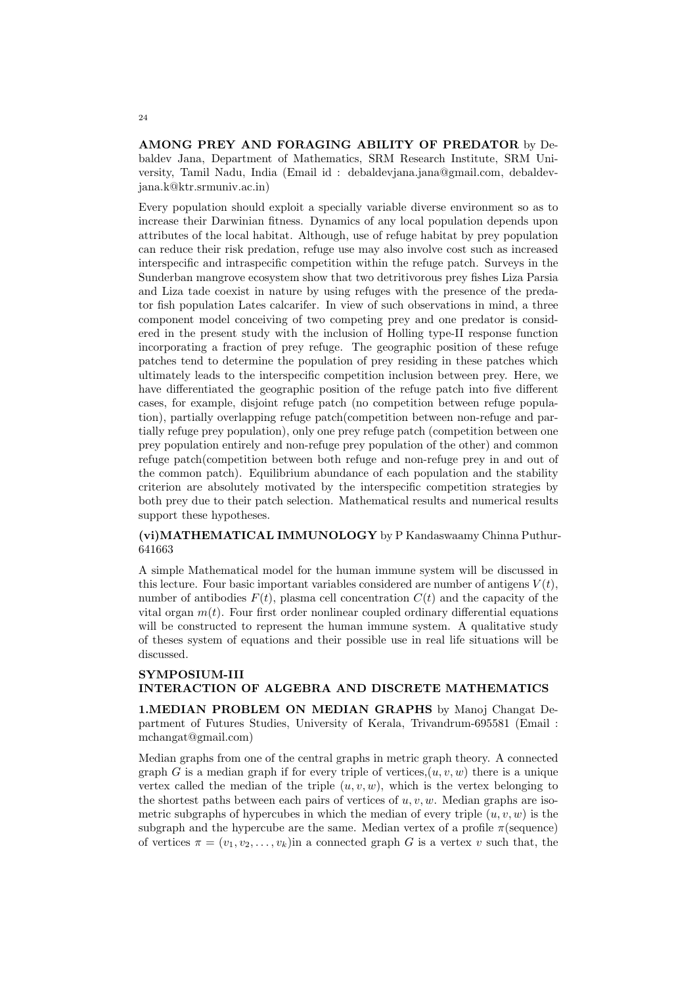AMONG PREY AND FORAGING ABILITY OF PREDATOR by Debaldev Jana, Department of Mathematics, SRM Research Institute, SRM University, Tamil Nadu, India (Email id : debaldevjana.jana@gmail.com, debaldevjana.k@ktr.srmuniv.ac.in)

Every population should exploit a specially variable diverse environment so as to increase their Darwinian fitness. Dynamics of any local population depends upon attributes of the local habitat. Although, use of refuge habitat by prey population can reduce their risk predation, refuge use may also involve cost such as increased interspecific and intraspecific competition within the refuge patch. Surveys in the Sunderban mangrove ecosystem show that two detritivorous prey fishes Liza Parsia and Liza tade coexist in nature by using refuges with the presence of the predator fish population Lates calcarifer. In view of such observations in mind, a three component model conceiving of two competing prey and one predator is considered in the present study with the inclusion of Holling type-II response function incorporating a fraction of prey refuge. The geographic position of these refuge patches tend to determine the population of prey residing in these patches which ultimately leads to the interspecific competition inclusion between prey. Here, we have differentiated the geographic position of the refuge patch into five different cases, for example, disjoint refuge patch (no competition between refuge population), partially overlapping refuge patch(competition between non-refuge and partially refuge prey population), only one prey refuge patch (competition between one prey population entirely and non-refuge prey population of the other) and common refuge patch(competition between both refuge and non-refuge prey in and out of the common patch). Equilibrium abundance of each population and the stability criterion are absolutely motivated by the interspecific competition strategies by both prey due to their patch selection. Mathematical results and numerical results support these hypotheses.

(vi)MATHEMATICAL IMMUNOLOGY by P Kandaswaamy Chinna Puthur-641663

A simple Mathematical model for the human immune system will be discussed in this lecture. Four basic important variables considered are number of antigens  $V(t)$ , number of antibodies  $F(t)$ , plasma cell concentration  $C(t)$  and the capacity of the vital organ  $m(t)$ . Four first order nonlinear coupled ordinary differential equations will be constructed to represent the human immune system. A qualitative study of theses system of equations and their possible use in real life situations will be discussed.

### SYMPOSIUM-III INTERACTION OF ALGEBRA AND DISCRETE MATHEMATICS

1.MEDIAN PROBLEM ON MEDIAN GRAPHS by Manoj Changat Department of Futures Studies, University of Kerala, Trivandrum-695581 (Email : mchangat@gmail.com)

Median graphs from one of the central graphs in metric graph theory. A connected graph G is a median graph if for every triple of vertices, $(u, v, w)$  there is a unique vertex called the median of the triple  $(u, v, w)$ , which is the vertex belonging to the shortest paths between each pairs of vertices of  $u, v, w$ . Median graphs are isometric subgraphs of hypercubes in which the median of every triple  $(u, v, w)$  is the subgraph and the hypercube are the same. Median vertex of a profile  $\pi$  (sequence) of vertices  $\pi = (v_1, v_2, \ldots, v_k)$  in a connected graph G is a vertex v such that, the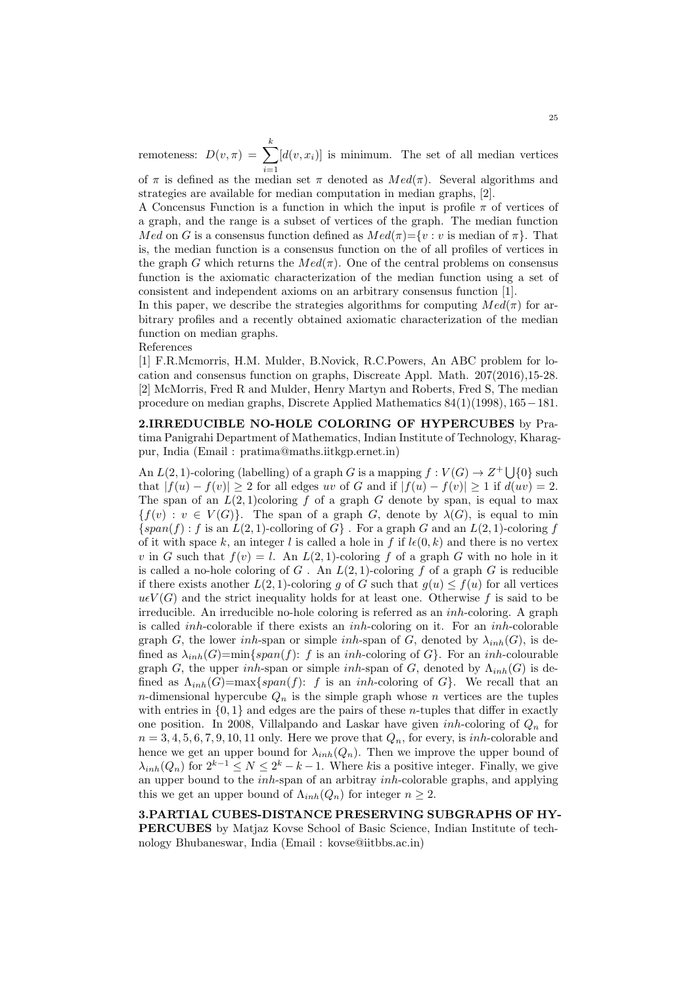remoteness:  $D(v, \pi) = \sum_{n=1}^k$  $i=1$  $[d(v, x_i)]$  is minimum. The set of all median vertices

of  $\pi$  is defined as the median set  $\pi$  denoted as  $Med(\pi)$ . Several algorithms and strategies are available for median computation in median graphs, [2].

A Concensus Function is a function in which the input is profile  $\pi$  of vertices of a graph, and the range is a subset of vertices of the graph. The median function Med on G is a consensus function defined as  $Med(\pi)=\{v : v$  is median of  $\pi\}$ . That is, the median function is a consensus function on the of all profiles of vertices in the graph G which returns the  $Med(\pi)$ . One of the central problems on consensus function is the axiomatic characterization of the median function using a set of consistent and independent axioms on an arbitrary consensus function [1].

In this paper, we describe the strategies algorithms for computing  $Med(\pi)$  for arbitrary profiles and a recently obtained axiomatic characterization of the median function on median graphs.

References

[1] F.R.Mcmorris, H.M. Mulder, B.Novick, R.C.Powers, An ABC problem for location and consensus function on graphs, Discreate Appl. Math. 207(2016),15-28. [2] McMorris, Fred R and Mulder, Henry Martyn and Roberts, Fred S, The median procedure on median graphs, Discrete Applied Mathematics 84(1)(1998), 165−181.

2.IRREDUCIBLE NO-HOLE COLORING OF HYPERCUBES by Pratima Panigrahi Department of Mathematics, Indian Institute of Technology, Kharagpur, India (Email : pratima@maths.iitkgp.ernet.in)

An  $L(2, 1)$ -coloring (labelling) of a graph G is a mapping  $f: V(G) \to Z^+ \cup \{0\}$  such that  $|f(u) - f(v)| \ge 2$  for all edges uv of G and if  $|f(u) - f(v)| \ge 1$  if  $d(uv) = 2$ . The span of an  $L(2, 1)$ coloring f of a graph G denote by span, is equal to max  ${f}(v) : v \in V(G)$ . The span of a graph G, denote by  $\lambda(G)$ , is equal to min  $\{span(f): f \text{ is an } L(2, 1)$ -colloring of  $G\}$ . For a graph G and an  $L(2, 1)$ -coloring f of it with space k, an integer l is called a hole in f if  $l\epsilon(0, k)$  and there is no vertex v in G such that  $f(v) = l$ . An  $L(2, 1)$ -coloring f of a graph G with no hole in it is called a no-hole coloring of  $G$ . An  $L(2, 1)$ -coloring f of a graph G is reducible if there exists another  $L(2, 1)$ -coloring g of G such that  $g(u) \le f(u)$  for all vertices  $u\epsilon V(G)$  and the strict inequality holds for at least one. Otherwise f is said to be irreducible. An irreducible no-hole coloring is referred as an inh-coloring. A graph is called inh-colorable if there exists an inh-coloring on it. For an inh-colorable graph G, the lower inh-span or simple inh-span of G, denoted by  $\lambda_{inh}(G)$ , is defined as  $\lambda_{inh}(G)=\min\{span(f): f \text{ is an }inh\text{-coloring of } G\}$ . For an inh-colourable graph G, the upper inh-span or simple inh-span of G, denoted by  $\Lambda_{inh}(G)$  is defined as  $\Lambda_{inh}(G) = \max\{span(f): f$  is an inh-coloring of G. We recall that an n-dimensional hypercube  $Q_n$  is the simple graph whose n vertices are the tuples with entries in  $\{0, 1\}$  and edges are the pairs of these *n*-tuples that differ in exactly one position. In 2008, Villalpando and Laskar have given *inh*-coloring of  $Q_n$  for  $n = 3, 4, 5, 6, 7, 9, 10, 11$  only. Here we prove that  $Q_n$ , for every, is *inh*-colorable and hence we get an upper bound for  $\lambda_{inh}(Q_n)$ . Then we improve the upper bound of  $\lambda_{inh}(Q_n)$  for  $2^{k-1} \leq N \leq 2^k - k - 1$ . Where kis a positive integer. Finally, we give an upper bound to the  $inh$ -span of an arbitray  $inh$ -colorable graphs, and applying this we get an upper bound of  $\Lambda_{inh}(Q_n)$  for integer  $n \geq 2$ .

3.PARTIAL CUBES-DISTANCE PRESERVING SUBGRAPHS OF HY-PERCUBES by Matjaz Kovse School of Basic Science, Indian Institute of technology Bhubaneswar, India (Email : kovse@iitbbs.ac.in)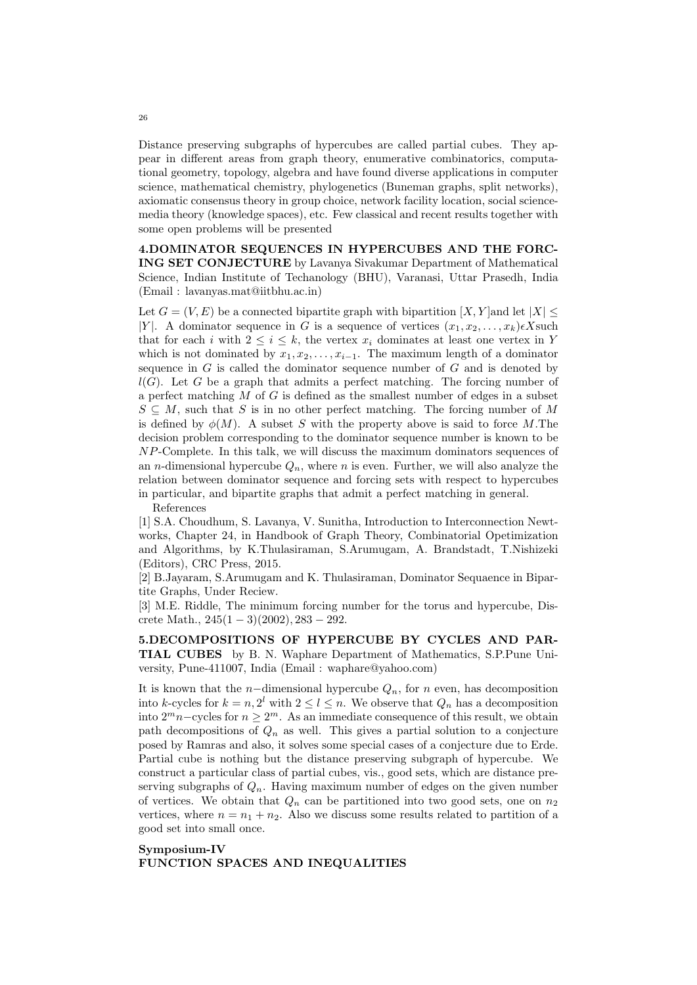Distance preserving subgraphs of hypercubes are called partial cubes. They appear in different areas from graph theory, enumerative combinatorics, computational geometry, topology, algebra and have found diverse applications in computer science, mathematical chemistry, phylogenetics (Buneman graphs, split networks), axiomatic consensus theory in group choice, network facility location, social sciencemedia theory (knowledge spaces), etc. Few classical and recent results together with some open problems will be presented

4.DOMINATOR SEQUENCES IN HYPERCUBES AND THE FORC-ING SET CONJECTURE by Lavanya Sivakumar Department of Mathematical Science, Indian Institute of Techanology (BHU), Varanasi, Uttar Prasedh, India (Email : lavanyas.mat@iitbhu.ac.in)

Let  $G = (V, E)$  be a connected bipartite graph with bipartition  $[X, Y]$  and let  $|X| \leq$ |Y|. A dominator sequence in G is a sequence of vertices  $(x_1, x_2, \ldots, x_k)\epsilon X$ such that for each i with  $2 \leq i \leq k$ , the vertex  $x_i$  dominates at least one vertex in Y which is not dominated by  $x_1, x_2, \ldots, x_{i-1}$ . The maximum length of a dominator sequence in  $G$  is called the dominator sequence number of  $G$  and is denoted by  $l(G)$ . Let G be a graph that admits a perfect matching. The forcing number of a perfect matching M of G is defined as the smallest number of edges in a subset  $S \subseteq M$ , such that S is in no other perfect matching. The forcing number of M is defined by  $\phi(M)$ . A subset S with the property above is said to force M.The decision problem corresponding to the dominator sequence number is known to be NP-Complete. In this talk, we will discuss the maximum dominators sequences of an *n*-dimensional hypercube  $Q_n$ , where *n* is even. Further, we will also analyze the relation between dominator sequence and forcing sets with respect to hypercubes in particular, and bipartite graphs that admit a perfect matching in general.

References

[1] S.A. Choudhum, S. Lavanya, V. Sunitha, Introduction to Interconnection Newtworks, Chapter 24, in Handbook of Graph Theory, Combinatorial Opetimization and Algorithms, by K.Thulasiraman, S.Arumugam, A. Brandstadt, T.Nishizeki (Editors), CRC Press, 2015.

[2] B.Jayaram, S.Arumugam and K. Thulasiraman, Dominator Sequaence in Bipartite Graphs, Under Reciew.

[3] M.E. Riddle, The minimum forcing number for the torus and hypercube, Discrete Math.,  $245(1-3)(2002)$ ,  $283-292$ .

5.DECOMPOSITIONS OF HYPERCUBE BY CYCLES AND PAR-TIAL CUBES by B. N. Waphare Department of Mathematics, S.P.Pune University, Pune-411007, India (Email : waphare@yahoo.com)

It is known that the *n*−dimensional hypercube  $Q_n$ , for *n* even, has decomposition into k-cycles for  $k = n, 2^l$  with  $2 \leq l \leq n$ . We observe that  $Q_n$  has a decomposition into  $2^m n$ –cycles for  $n \geq 2^m$ . As an immediate consequence of this result, we obtain path decompositions of  $Q_n$  as well. This gives a partial solution to a conjecture posed by Ramras and also, it solves some special cases of a conjecture due to Erde. Partial cube is nothing but the distance preserving subgraph of hypercube. We construct a particular class of partial cubes, vis., good sets, which are distance preserving subgraphs of  $Q_n$ . Having maximum number of edges on the given number of vertices. We obtain that  $Q_n$  can be partitioned into two good sets, one on  $n_2$ vertices, where  $n = n_1 + n_2$ . Also we discuss some results related to partition of a good set into small once.

## Symposium-IV FUNCTION SPACES AND INEQUALITIES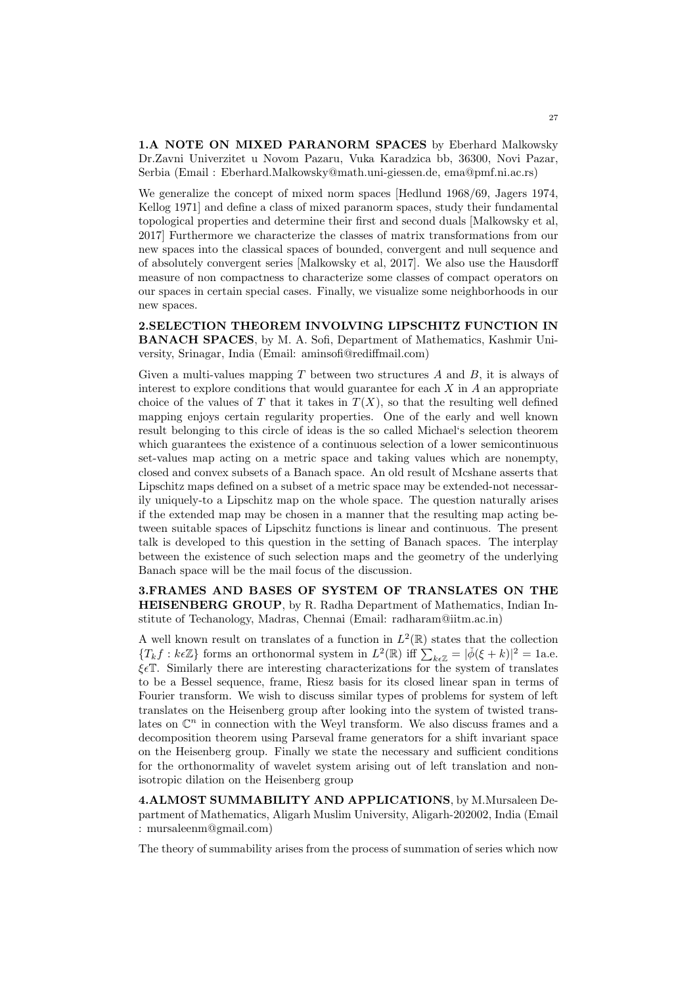1.A NOTE ON MIXED PARANORM SPACES by Eberhard Malkowsky Dr.Zavni Univerzitet u Novom Pazaru, Vuka Karadzica bb, 36300, Novi Pazar, Serbia (Email : Eberhard.Malkowsky@math.uni-giessen.de, ema@pmf.ni.ac.rs)

We generalize the concept of mixed norm spaces [Hedlund 1968/69, Jagers 1974, Kellog 1971] and define a class of mixed paranorm spaces, study their fundamental topological properties and determine their first and second duals [Malkowsky et al, 2017] Furthermore we characterize the classes of matrix transformations from our new spaces into the classical spaces of bounded, convergent and null sequence and of absolutely convergent series [Malkowsky et al, 2017]. We also use the Hausdorff measure of non compactness to characterize some classes of compact operators on our spaces in certain special cases. Finally, we visualize some neighborhoods in our new spaces.

2.SELECTION THEOREM INVOLVING LIPSCHITZ FUNCTION IN BANACH SPACES, by M. A. Sofi, Department of Mathematics, Kashmir University, Srinagar, India (Email: aminsofi@rediffmail.com)

Given a multi-values mapping  $T$  between two structures  $A$  and  $B$ , it is always of interest to explore conditions that would guarantee for each  $X$  in  $A$  an appropriate choice of the values of T that it takes in  $T(X)$ , so that the resulting well defined mapping enjoys certain regularity properties. One of the early and well known result belonging to this circle of ideas is the so called Michael's selection theorem which guarantees the existence of a continuous selection of a lower semicontinuous set-values map acting on a metric space and taking values which are nonempty, closed and convex subsets of a Banach space. An old result of Mcshane asserts that Lipschitz maps defined on a subset of a metric space may be extended-not necessarily uniquely-to a Lipschitz map on the whole space. The question naturally arises if the extended map may be chosen in a manner that the resulting map acting between suitable spaces of Lipschitz functions is linear and continuous. The present talk is developed to this question in the setting of Banach spaces. The interplay between the existence of such selection maps and the geometry of the underlying Banach space will be the mail focus of the discussion.

3.FRAMES AND BASES OF SYSTEM OF TRANSLATES ON THE HEISENBERG GROUP, by R. Radha Department of Mathematics, Indian Institute of Techanology, Madras, Chennai (Email: radharam@iitm.ac.in)

A well known result on translates of a function in  $L^2(\mathbb{R})$  states that the collection  ${T_k f : k\epsilon \mathbb{Z}}$  forms an orthonormal system in  $L^2(\mathbb{R})$  iff  $\sum_{k\epsilon \mathbb{Z}} = |\check{\phi}(\xi + k)|^2 = 1$ a.e.  $\xi \in \mathbb{T}$ . Similarly there are interesting characterizations for the system of translates to be a Bessel sequence, frame, Riesz basis for its closed linear span in terms of Fourier transform. We wish to discuss similar types of problems for system of left translates on the Heisenberg group after looking into the system of twisted translates on  $\mathbb{C}^n$  in connection with the Weyl transform. We also discuss frames and a decomposition theorem using Parseval frame generators for a shift invariant space on the Heisenberg group. Finally we state the necessary and sufficient conditions for the orthonormality of wavelet system arising out of left translation and nonisotropic dilation on the Heisenberg group

4.ALMOST SUMMABILITY AND APPLICATIONS, by M.Mursaleen Department of Mathematics, Aligarh Muslim University, Aligarh-202002, India (Email : mursaleenm@gmail.com)

The theory of summability arises from the process of summation of series which now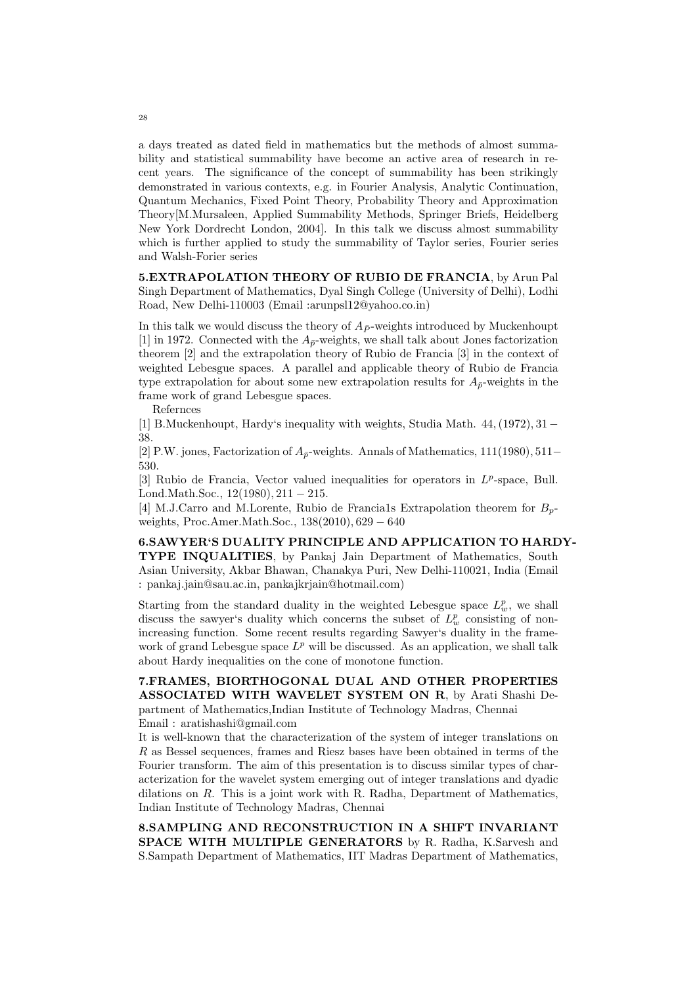a days treated as dated field in mathematics but the methods of almost summability and statistical summability have become an active area of research in recent years. The significance of the concept of summability has been strikingly demonstrated in various contexts, e.g. in Fourier Analysis, Analytic Continuation, Quantum Mechanics, Fixed Point Theory, Probability Theory and Approximation Theory[M.Mursaleen, Applied Summability Methods, Springer Briefs, Heidelberg New York Dordrecht London, 2004]. In this talk we discuss almost summability which is further applied to study the summability of Taylor series, Fourier series and Walsh-Forier series

5.EXTRAPOLATION THEORY OF RUBIO DE FRANCIA, by Arun Pal Singh Department of Mathematics, Dyal Singh College (University of Delhi), Lodhi Road, New Delhi-110003 (Email :arunpsl12@yahoo.co.in)

In this talk we would discuss the theory of  $A_{\bar{P}}$ -weights introduced by Muckenhoupt [1] in 1972. Connected with the  $A_{\bar{p}}$ -weights, we shall talk about Jones factorization theorem [2] and the extrapolation theory of Rubio de Francia [3] in the context of weighted Lebesgue spaces. A parallel and applicable theory of Rubio de Francia type extrapolation for about some new extrapolation results for  $A_{\bar{p}}$ -weights in the frame work of grand Lebesgue spaces.

Refernces

[1] B.Muckenhoupt, Hardy's inequality with weights, Studia Math. 44,(1972), 31− 38.

[2] P.W. jones, Factorization of  $A_{\bar{p}}$ -weights. Annals of Mathematics, 111(1980), 511− 530.

[3] Rubio de Francia, Vector valued inequalities for operators in  $L^p$ -space, Bull. Lond.Math.Soc.,  $12(1980)$ ,  $211 - 215$ .

[4] M.J.Carro and M.Lorente, Rubio de Francia1s Extrapolation theorem for  $B_{n-}$ weights, Proc.Amer.Math.Soc., 138(2010), 629 − 640

6.SAWYER'S DUALITY PRINCIPLE AND APPLICATION TO HARDY-TYPE INQUALITIES, by Pankaj Jain Department of Mathematics, South Asian University, Akbar Bhawan, Chanakya Puri, New Delhi-110021, India (Email : pankaj.jain@sau.ac.in, pankajkrjain@hotmail.com)

Starting from the standard duality in the weighted Lebesgue space  $L^p_w$ , we shall discuss the sawyer's duality which concerns the subset of  $L^p_w$  consisting of nonincreasing function. Some recent results regarding Sawyer's duality in the framework of grand Lebesgue space  $L^p$  will be discussed. As an application, we shall talk about Hardy inequalities on the cone of monotone function.

7.FRAMES, BIORTHOGONAL DUAL AND OTHER PROPERTIES ASSOCIATED WITH WAVELET SYSTEM ON R, by Arati Shashi Department of Mathematics,Indian Institute of Technology Madras, Chennai Email : aratishashi@gmail.com

It is well-known that the characterization of the system of integer translations on R as Bessel sequences, frames and Riesz bases have been obtained in terms of the Fourier transform. The aim of this presentation is to discuss similar types of characterization for the wavelet system emerging out of integer translations and dyadic dilations on R. This is a joint work with R. Radha, Department of Mathematics, Indian Institute of Technology Madras, Chennai

8.SAMPLING AND RECONSTRUCTION IN A SHIFT INVARIANT SPACE WITH MULTIPLE GENERATORS by R. Radha, K.Sarvesh and S.Sampath Department of Mathematics, IIT Madras Department of Mathematics,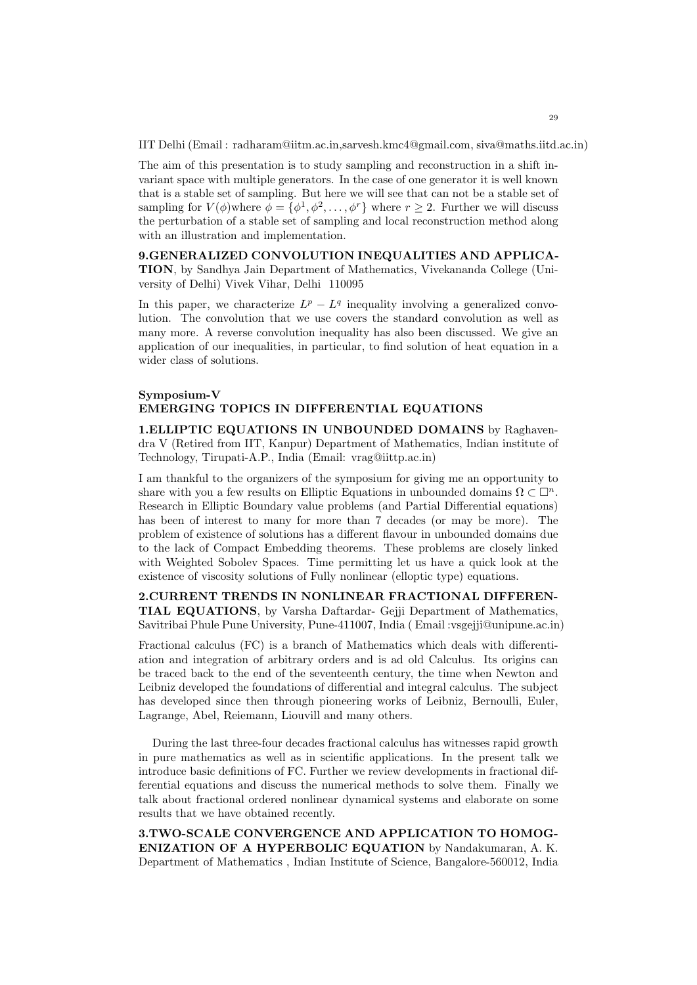IIT Delhi (Email : radharam@iitm.ac.in,sarvesh.kmc4@gmail.com, siva@maths.iitd.ac.in)

The aim of this presentation is to study sampling and reconstruction in a shift invariant space with multiple generators. In the case of one generator it is well known that is a stable set of sampling. But here we will see that can not be a stable set of sampling for  $V(\phi)$  where  $\phi = {\phi^1, \phi^2, \dots, \phi^r}$  where  $r \geq 2$ . Further we will discuss the perturbation of a stable set of sampling and local reconstruction method along with an illustration and implementation.

9.GENERALIZED CONVOLUTION INEQUALITIES AND APPLICA-TION, by Sandhya Jain Department of Mathematics, Vivekananda College (University of Delhi) Vivek Vihar, Delhi 110095

In this paper, we characterize  $L^p - L^q$  inequality involving a generalized convolution. The convolution that we use covers the standard convolution as well as many more. A reverse convolution inequality has also been discussed. We give an application of our inequalities, in particular, to find solution of heat equation in a wider class of solutions.

# Symposium-V EMERGING TOPICS IN DIFFERENTIAL EQUATIONS

1.ELLIPTIC EQUATIONS IN UNBOUNDED DOMAINS by Raghavendra V (Retired from IIT, Kanpur) Department of Mathematics, Indian institute of Technology, Tirupati-A.P., India (Email: vrag@iittp.ac.in)

I am thankful to the organizers of the symposium for giving me an opportunity to share with you a few results on Elliptic Equations in unbounded domains  $\Omega \subset \mathbb{D}^n$ . Research in Elliptic Boundary value problems (and Partial Differential equations) has been of interest to many for more than 7 decades (or may be more). The problem of existence of solutions has a different flavour in unbounded domains due to the lack of Compact Embedding theorems. These problems are closely linked with Weighted Sobolev Spaces. Time permitting let us have a quick look at the existence of viscosity solutions of Fully nonlinear (elloptic type) equations.

2.CURRENT TRENDS IN NONLINEAR FRACTIONAL DIFFEREN-TIAL EQUATIONS, by Varsha Daftardar- Gejji Department of Mathematics, Savitribai Phule Pune University, Pune-411007, India ( Email :vsgejji@unipune.ac.in)

Fractional calculus (FC) is a branch of Mathematics which deals with differentiation and integration of arbitrary orders and is ad old Calculus. Its origins can be traced back to the end of the seventeenth century, the time when Newton and Leibniz developed the foundations of differential and integral calculus. The subject has developed since then through pioneering works of Leibniz, Bernoulli, Euler, Lagrange, Abel, Reiemann, Liouvill and many others.

During the last three-four decades fractional calculus has witnesses rapid growth in pure mathematics as well as in scientific applications. In the present talk we introduce basic definitions of FC. Further we review developments in fractional differential equations and discuss the numerical methods to solve them. Finally we talk about fractional ordered nonlinear dynamical systems and elaborate on some results that we have obtained recently.

3.TWO-SCALE CONVERGENCE AND APPLICATION TO HOMOG-ENIZATION OF A HYPERBOLIC EQUATION by Nandakumaran, A. K. Department of Mathematics , Indian Institute of Science, Bangalore-560012, India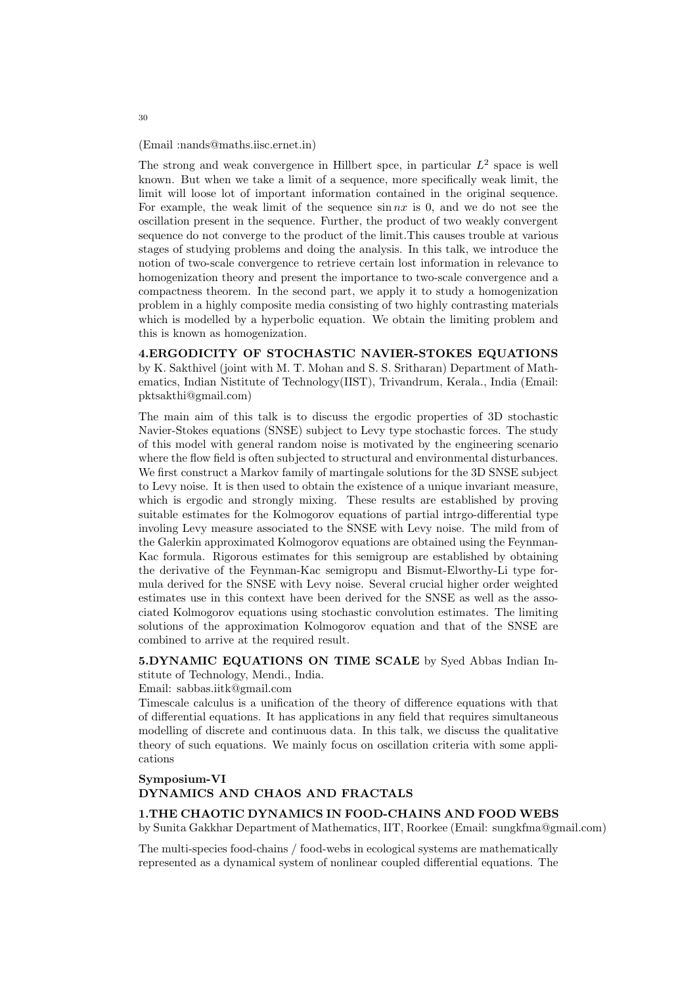(Email :nands@maths.iisc.ernet.in)

The strong and weak convergence in Hillbert spce, in particular  $L^2$  space is well known. But when we take a limit of a sequence, more specifically weak limit, the limit will loose lot of important information contained in the original sequence. For example, the weak limit of the sequence  $\sin nx$  is 0, and we do not see the oscillation present in the sequence. Further, the product of two weakly convergent sequence do not converge to the product of the limit.This causes trouble at various stages of studying problems and doing the analysis. In this talk, we introduce the notion of two-scale convergence to retrieve certain lost information in relevance to homogenization theory and present the importance to two-scale convergence and a compactness theorem. In the second part, we apply it to study a homogenization problem in a highly composite media consisting of two highly contrasting materials which is modelled by a hyperbolic equation. We obtain the limiting problem and this is known as homogenization.

4.ERGODICITY OF STOCHASTIC NAVIER-STOKES EQUATIONS by K. Sakthivel (joint with M. T. Mohan and S. S. Sritharan) Department of Mathematics, Indian Nistitute of Technology(IIST), Trivandrum, Kerala., India (Email: pktsakthi@gmail.com)

The main aim of this talk is to discuss the ergodic properties of 3D stochastic Navier-Stokes equations (SNSE) subject to Levy type stochastic forces. The study of this model with general random noise is motivated by the engineering scenario where the flow field is often subjected to structural and environmental disturbances. We first construct a Markov family of martingale solutions for the 3D SNSE subject to Levy noise. It is then used to obtain the existence of a unique invariant measure, which is ergodic and strongly mixing. These results are established by proving suitable estimates for the Kolmogorov equations of partial intrgo-differential type involing Levy measure associated to the SNSE with Levy noise. The mild from of the Galerkin approximated Kolmogorov equations are obtained using the Feynman-Kac formula. Rigorous estimates for this semigroup are established by obtaining the derivative of the Feynman-Kac semigropu and Bismut-Elworthy-Li type formula derived for the SNSE with Levy noise. Several crucial higher order weighted estimates use in this context have been derived for the SNSE as well as the associated Kolmogorov equations using stochastic convolution estimates. The limiting solutions of the approximation Kolmogorov equation and that of the SNSE are combined to arrive at the required result.

5.DYNAMIC EQUATIONS ON TIME SCALE by Syed Abbas Indian Institute of Technology, Mendi., India.

Email: sabbas.iitk@gmail.com

Timescale calculus is a unification of the theory of difference equations with that of differential equations. It has applications in any field that requires simultaneous modelling of discrete and continuous data. In this talk, we discuss the qualitative theory of such equations. We mainly focus on oscillation criteria with some applications

# Symposium-VI DYNAMICS AND CHAOS AND FRACTALS

#### 1.THE CHAOTIC DYNAMICS IN FOOD-CHAINS AND FOOD WEBS

by Sunita Gakkhar Department of Mathematics, IIT, Roorkee (Email: sungkfma@gmail.com)

The multi-species food-chains / food-webs in ecological systems are mathematically represented as a dynamical system of nonlinear coupled differential equations. The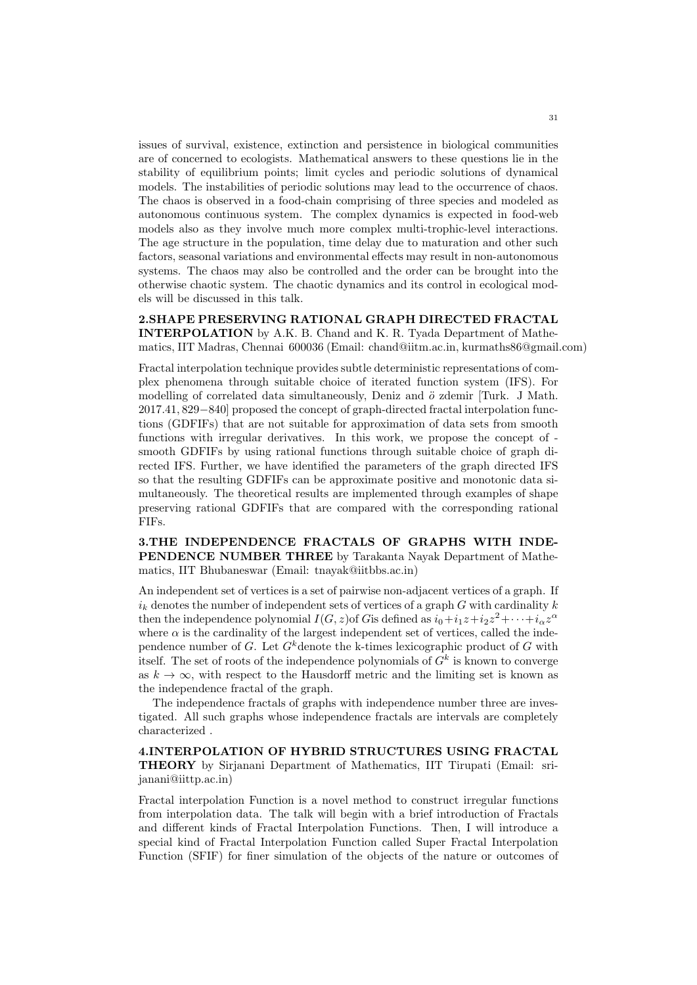issues of survival, existence, extinction and persistence in biological communities are of concerned to ecologists. Mathematical answers to these questions lie in the stability of equilibrium points; limit cycles and periodic solutions of dynamical models. The instabilities of periodic solutions may lead to the occurrence of chaos. The chaos is observed in a food-chain comprising of three species and modeled as autonomous continuous system. The complex dynamics is expected in food-web models also as they involve much more complex multi-trophic-level interactions. The age structure in the population, time delay due to maturation and other such factors, seasonal variations and environmental effects may result in non-autonomous systems. The chaos may also be controlled and the order can be brought into the otherwise chaotic system. The chaotic dynamics and its control in ecological models will be discussed in this talk.

2.SHAPE PRESERVING RATIONAL GRAPH DIRECTED FRACTAL INTERPOLATION by A.K. B. Chand and K. R. Tyada Department of Mathematics, IIT Madras, Chennai 600036 (Email: chand@iitm.ac.in, kurmaths86@gmail.com)

Fractal interpolation technique provides subtle deterministic representations of complex phenomena through suitable choice of iterated function system (IFS). For modelling of correlated data simultaneously, Deniz and  $\ddot{o}$  zdemir [Turk. J Math. 2017.41, 829−840] proposed the concept of graph-directed fractal interpolation functions (GDFIFs) that are not suitable for approximation of data sets from smooth functions with irregular derivatives. In this work, we propose the concept of smooth GDFIFs by using rational functions through suitable choice of graph directed IFS. Further, we have identified the parameters of the graph directed IFS so that the resulting GDFIFs can be approximate positive and monotonic data simultaneously. The theoretical results are implemented through examples of shape preserving rational GDFIFs that are compared with the corresponding rational FIFs.

3.THE INDEPENDENCE FRACTALS OF GRAPHS WITH INDE-PENDENCE NUMBER THREE by Tarakanta Nayak Department of Mathematics, IIT Bhubaneswar (Email: tnayak@iitbbs.ac.in)

An independent set of vertices is a set of pairwise non-adjacent vertices of a graph. If  $i_k$  denotes the number of independent sets of vertices of a graph  $G$  with cardinality  $k$ then the independence polynomial  $I(G, z)$  of Gis defined as  $i_0+i_1z+i_2z^2+\cdots+i_{\alpha}z^{\alpha}$ where  $\alpha$  is the cardinality of the largest independent set of vertices, called the independence number of G. Let  $G^k$  denote the k-times lexicographic product of G with itself. The set of roots of the independence polynomials of  $G<sup>k</sup>$  is known to converge as  $k \to \infty$ , with respect to the Hausdorff metric and the limiting set is known as the independence fractal of the graph.

The independence fractals of graphs with independence number three are investigated. All such graphs whose independence fractals are intervals are completely characterized .

4.INTERPOLATION OF HYBRID STRUCTURES USING FRACTAL THEORY by Sirjanani Department of Mathematics, IIT Tirupati (Email: srijanani@iittp.ac.in)

Fractal interpolation Function is a novel method to construct irregular functions from interpolation data. The talk will begin with a brief introduction of Fractals and different kinds of Fractal Interpolation Functions. Then, I will introduce a special kind of Fractal Interpolation Function called Super Fractal Interpolation Function (SFIF) for finer simulation of the objects of the nature or outcomes of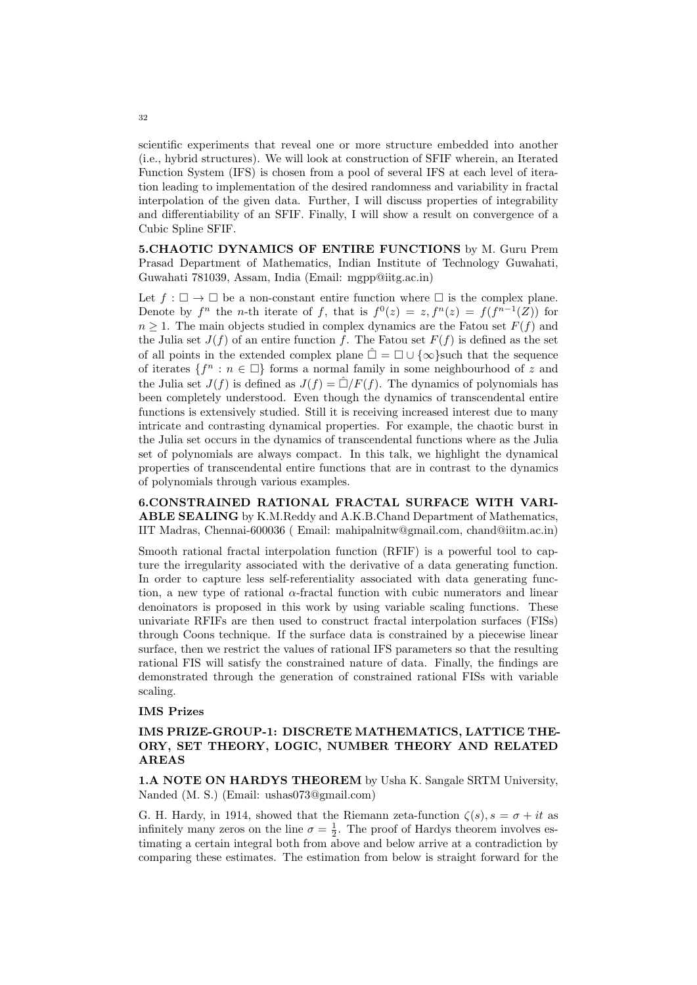scientific experiments that reveal one or more structure embedded into another (i.e., hybrid structures). We will look at construction of SFIF wherein, an Iterated Function System (IFS) is chosen from a pool of several IFS at each level of iteration leading to implementation of the desired randomness and variability in fractal interpolation of the given data. Further, I will discuss properties of integrability and differentiability of an SFIF. Finally, I will show a result on convergence of a Cubic Spline SFIF.

5.CHAOTIC DYNAMICS OF ENTIRE FUNCTIONS by M. Guru Prem Prasad Department of Mathematics, Indian Institute of Technology Guwahati, Guwahati 781039, Assam, India (Email: mgpp@iitg.ac.in)

Let  $f : \Box \to \Box$  be a non-constant entire function where  $\Box$  is the complex plane. Denote by  $f^n$  the *n*-th iterate of f, that is  $f^0(z) = z, f^n(z) = f(f^{n-1}(Z))$  for  $n \geq 1$ . The main objects studied in complex dynamics are the Fatou set  $F(f)$  and the Julia set  $J(f)$  of an entire function f. The Fatou set  $F(f)$  is defined as the set of all points in the extended complex plane  $\hat{\Box} = \Box \cup \{\infty\}$ such that the sequence of iterates  $\{f^n : n \in \Box\}$  forms a normal family in some neighbourhood of z and the Julia set  $J(f)$  is defined as  $J(f) = \hat{\Box}/F(f)$ . The dynamics of polynomials has been completely understood. Even though the dynamics of transcendental entire functions is extensively studied. Still it is receiving increased interest due to many intricate and contrasting dynamical properties. For example, the chaotic burst in the Julia set occurs in the dynamics of transcendental functions where as the Julia set of polynomials are always compact. In this talk, we highlight the dynamical properties of transcendental entire functions that are in contrast to the dynamics of polynomials through various examples.

6.CONSTRAINED RATIONAL FRACTAL SURFACE WITH VARI-ABLE SEALING by K.M.Reddy and A.K.B.Chand Department of Mathematics, IIT Madras, Chennai-600036 ( Email: mahipalnitw@gmail.com, chand@iitm.ac.in)

Smooth rational fractal interpolation function (RFIF) is a powerful tool to capture the irregularity associated with the derivative of a data generating function. In order to capture less self-referentiality associated with data generating function, a new type of rational  $\alpha$ -fractal function with cubic numerators and linear denoinators is proposed in this work by using variable scaling functions. These univariate RFIFs are then used to construct fractal interpolation surfaces (FISs) through Coons technique. If the surface data is constrained by a piecewise linear surface, then we restrict the values of rational IFS parameters so that the resulting rational FIS will satisfy the constrained nature of data. Finally, the findings are demonstrated through the generation of constrained rational FISs with variable scaling.

### IMS Prizes

# IMS PRIZE-GROUP-1: DISCRETE MATHEMATICS, LATTICE THE-ORY, SET THEORY, LOGIC, NUMBER THEORY AND RELATED AREAS

1.A NOTE ON HARDYS THEOREM by Usha K. Sangale SRTM University, Nanded (M. S.) (Email: ushas073@gmail.com)

G. H. Hardy, in 1914, showed that the Riemann zeta-function  $\zeta(s)$ ,  $s = \sigma + it$  as infinitely many zeros on the line  $\sigma = \frac{1}{2}$ . The proof of Hardys theorem involves estimating a certain integral both from above and below arrive at a contradiction by comparing these estimates. The estimation from below is straight forward for the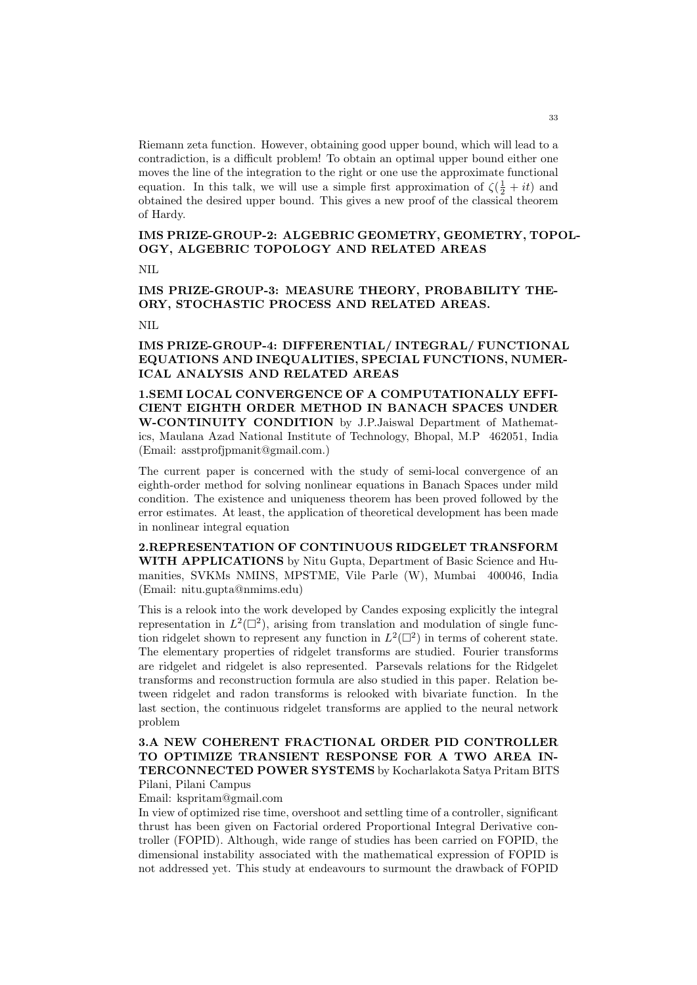Riemann zeta function. However, obtaining good upper bound, which will lead to a contradiction, is a difficult problem! To obtain an optimal upper bound either one moves the line of the integration to the right or one use the approximate functional equation. In this talk, we will use a simple first approximation of  $\zeta(\frac{1}{2} + it)$  and obtained the desired upper bound. This gives a new proof of the classical theorem of Hardy.

# IMS PRIZE-GROUP-2: ALGEBRIC GEOMETRY, GEOMETRY, TOPOL-OGY, ALGEBRIC TOPOLOGY AND RELATED AREAS

NIL

IMS PRIZE-GROUP-3: MEASURE THEORY, PROBABILITY THE-ORY, STOCHASTIC PROCESS AND RELATED AREAS.

NIL

# IMS PRIZE-GROUP-4: DIFFERENTIAL/ INTEGRAL/ FUNCTIONAL EQUATIONS AND INEQUALITIES, SPECIAL FUNCTIONS, NUMER-ICAL ANALYSIS AND RELATED AREAS

1.SEMI LOCAL CONVERGENCE OF A COMPUTATIONALLY EFFI-CIENT EIGHTH ORDER METHOD IN BANACH SPACES UNDER W-CONTINUITY CONDITION by J.P.Jaiswal Department of Mathematics, Maulana Azad National Institute of Technology, Bhopal, M.P 462051, India (Email: asstprofjpmanit@gmail.com.)

The current paper is concerned with the study of semi-local convergence of an eighth-order method for solving nonlinear equations in Banach Spaces under mild condition. The existence and uniqueness theorem has been proved followed by the error estimates. At least, the application of theoretical development has been made in nonlinear integral equation

2.REPRESENTATION OF CONTINUOUS RIDGELET TRANSFORM WITH APPLICATIONS by Nitu Gupta, Department of Basic Science and Humanities, SVKMs NMINS, MPSTME, Vile Parle (W), Mumbai 400046, India (Email: nitu.gupta@nmims.edu)

This is a relook into the work developed by Candes exposing explicitly the integral representation in  $L^2(\mathbb{Z}^2)$ , arising from translation and modulation of single function ridgelet shown to represent any function in  $L^2(\Box^2)$  in terms of coherent state. The elementary properties of ridgelet transforms are studied. Fourier transforms are ridgelet and ridgelet is also represented. Parsevals relations for the Ridgelet transforms and reconstruction formula are also studied in this paper. Relation between ridgelet and radon transforms is relooked with bivariate function. In the last section, the continuous ridgelet transforms are applied to the neural network problem

# 3.A NEW COHERENT FRACTIONAL ORDER PID CONTROLLER TO OPTIMIZE TRANSIENT RESPONSE FOR A TWO AREA IN-TERCONNECTED POWER SYSTEMS by Kocharlakota Satya Pritam BITS

Pilani, Pilani Campus Email: kspritam@gmail.com

In view of optimized rise time, overshoot and settling time of a controller, significant thrust has been given on Factorial ordered Proportional Integral Derivative controller (FOPID). Although, wide range of studies has been carried on FOPID, the dimensional instability associated with the mathematical expression of FOPID is not addressed yet. This study at endeavours to surmount the drawback of FOPID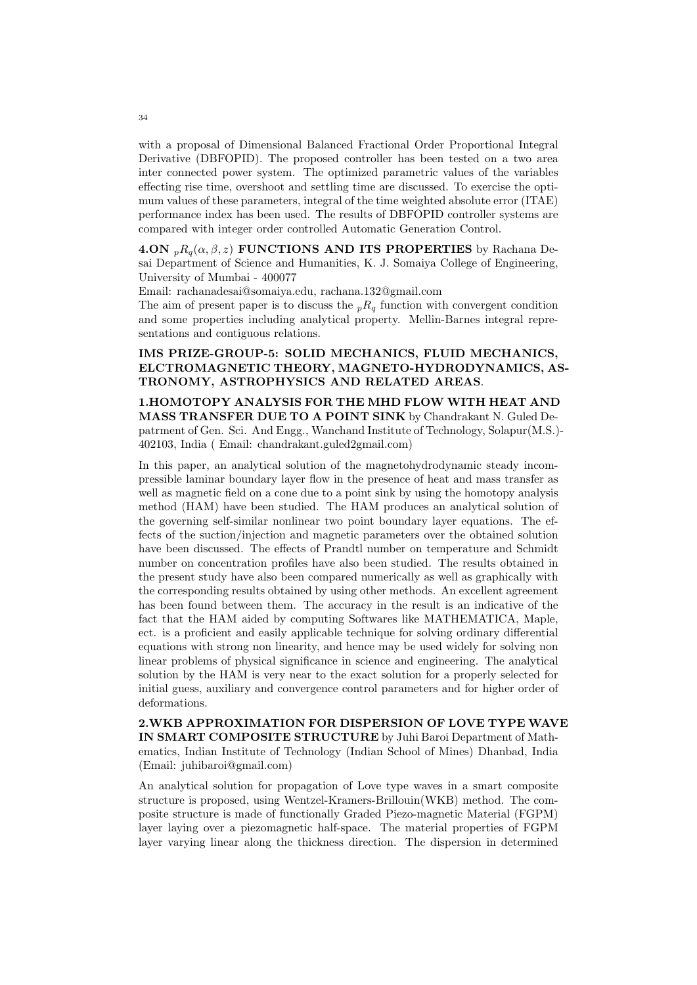with a proposal of Dimensional Balanced Fractional Order Proportional Integral Derivative (DBFOPID). The proposed controller has been tested on a two area inter connected power system. The optimized parametric values of the variables effecting rise time, overshoot and settling time are discussed. To exercise the optimum values of these parameters, integral of the time weighted absolute error (ITAE) performance index has been used. The results of DBFOPID controller systems are compared with integer order controlled Automatic Generation Control.

4.ON  $_{p}R_{q}(\alpha, \beta, z)$  FUNCTIONS AND ITS PROPERTIES by Rachana Desai Department of Science and Humanities, K. J. Somaiya College of Engineering, University of Mumbai - 400077

Email: rachanadesai@somaiya.edu, rachana.132@gmail.com

The aim of present paper is to discuss the  $nR_q$  function with convergent condition and some properties including analytical property. Mellin-Barnes integral representations and contiguous relations.

# IMS PRIZE-GROUP-5: SOLID MECHANICS, FLUID MECHANICS, ELCTROMAGNETIC THEORY, MAGNETO-HYDRODYNAMICS, AS-TRONOMY, ASTROPHYSICS AND RELATED AREAS.

1.HOMOTOPY ANALYSIS FOR THE MHD FLOW WITH HEAT AND MASS TRANSFER DUE TO A POINT SINK by Chandrakant N. Guled Depatrment of Gen. Sci. And Engg., Wanchand Institute of Technology, Solapur(M.S.)- 402103, India ( Email: chandrakant.guled2gmail.com)

In this paper, an analytical solution of the magnetohydrodynamic steady incompressible laminar boundary layer flow in the presence of heat and mass transfer as well as magnetic field on a cone due to a point sink by using the homotopy analysis method (HAM) have been studied. The HAM produces an analytical solution of the governing self-similar nonlinear two point boundary layer equations. The effects of the suction/injection and magnetic parameters over the obtained solution have been discussed. The effects of Prandtl number on temperature and Schmidt number on concentration profiles have also been studied. The results obtained in the present study have also been compared numerically as well as graphically with the corresponding results obtained by using other methods. An excellent agreement has been found between them. The accuracy in the result is an indicative of the fact that the HAM aided by computing Softwares like MATHEMATICA, Maple, ect. is a proficient and easily applicable technique for solving ordinary differential equations with strong non linearity, and hence may be used widely for solving non linear problems of physical significance in science and engineering. The analytical solution by the HAM is very near to the exact solution for a properly selected for initial guess, auxiliary and convergence control parameters and for higher order of deformations.

2.WKB APPROXIMATION FOR DISPERSION OF LOVE TYPE WAVE IN SMART COMPOSITE STRUCTURE by Juhi Baroi Department of Mathematics, Indian Institute of Technology (Indian School of Mines) Dhanbad, India (Email: juhibaroi@gmail.com)

An analytical solution for propagation of Love type waves in a smart composite structure is proposed, using Wentzel-Kramers-Brillouin(WKB) method. The composite structure is made of functionally Graded Piezo-magnetic Material (FGPM) layer laying over a piezomagnetic half-space. The material properties of FGPM layer varying linear along the thickness direction. The dispersion in determined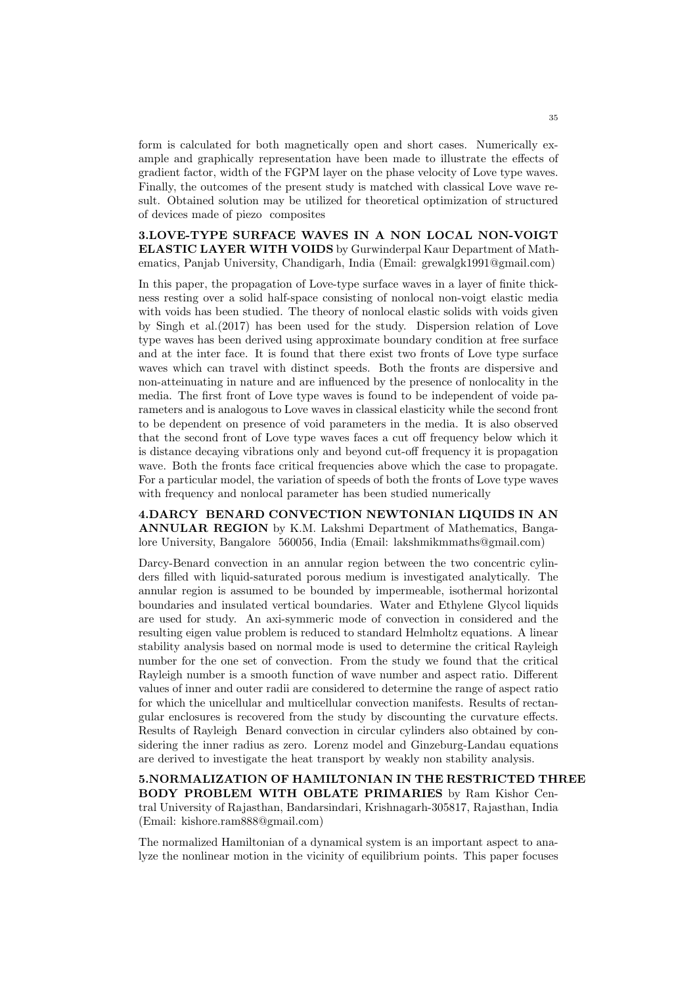form is calculated for both magnetically open and short cases. Numerically example and graphically representation have been made to illustrate the effects of gradient factor, width of the FGPM layer on the phase velocity of Love type waves. Finally, the outcomes of the present study is matched with classical Love wave result. Obtained solution may be utilized for theoretical optimization of structured of devices made of piezo composites

3.LOVE-TYPE SURFACE WAVES IN A NON LOCAL NON-VOIGT ELASTIC LAYER WITH VOIDS by Gurwinderpal Kaur Department of Mathematics, Panjab University, Chandigarh, India (Email: grewalgk1991@gmail.com)

In this paper, the propagation of Love-type surface waves in a layer of finite thickness resting over a solid half-space consisting of nonlocal non-voigt elastic media with voids has been studied. The theory of nonlocal elastic solids with voids given by Singh et al.(2017) has been used for the study. Dispersion relation of Love type waves has been derived using approximate boundary condition at free surface and at the inter face. It is found that there exist two fronts of Love type surface waves which can travel with distinct speeds. Both the fronts are dispersive and non-atteinuating in nature and are influenced by the presence of nonlocality in the media. The first front of Love type waves is found to be independent of voide parameters and is analogous to Love waves in classical elasticity while the second front to be dependent on presence of void parameters in the media. It is also observed that the second front of Love type waves faces a cut off frequency below which it is distance decaying vibrations only and beyond cut-off frequency it is propagation wave. Both the fronts face critical frequencies above which the case to propagate. For a particular model, the variation of speeds of both the fronts of Love type waves with frequency and nonlocal parameter has been studied numerically

4.DARCY BENARD CONVECTION NEWTONIAN LIQUIDS IN AN ANNULAR REGION by K.M. Lakshmi Department of Mathematics, Bangalore University, Bangalore 560056, India (Email: lakshmikmmaths@gmail.com)

Darcy-Benard convection in an annular region between the two concentric cylinders filled with liquid-saturated porous medium is investigated analytically. The annular region is assumed to be bounded by impermeable, isothermal horizontal boundaries and insulated vertical boundaries. Water and Ethylene Glycol liquids are used for study. An axi-symmeric mode of convection in considered and the resulting eigen value problem is reduced to standard Helmholtz equations. A linear stability analysis based on normal mode is used to determine the critical Rayleigh number for the one set of convection. From the study we found that the critical Rayleigh number is a smooth function of wave number and aspect ratio. Different values of inner and outer radii are considered to determine the range of aspect ratio for which the unicellular and multicellular convection manifests. Results of rectangular enclosures is recovered from the study by discounting the curvature effects. Results of Rayleigh Benard convection in circular cylinders also obtained by considering the inner radius as zero. Lorenz model and Ginzeburg-Landau equations are derived to investigate the heat transport by weakly non stability analysis.

5.NORMALIZATION OF HAMILTONIAN IN THE RESTRICTED THREE BODY PROBLEM WITH OBLATE PRIMARIES by Ram Kishor Central University of Rajasthan, Bandarsindari, Krishnagarh-305817, Rajasthan, India (Email: kishore.ram888@gmail.com)

The normalized Hamiltonian of a dynamical system is an important aspect to analyze the nonlinear motion in the vicinity of equilibrium points. This paper focuses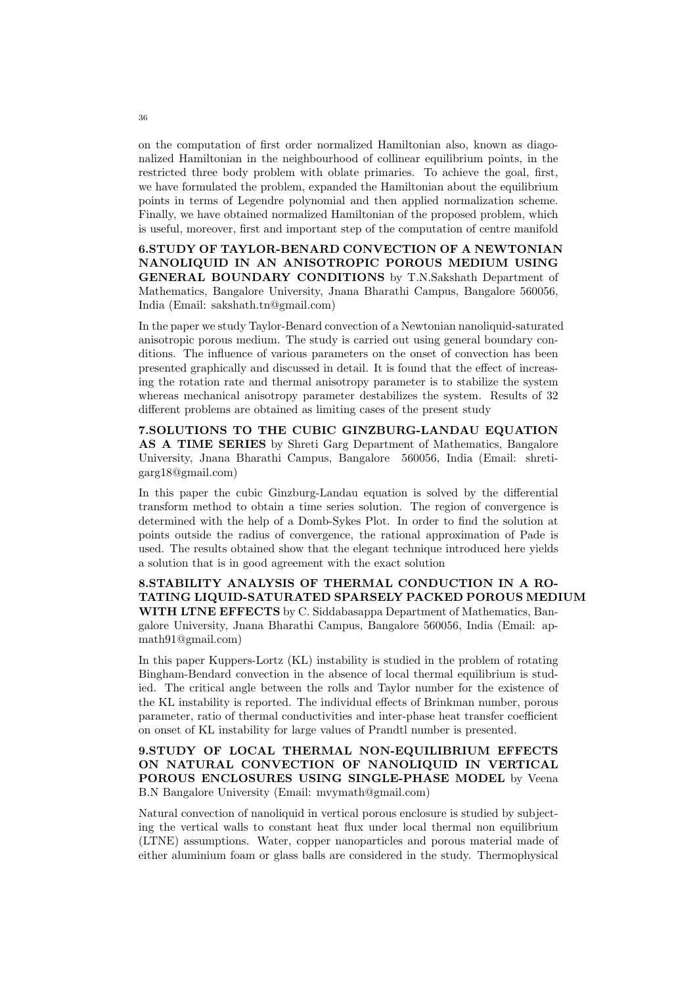on the computation of first order normalized Hamiltonian also, known as diagonalized Hamiltonian in the neighbourhood of collinear equilibrium points, in the restricted three body problem with oblate primaries. To achieve the goal, first, we have formulated the problem, expanded the Hamiltonian about the equilibrium points in terms of Legendre polynomial and then applied normalization scheme. Finally, we have obtained normalized Hamiltonian of the proposed problem, which is useful, moreover, first and important step of the computation of centre manifold

6.STUDY OF TAYLOR-BENARD CONVECTION OF A NEWTONIAN NANOLIQUID IN AN ANISOTROPIC POROUS MEDIUM USING GENERAL BOUNDARY CONDITIONS by T.N.Sakshath Department of Mathematics, Bangalore University, Jnana Bharathi Campus, Bangalore 560056, India (Email: sakshath.tn@gmail.com)

In the paper we study Taylor-Benard convection of a Newtonian nanoliquid-saturated anisotropic porous medium. The study is carried out using general boundary conditions. The influence of various parameters on the onset of convection has been presented graphically and discussed in detail. It is found that the effect of increasing the rotation rate and thermal anisotropy parameter is to stabilize the system whereas mechanical anisotropy parameter destabilizes the system. Results of 32 different problems are obtained as limiting cases of the present study

7.SOLUTIONS TO THE CUBIC GINZBURG-LANDAU EQUATION AS A TIME SERIES by Shreti Garg Department of Mathematics, Bangalore University, Jnana Bharathi Campus, Bangalore 560056, India (Email: shretigarg18@gmail.com)

In this paper the cubic Ginzburg-Landau equation is solved by the differential transform method to obtain a time series solution. The region of convergence is determined with the help of a Domb-Sykes Plot. In order to find the solution at points outside the radius of convergence, the rational approximation of Pade is used. The results obtained show that the elegant technique introduced here yields a solution that is in good agreement with the exact solution

8.STABILITY ANALYSIS OF THERMAL CONDUCTION IN A RO-TATING LIQUID-SATURATED SPARSELY PACKED POROUS MEDIUM WITH LTNE EFFECTS by C. Siddabasappa Department of Mathematics, Bangalore University, Jnana Bharathi Campus, Bangalore 560056, India (Email: apmath91@gmail.com)

In this paper Kuppers-Lortz (KL) instability is studied in the problem of rotating Bingham-Bendard convection in the absence of local thermal equilibrium is studied. The critical angle between the rolls and Taylor number for the existence of the KL instability is reported. The individual effects of Brinkman number, porous parameter, ratio of thermal conductivities and inter-phase heat transfer coefficient on onset of KL instability for large values of Prandtl number is presented.

## 9.STUDY OF LOCAL THERMAL NON-EQUILIBRIUM EFFECTS ON NATURAL CONVECTION OF NANOLIQUID IN VERTICAL POROUS ENCLOSURES USING SINGLE-PHASE MODEL by Veena B.N Bangalore University (Email: mvymath@gmail.com)

Natural convection of nanoliquid in vertical porous enclosure is studied by subjecting the vertical walls to constant heat flux under local thermal non equilibrium (LTNE) assumptions. Water, copper nanoparticles and porous material made of either aluminium foam or glass balls are considered in the study. Thermophysical

36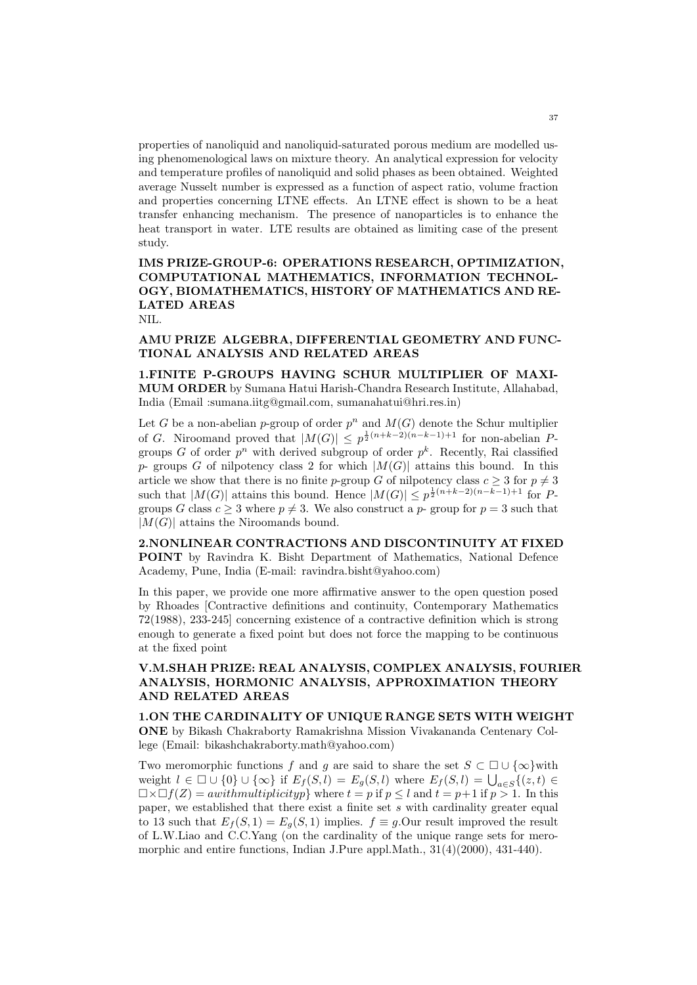properties of nanoliquid and nanoliquid-saturated porous medium are modelled using phenomenological laws on mixture theory. An analytical expression for velocity and temperature profiles of nanoliquid and solid phases as been obtained. Weighted average Nusselt number is expressed as a function of aspect ratio, volume fraction and properties concerning LTNE effects. An LTNE effect is shown to be a heat transfer enhancing mechanism. The presence of nanoparticles is to enhance the heat transport in water. LTE results are obtained as limiting case of the present study.

# IMS PRIZE-GROUP-6: OPERATIONS RESEARCH, OPTIMIZATION, COMPUTATIONAL MATHEMATICS, INFORMATION TECHNOL-OGY, BIOMATHEMATICS, HISTORY OF MATHEMATICS AND RE-LATED AREAS

NIL.

## AMU PRIZE ALGEBRA, DIFFERENTIAL GEOMETRY AND FUNC-TIONAL ANALYSIS AND RELATED AREAS

1.FINITE P-GROUPS HAVING SCHUR MULTIPLIER OF MAXI-MUM ORDER by Sumana Hatui Harish-Chandra Research Institute, Allahabad, India (Email :sumana.iitg@gmail.com, sumanahatui@hri.res.in)

Let G be a non-abelian p-group of order  $p^n$  and  $M(G)$  denote the Schur multiplier of G. Niroomand proved that  $|M(G)| \leq p^{\frac{1}{2}(n+k-2)(n-k-1)+1}$  for non-abelian Pgroups G of order  $p^n$  with derived subgroup of order  $p^k$ . Recently, Rai classified p- groups G of nilpotency class 2 for which  $|M(G)|$  attains this bound. In this article we show that there is no finite p-group G of nilpotency class  $c \geq 3$  for  $p \neq 3$ such that  $|M(G)|$  attains this bound. Hence  $|M(G)| \leq p^{\frac{1}{2}(n+k-2)(n-k-1)+1}$  for Pgroups G class  $c \geq 3$  where  $p \neq 3$ . We also construct a p- group for  $p = 3$  such that  $|M(G)|$  attains the Niroomands bound.

2.NONLINEAR CONTRACTIONS AND DISCONTINUITY AT FIXED POINT by Ravindra K. Bisht Department of Mathematics, National Defence Academy, Pune, India (E-mail: ravindra.bisht@yahoo.com)

In this paper, we provide one more affirmative answer to the open question posed by Rhoades [Contractive definitions and continuity, Contemporary Mathematics 72(1988), 233-245] concerning existence of a contractive definition which is strong enough to generate a fixed point but does not force the mapping to be continuous at the fixed point

## V.M.SHAH PRIZE: REAL ANALYSIS, COMPLEX ANALYSIS, FOURIER ANALYSIS, HORMONIC ANALYSIS, APPROXIMATION THEORY AND RELATED AREAS

1.ON THE CARDINALITY OF UNIQUE RANGE SETS WITH WEIGHT ONE by Bikash Chakraborty Ramakrishna Mission Vivakananda Centenary College (Email: bikashchakraborty.math@yahoo.com)

Two meromorphic functions f and g are said to share the set  $S \subset \Box \cup \{\infty\}$ with weight  $l \in \Box \cup \{0\} \cup \{\infty\}$  if  $E_f(S, l) = E_g(S, l)$  where  $E_f(S, l) = \bigcup_{a \in S} \{(z, t) \in$  $\Box \times \Box f(Z) = awithmultiplicity p$  where  $t = p$  if  $p \leq l$  and  $t = p+1$  if  $p > 1$ . In this paper, we established that there exist a finite set s with cardinality greater equal to 13 such that  $E_f(S, 1) = E_g(S, 1)$  implies.  $f \equiv g$ . Our result improved the result of L.W.Liao and C.C.Yang (on the cardinality of the unique range sets for meromorphic and entire functions, Indian J.Pure appl.Math., 31(4)(2000), 431-440).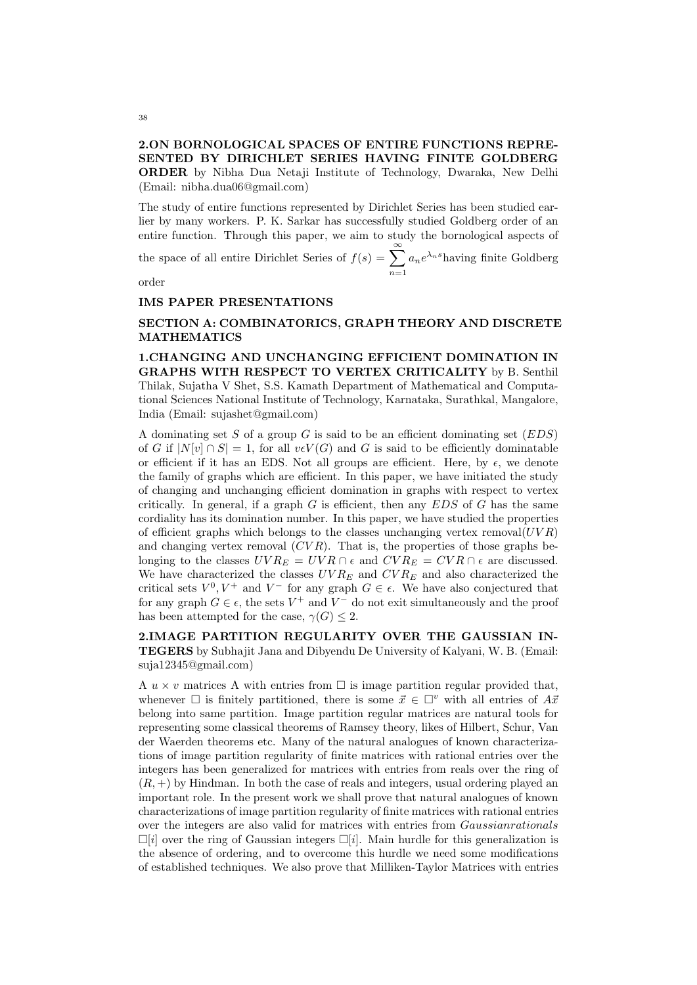### 2.ON BORNOLOGICAL SPACES OF ENTIRE FUNCTIONS REPRE-SENTED BY DIRICHLET SERIES HAVING FINITE GOLDBERG ORDER by Nibha Dua Netaji Institute of Technology, Dwaraka, New Delhi (Email: nibha.dua06@gmail.com)

The study of entire functions represented by Dirichlet Series has been studied earlier by many workers. P. K. Sarkar has successfully studied Goldberg order of an entire function. Through this paper, we aim to study the bornological aspects of

the space of all entire Dirichlet Series of  $f(s) = \sum_{n=0}^{\infty}$  $n=1$  $a_n e^{\lambda_n s}$ having finite Goldberg

order

#### IMS PAPER PRESENTATIONS

#### SECTION A: COMBINATORICS, GRAPH THEORY AND DISCRETE MATHEMATICS

1.CHANGING AND UNCHANGING EFFICIENT DOMINATION IN GRAPHS WITH RESPECT TO VERTEX CRITICALITY by B. Senthil Thilak, Sujatha V Shet, S.S. Kamath Department of Mathematical and Computational Sciences National Institute of Technology, Karnataka, Surathkal, Mangalore, India (Email: sujashet@gmail.com)

A dominating set S of a group G is said to be an efficient dominating set  $(EDS)$ of G if  $|N[v] \cap S| = 1$ , for all  $v \in V(G)$  and G is said to be efficiently dominatable or efficient if it has an EDS. Not all groups are efficient. Here, by  $\epsilon$ , we denote the family of graphs which are efficient. In this paper, we have initiated the study of changing and unchanging efficient domination in graphs with respect to vertex critically. In general, if a graph  $G$  is efficient, then any  $EDS$  of  $G$  has the same cordiality has its domination number. In this paper, we have studied the properties of efficient graphs which belongs to the classes unchanging vertex removal $(UVR)$ and changing vertex removal  $(CVR)$ . That is, the properties of those graphs belonging to the classes  $UVR_E = UVR \cap \epsilon$  and  $CVR_E = CVR \cap \epsilon$  are discussed. We have characterized the classes  $UVR_E$  and  $CVR_E$  and also characterized the critical sets  $V^0, V^+$  and  $V^-$  for any graph  $G \in \epsilon$ . We have also conjectured that for any graph  $G \in \epsilon$ , the sets  $V^+$  and  $V^-$  do not exit simultaneously and the proof has been attempted for the case,  $\gamma(G) \leq 2$ .

2.IMAGE PARTITION REGULARITY OVER THE GAUSSIAN IN-TEGERS by Subhajit Jana and Dibyendu De University of Kalyani, W. B. (Email: suja12345@gmail.com)

A  $u \times v$  matrices A with entries from  $\Box$  is image partition regular provided that, whenever  $\Box$  is finitely partitioned, there is some  $\vec{x} \in \Box^v$  with all entries of  $A\vec{x}$ belong into same partition. Image partition regular matrices are natural tools for representing some classical theorems of Ramsey theory, likes of Hilbert, Schur, Van der Waerden theorems etc. Many of the natural analogues of known characterizations of image partition regularity of finite matrices with rational entries over the integers has been generalized for matrices with entries from reals over the ring of  $(R, +)$  by Hindman. In both the case of reals and integers, usual ordering played an important role. In the present work we shall prove that natural analogues of known characterizations of image partition regularity of finite matrices with rational entries over the integers are also valid for matrices with entries from Gaussianrationals  $\Box[i]$  over the ring of Gaussian integers  $\Box[i]$ . Main hurdle for this generalization is the absence of ordering, and to overcome this hurdle we need some modifications of established techniques. We also prove that Milliken-Taylor Matrices with entries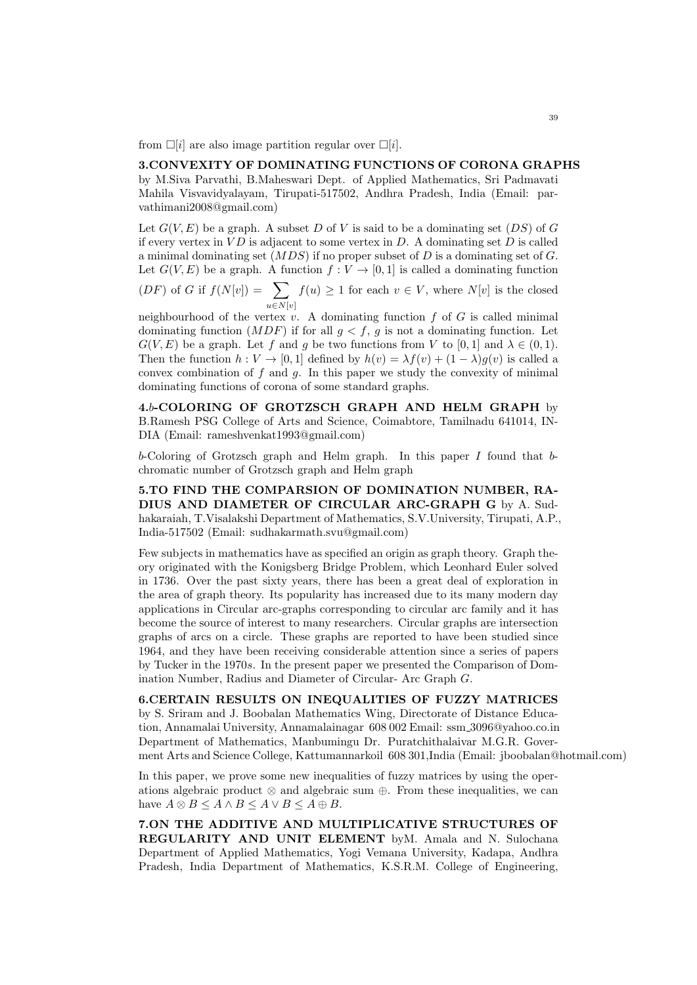from  $\Box[i]$  are also image partition regular over  $\Box[i]$ .

#### 3.CONVEXITY OF DOMINATING FUNCTIONS OF CORONA GRAPHS by M.Siva Parvathi, B.Maheswari Dept. of Applied Mathematics, Sri Padmavati

Mahila Visvavidyalayam, Tirupati-517502, Andhra Pradesh, India (Email: parvathimani2008@gmail.com)

Let  $G(V, E)$  be a graph. A subset D of V is said to be a dominating set  $(DS)$  of G if every vertex in  $VD$  is adjacent to some vertex in  $D$ . A dominating set  $D$  is called a minimal dominating set  $(MDS)$  if no proper subset of D is a dominating set of G. Let  $G(V, E)$  be a graph. A function  $f: V \to [0, 1]$  is called a dominating function

 $(DF)$  of G if  $f(N[v]) = \sum$  $u \in N[v]$  $f(u) \geq 1$  for each  $v \in V$ , where  $N[v]$  is the closed

neighbourhood of the vertex  $v$ . A dominating function  $f$  of  $G$  is called minimal dominating function  $(MDF)$  if for all  $q < f$ , q is not a dominating function. Let  $G(V, E)$  be a graph. Let f and g be two functions from V to [0, 1] and  $\lambda \in (0, 1)$ . Then the function  $h: V \to [0, 1]$  defined by  $h(v) = \lambda f(v) + (1 - \lambda)g(v)$  is called a convex combination of  $f$  and  $g$ . In this paper we study the convexity of minimal dominating functions of corona of some standard graphs.

4.b-COLORING OF GROTZSCH GRAPH AND HELM GRAPH by B.Ramesh PSG College of Arts and Science, Coimabtore, Tamilnadu 641014, IN-DIA (Email: rameshvenkat1993@gmail.com)

b-Coloring of Grotzsch graph and Helm graph. In this paper I found that bchromatic number of Grotzsch graph and Helm graph

5.TO FIND THE COMPARSION OF DOMINATION NUMBER, RA-DIUS AND DIAMETER OF CIRCULAR ARC-GRAPH G by A. Sudhakaraiah, T.Visalakshi Department of Mathematics, S.V.University, Tirupati, A.P., India-517502 (Email: sudhakarmath.svu@gmail.com)

Few subjects in mathematics have as specified an origin as graph theory. Graph theory originated with the Konigsberg Bridge Problem, which Leonhard Euler solved in 1736. Over the past sixty years, there has been a great deal of exploration in the area of graph theory. Its popularity has increased due to its many modern day applications in Circular arc-graphs corresponding to circular arc family and it has become the source of interest to many researchers. Circular graphs are intersection graphs of arcs on a circle. These graphs are reported to have been studied since 1964, and they have been receiving considerable attention since a series of papers by Tucker in the 1970s. In the present paper we presented the Comparison of Domination Number, Radius and Diameter of Circular- Arc Graph G.

6.CERTAIN RESULTS ON INEQUALITIES OF FUZZY MATRICES by S. Sriram and J. Boobalan Mathematics Wing, Directorate of Distance Education, Annamalai University, Annamalainagar 608 002 Email: ssm 3096@yahoo.co.in Department of Mathematics, Manbumingu Dr. Puratchithalaivar M.G.R. Goverment Arts and Science College, Kattumannarkoil 608 301,India (Email: jboobalan@hotmail.com)

In this paper, we prove some new inequalities of fuzzy matrices by using the operations algebraic product  $\otimes$  and algebraic sum  $\oplus$ . From these inequalities, we can have  $A \otimes B \leq A \wedge B \leq A \vee B \leq A \oplus B$ .

7.ON THE ADDITIVE AND MULTIPLICATIVE STRUCTURES OF REGULARITY AND UNIT ELEMENT byM. Amala and N. Sulochana Department of Applied Mathematics, Yogi Vemana University, Kadapa, Andhra Pradesh, India Department of Mathematics, K.S.R.M. College of Engineering,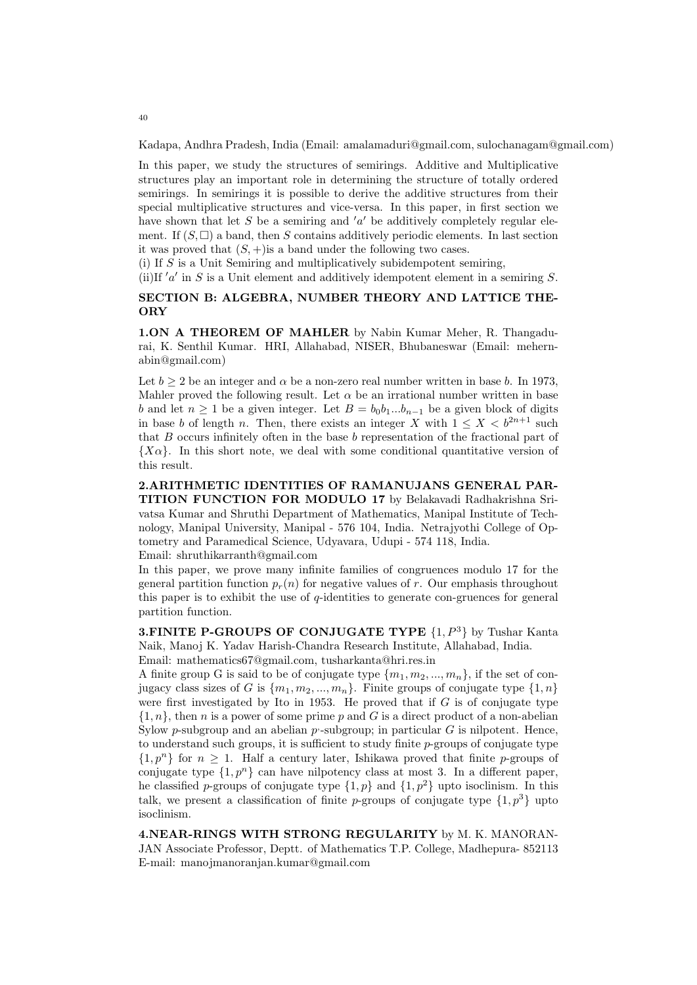Kadapa, Andhra Pradesh, India (Email: amalamaduri@gmail.com, sulochanagam@gmail.com)

In this paper, we study the structures of semirings. Additive and Multiplicative structures play an important role in determining the structure of totally ordered semirings. In semirings it is possible to derive the additive structures from their special multiplicative structures and vice-versa. In this paper, in first section we have shown that let  $S$  be a semiring and  $'a'$  be additively completely regular element. If  $(S, \Box)$  a band, then S contains additively periodic elements. In last section it was proved that  $(S, +)$  is a band under the following two cases.

(i) If S is a Unit Semiring and multiplicatively subidempotent semiring,

(ii)If  $'a'$  in S is a Unit element and additively idempotent element in a semiring S.

#### SECTION B: ALGEBRA, NUMBER THEORY AND LATTICE THE-ORY

1.ON A THEOREM OF MAHLER by Nabin Kumar Meher, R. Thangadurai, K. Senthil Kumar. HRI, Allahabad, NISER, Bhubaneswar (Email: mehernabin@gmail.com)

Let  $b > 2$  be an integer and  $\alpha$  be a non-zero real number written in base b. In 1973, Mahler proved the following result. Let  $\alpha$  be an irrational number written in base b and let  $n \ge 1$  be a given integer. Let  $B = b_0b_1...b_{n-1}$  be a given block of digits in base b of length n. Then, there exists an integer X with  $1 \leq X < b^{2n+1}$  such that B occurs infinitely often in the base b representation of the fractional part of  ${X\alpha}$ . In this short note, we deal with some conditional quantitative version of this result.

2.ARITHMETIC IDENTITIES OF RAMANUJANS GENERAL PAR-TITION FUNCTION FOR MODULO 17 by Belakavadi Radhakrishna Srivatsa Kumar and Shruthi Department of Mathematics, Manipal Institute of Technology, Manipal University, Manipal - 576 104, India. Netrajyothi College of Optometry and Paramedical Science, Udyavara, Udupi - 574 118, India. Email: shruthikarranth@gmail.com

In this paper, we prove many infinite families of congruences modulo 17 for the general partition function  $p_r(n)$  for negative values of r. Our emphasis throughout this paper is to exhibit the use of  $q$ -identities to generate con-gruences for general partition function.

**3.FINITE P-GROUPS OF CONJUGATE TYPE**  $\{1, P^3\}$  by Tushar Kanta Naik, Manoj K. Yadav Harish-Chandra Research Institute, Allahabad, India. Email: mathematics67@gmail.com, tusharkanta@hri.res.in

A finite group G is said to be of conjugate type  $\{m_1, m_2, ..., m_n\}$ , if the set of conjugacy class sizes of G is  $\{m_1, m_2, ..., m_n\}$ . Finite groups of conjugate type  $\{1, n\}$ were first investigated by Ito in 1953. He proved that if  $G$  is of conjugate type  $\{1,n\}$ , then n is a power of some prime p and G is a direct product of a non-abelian Sylow p-subgroup and an abelian  $p$ -subgroup; in particular  $G$  is nilpotent. Hence, to understand such groups, it is sufficient to study finite p-groups of conjugate type  $\{1,p^n\}$  for  $n \geq 1$ . Half a century later, Ishikawa proved that finite p-groups of conjugate type  $\{1, p^n\}$  can have nilpotency class at most 3. In a different paper, he classified p-groups of conjugate type  $\{1, p\}$  and  $\{1, p^2\}$  upto isoclinism. In this talk, we present a classification of finite p-groups of conjugate type  $\{1, p^3\}$  upto isoclinism.

4.NEAR-RINGS WITH STRONG REGULARITY by M. K. MANORAN-JAN Associate Professor, Deptt. of Mathematics T.P. College, Madhepura- 852113 E-mail: manojmanoranjan.kumar@gmail.com

40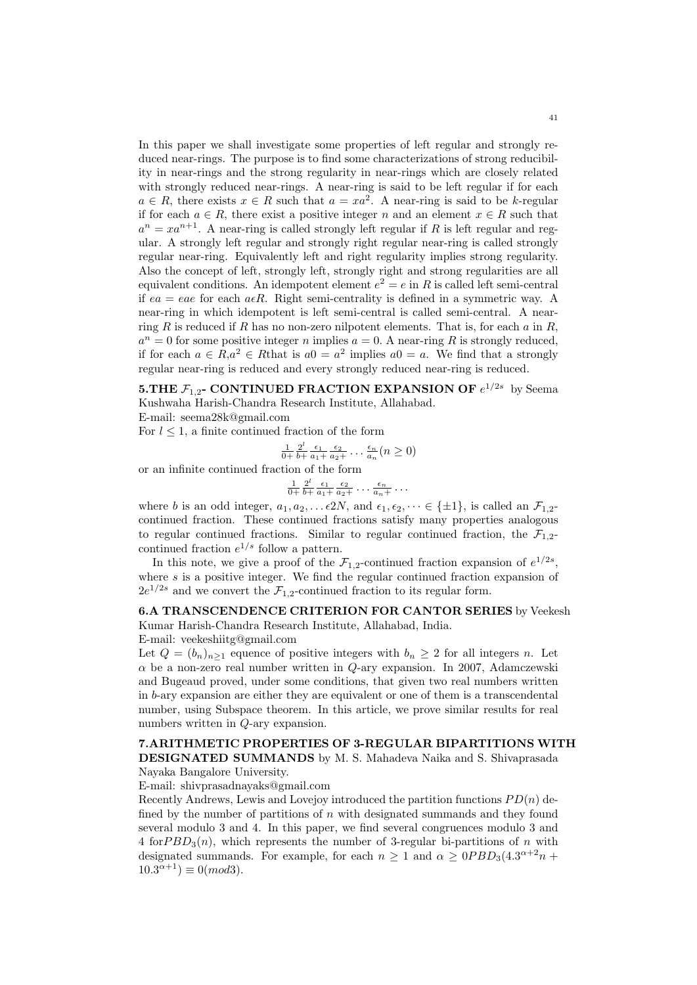In this paper we shall investigate some properties of left regular and strongly reduced near-rings. The purpose is to find some characterizations of strong reducibility in near-rings and the strong regularity in near-rings which are closely related with strongly reduced near-rings. A near-ring is said to be left regular if for each  $a \in R$ , there exists  $x \in R$  such that  $a = xa^2$ . A near-ring is said to be k-regular if for each  $a \in R$ , there exist a positive integer n and an element  $x \in R$  such that  $a^n = x a^{n+1}$ . A near-ring is called strongly left regular if R is left regular and regular. A strongly left regular and strongly right regular near-ring is called strongly regular near-ring. Equivalently left and right regularity implies strong regularity. Also the concept of left, strongly left, strongly right and strong regularities are all equivalent conditions. An idempotent element  $e^2 = e$  in R is called left semi-central if ea = eae for each  $a \in R$ . Right semi-centrality is defined in a symmetric way. A near-ring in which idempotent is left semi-central is called semi-central. A nearring R is reduced if R has no non-zero nilpotent elements. That is, for each  $a$  in R,  $a^n = 0$  for some positive integer n implies  $a = 0$ . A near-ring R is strongly reduced, if for each  $a \in R$ , $a^2 \in R$  that is  $a0 = a^2$  implies  $a0 = a$ . We find that a strongly regular near-ring is reduced and every strongly reduced near-ring is reduced.

5.THE  $\mathcal{F}_{1,2}$ - CONTINUED FRACTION EXPANSION OF  $e^{1/2s}$  by Seema Kushwaha Harish-Chandra Research Institute, Allahabad.

E-mail: seema28k@gmail.com

For  $l \leq 1$ , a finite continued fraction of the form

$$
\frac{1}{0+} \frac{2^l}{b+} \frac{\epsilon_1}{a_1+} \frac{\epsilon_2}{a_2+} \ldots \frac{\epsilon_n}{a_n} (n \ge 0)
$$

or an infinite continued fraction of the form

$$
\frac{1}{0+} \frac{2^l}{b+} \frac{\epsilon_1}{a_1+} \frac{\epsilon_2}{a_2+} \cdots \frac{\epsilon_n}{a_n+} \cdots
$$

where b is an odd integer,  $a_1, a_2, \ldots \in \{2N, \text{ and } \epsilon_1, \epsilon_2, \cdots \in \{\pm 1\}, \text{ is called an } \mathcal{F}_{1,2}$ continued fraction. These continued fractions satisfy many properties analogous to regular continued fractions. Similar to regular continued fraction, the  $\mathcal{F}_{1,2}$ continued fraction  $e^{1/s}$  follow a pattern.

In this note, we give a proof of the  $\mathcal{F}_{1,2}$ -continued fraction expansion of  $e^{1/2s}$ , where  $s$  is a positive integer. We find the regular continued fraction expansion of  $2e^{1/2s}$  and we convert the  $\mathcal{F}_{1,2}$ -continued fraction to its regular form.

## 6.A TRANSCENDENCE CRITERION FOR CANTOR SERIES by Veekesh Kumar Harish-Chandra Research Institute, Allahabad, India.

E-mail: veekeshiitg@gmail.com

Let  $Q = (b_n)_{n>1}$  equence of positive integers with  $b_n \geq 2$  for all integers n. Let  $\alpha$  be a non-zero real number written in  $Q$ -ary expansion. In 2007, Adamczewski and Bugeaud proved, under some conditions, that given two real numbers written in b-ary expansion are either they are equivalent or one of them is a transcendental number, using Subspace theorem. In this article, we prove similar results for real numbers written in Q-ary expansion.

# 7.ARITHMETIC PROPERTIES OF 3-REGULAR BIPARTITIONS WITH

DESIGNATED SUMMANDS by M. S. Mahadeva Naika and S. Shivaprasada Nayaka Bangalore University.

E-mail: shivprasadnayaks@gmail.com

Recently Andrews, Lewis and Lovejoy introduced the partition functions  $PD(n)$  defined by the number of partitions of  $n$  with designated summands and they found several modulo 3 and 4. In this paper, we find several congruences modulo 3 and 4 for  $PBD_3(n)$ , which represents the number of 3-regular bi-partitions of n with designated summands. For example, for each  $n \geq 1$  and  $\alpha \geq 0PBD_3(4.3^{\alpha+2}n +$  $10.3^{\alpha+1}$   $\equiv 0 \pmod{3}$ .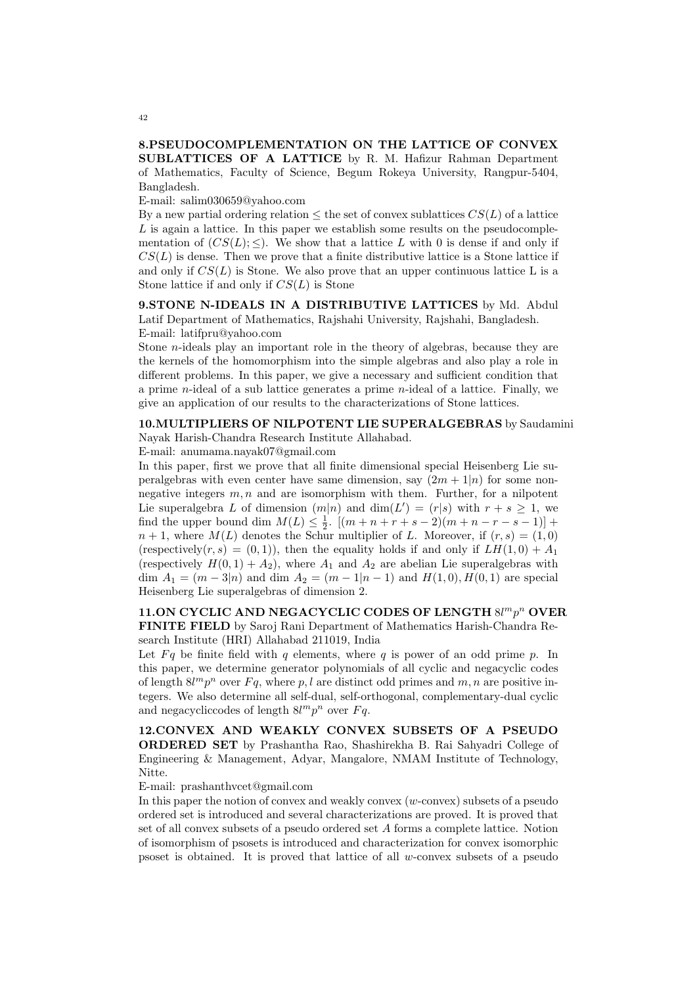## 8.PSEUDOCOMPLEMENTATION ON THE LATTICE OF CONVEX SUBLATTICES OF A LATTICE by R. M. Hafizur Rahman Department of Mathematics, Faculty of Science, Begum Rokeya University, Rangpur-5404, Bangladesh.

E-mail: salim030659@yahoo.com

By a new partial ordering relation  $\leq$  the set of convex sublattices  $CS(L)$  of a lattice  $L$  is again a lattice. In this paper we establish some results on the pseudocomplementation of  $(CS(L); \leq)$ . We show that a lattice L with 0 is dense if and only if  $CS(L)$  is dense. Then we prove that a finite distributive lattice is a Stone lattice if and only if  $CS(L)$  is Stone. We also prove that an upper continuous lattice L is a Stone lattice if and only if  $CS(L)$  is Stone

9. STONE N-IDEALS IN A DISTRIBUTIVE LATTICES by Md. Abdul Latif Department of Mathematics, Rajshahi University, Rajshahi, Bangladesh. E-mail: latifpru@yahoo.com

Stone  $n$ -ideals play an important role in the theory of algebras, because they are the kernels of the homomorphism into the simple algebras and also play a role in different problems. In this paper, we give a necessary and sufficient condition that a prime n-ideal of a sub lattice generates a prime n-ideal of a lattice. Finally, we give an application of our results to the characterizations of Stone lattices.

10.MULTIPLIERS OF NILPOTENT LIE SUPERALGEBRAS by Saudamini Nayak Harish-Chandra Research Institute Allahabad.

E-mail: anumama.nayak07@gmail.com

In this paper, first we prove that all finite dimensional special Heisenberg Lie superalgebras with even center have same dimension, say  $(2m + 1|n)$  for some nonnegative integers  $m, n$  and are isomorphism with them. Further, for a nilpotent Lie superalgebra L of dimension  $(m|n)$  and  $dim(L') = (r|s)$  with  $r + s \geq 1$ , we find the upper bound dim  $M(L) \leq \frac{1}{2}$ .  $[(m+n+r+s-2)(m+n-r-s-1)] +$  $n+1$ , where  $M(L)$  denotes the Schur multiplier of L. Moreover, if  $(r, s) = (1, 0)$ (respectively(r, s) = (0, 1)), then the equality holds if and only if  $LH(1,0) + A_1$ (respectively  $H(0, 1) + A_2$ ), where  $A_1$  and  $A_2$  are abelian Lie superalgebras with dim  $A_1 = (m-3|n)$  and dim  $A_2 = (m-1|n-1)$  and  $H(1,0), H(0,1)$  are special Heisenberg Lie superalgebras of dimension 2.

## 11.ON CYCLIC AND NEGACYCLIC CODES OF LENGTH  $8l<sup>m</sup>p<sup>n</sup>$  OVER FINITE FIELD by Saroj Rani Department of Mathematics Harish-Chandra Research Institute (HRI) Allahabad 211019, India

Let  $Fq$  be finite field with q elements, where q is power of an odd prime p. In this paper, we determine generator polynomials of all cyclic and negacyclic codes of length  $8l^mp^n$  over  $Fq$ , where p, l are distinct odd primes and  $m, n$  are positive integers. We also determine all self-dual, self-orthogonal, complementary-dual cyclic and negacycliccodes of length  $8l^mp^n$  over  $Fq$ .

12.CONVEX AND WEAKLY CONVEX SUBSETS OF A PSEUDO ORDERED SET by Prashantha Rao, Shashirekha B. Rai Sahyadri College of Engineering & Management, Adyar, Mangalore, NMAM Institute of Technology, Nitte.

E-mail: prashanthvcet@gmail.com

In this paper the notion of convex and weakly convex  $(w\text{-convex})$  subsets of a pseudo ordered set is introduced and several characterizations are proved. It is proved that set of all convex subsets of a pseudo ordered set A forms a complete lattice. Notion of isomorphism of psosets is introduced and characterization for convex isomorphic psoset is obtained. It is proved that lattice of all w-convex subsets of a pseudo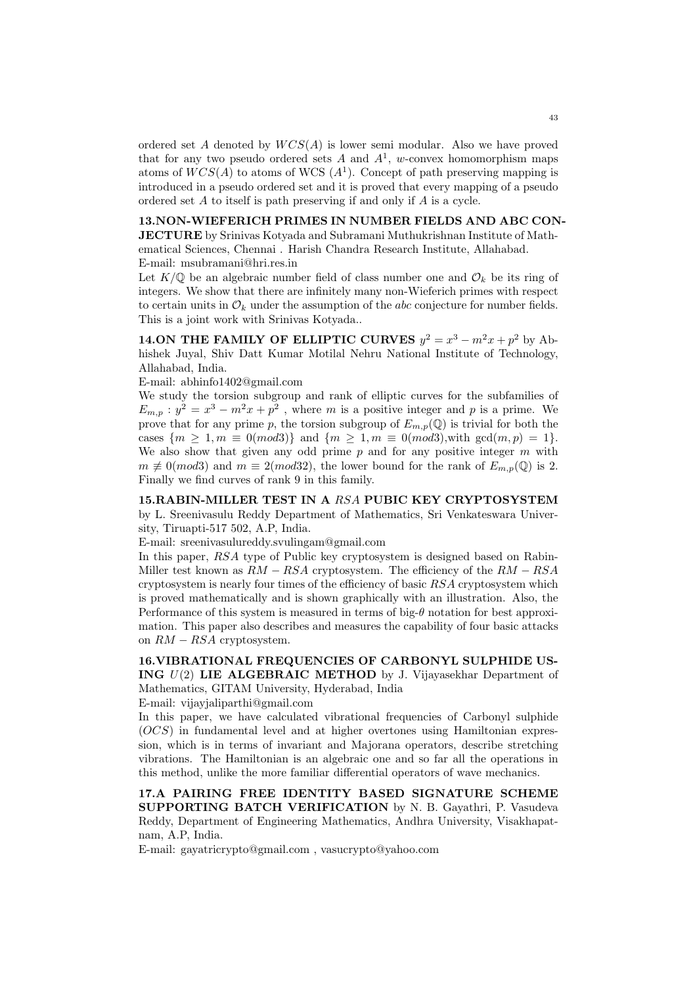ordered set A denoted by  $WCS(A)$  is lower semi modular. Also we have proved that for any two pseudo ordered sets A and  $A^1$ , w-convex homomorphism maps atoms of  $WCS(A)$  to atoms of WCS  $(A<sup>1</sup>)$ . Concept of path preserving mapping is introduced in a pseudo ordered set and it is proved that every mapping of a pseudo ordered set A to itself is path preserving if and only if A is a cycle.

#### 13.NON-WIEFERICH PRIMES IN NUMBER FIELDS AND ABC CON-

JECTURE by Srinivas Kotyada and Subramani Muthukrishnan Institute of Mathematical Sciences, Chennai . Harish Chandra Research Institute, Allahabad. E-mail: msubramani@hri.res.in

Let  $K/\mathbb{Q}$  be an algebraic number field of class number one and  $\mathcal{O}_k$  be its ring of integers. We show that there are infinitely many non-Wieferich primes with respect to certain units in  $\mathcal{O}_k$  under the assumption of the *abc* conjecture for number fields. This is a joint work with Srinivas Kotyada..

**14.ON THE FAMILY OF ELLIPTIC CURVES**  $y^2 = x^3 - m^2x + p^2$  by Abhishek Juyal, Shiv Datt Kumar Motilal Nehru National Institute of Technology, Allahabad, India.

E-mail: abhinfo1402@gmail.com

We study the torsion subgroup and rank of elliptic curves for the subfamilies of  $E_{m,p}: y^2 = x^3 - m^2x + p^2$ , where m is a positive integer and p is a prime. We prove that for any prime p, the torsion subgroup of  $E_{m,p}(\mathbb{Q})$  is trivial for both the cases  $\{m \ge 1, m \equiv 0 \pmod{3} \}$  and  $\{m \ge 1, m \equiv 0 \pmod{3}$ , with  $\gcd(m, p) = 1 \}$ . We also show that given any odd prime  $p$  and for any positive integer  $m$  with  $m \not\equiv 0 \pmod{3}$  and  $m \equiv 2 \pmod{32}$ , the lower bound for the rank of  $E_{m,p}(\mathbb{Q})$  is 2. Finally we find curves of rank 9 in this family.

15.RABIN-MILLER TEST IN A RSA PUBIC KEY CRYPTOSYSTEM by L. Sreenivasulu Reddy Department of Mathematics, Sri Venkateswara University, Tiruapti-517 502, A.P, India.

E-mail: sreenivasulureddy.svulingam@gmail.com

In this paper, RSA type of Public key cryptosystem is designed based on Rabin-Miller test known as  $RM - RSA$  cryptosystem. The efficiency of the  $RM - RSA$ cryptosystem is nearly four times of the efficiency of basic RSA cryptosystem which is proved mathematically and is shown graphically with an illustration. Also, the Performance of this system is measured in terms of big- $\theta$  notation for best approximation. This paper also describes and measures the capability of four basic attacks on  $RM - RSA$  cryptosystem.

16.VIBRATIONAL FREQUENCIES OF CARBONYL SULPHIDE US-ING U(2) LIE ALGEBRAIC METHOD by J. Vijayasekhar Department of Mathematics, GITAM University, Hyderabad, India

E-mail: vijayjaliparthi@gmail.com

In this paper, we have calculated vibrational frequencies of Carbonyl sulphide  $(OCS)$  in fundamental level and at higher overtones using Hamiltonian expression, which is in terms of invariant and Majorana operators, describe stretching vibrations. The Hamiltonian is an algebraic one and so far all the operations in this method, unlike the more familiar differential operators of wave mechanics.

17.A PAIRING FREE IDENTITY BASED SIGNATURE SCHEME SUPPORTING BATCH VERIFICATION by N. B. Gayathri, P. Vasudeva Reddy, Department of Engineering Mathematics, Andhra University, Visakhapatnam, A.P, India.

E-mail: gayatricrypto@gmail.com , vasucrypto@yahoo.com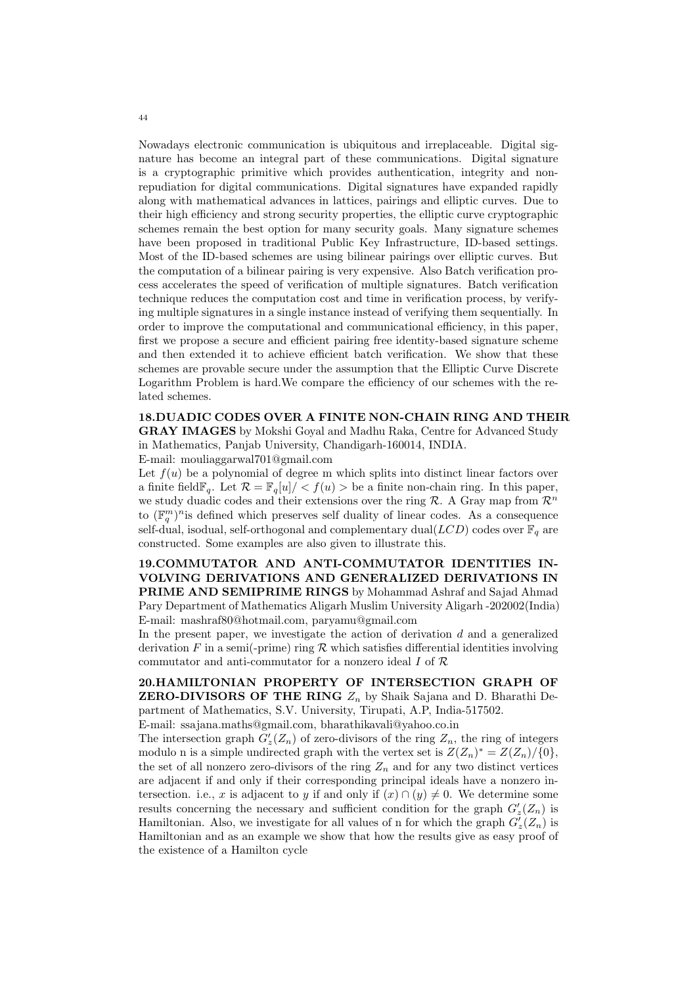Nowadays electronic communication is ubiquitous and irreplaceable. Digital signature has become an integral part of these communications. Digital signature is a cryptographic primitive which provides authentication, integrity and nonrepudiation for digital communications. Digital signatures have expanded rapidly along with mathematical advances in lattices, pairings and elliptic curves. Due to their high efficiency and strong security properties, the elliptic curve cryptographic schemes remain the best option for many security goals. Many signature schemes have been proposed in traditional Public Key Infrastructure, ID-based settings. Most of the ID-based schemes are using bilinear pairings over elliptic curves. But the computation of a bilinear pairing is very expensive. Also Batch verification process accelerates the speed of verification of multiple signatures. Batch verification technique reduces the computation cost and time in verification process, by verifying multiple signatures in a single instance instead of verifying them sequentially. In order to improve the computational and communicational efficiency, in this paper, first we propose a secure and efficient pairing free identity-based signature scheme and then extended it to achieve efficient batch verification. We show that these schemes are provable secure under the assumption that the Elliptic Curve Discrete Logarithm Problem is hard.We compare the efficiency of our schemes with the related schemes.

#### 18.DUADIC CODES OVER A FINITE NON-CHAIN RING AND THEIR GRAY IMAGES by Mokshi Goyal and Madhu Raka, Centre for Advanced Study in Mathematics, Panjab University, Chandigarh-160014, INDIA.

E-mail: mouliaggarwal701@gmail.com

Let  $f(u)$  be a polynomial of degree m which splits into distinct linear factors over a finite field  $\mathbb{F}_q$ . Let  $\mathcal{R} = \mathbb{F}_q[u]/\langle f(u) \rangle$  be a finite non-chain ring. In this paper, we study duadic codes and their extensions over the ring  $\mathcal{R}$ . A Gray map from  $\mathcal{R}^n$ to  $(\mathbb{F}_q^m)^n$  is defined which preserves self duality of linear codes. As a consequence self-dual, isodual, self-orthogonal and complementary dual( $LCD$ ) codes over  $\mathbb{F}_q$  are constructed. Some examples are also given to illustrate this.

19.COMMUTATOR AND ANTI-COMMUTATOR IDENTITIES IN-VOLVING DERIVATIONS AND GENERALIZED DERIVATIONS IN PRIME AND SEMIPRIME RINGS by Mohammad Ashraf and Sajad Ahmad Pary Department of Mathematics Aligarh Muslim University Aligarh -202002(India) E-mail: mashraf80@hotmail.com, paryamu@gmail.com

In the present paper, we investigate the action of derivation  $d$  and a generalized derivation F in a semi(-prime) ring R which satisfies differential identities involving commutator and anti-commutator for a nonzero ideal I of R

20.HAMILTONIAN PROPERTY OF INTERSECTION GRAPH OF **ZERO-DIVISORS OF THE RING**  $Z_n$  by Shaik Sajana and D. Bharathi Department of Mathematics, S.V. University, Tirupati, A.P, India-517502.

E-mail: ssajana.maths@gmail.com, bharathikavali@yahoo.co.in

The intersection graph  $G'_{z}(Z_n)$  of zero-divisors of the ring  $Z_n$ , the ring of integers modulo n is a simple undirected graph with the vertex set is  $Z(Z_n)^* = Z(Z_n)/\{0\}$ , the set of all nonzero zero-divisors of the ring  $Z_n$  and for any two distinct vertices are adjacent if and only if their corresponding principal ideals have a nonzero intersection. i.e., x is adjacent to y if and only if  $(x) \cap (y) \neq 0$ . We determine some results concerning the necessary and sufficient condition for the graph  $G'_{z}(Z_n)$  is Hamiltonian. Also, we investigate for all values of n for which the graph  $G'_{z}(Z_n)$  is Hamiltonian and as an example we show that how the results give as easy proof of the existence of a Hamilton cycle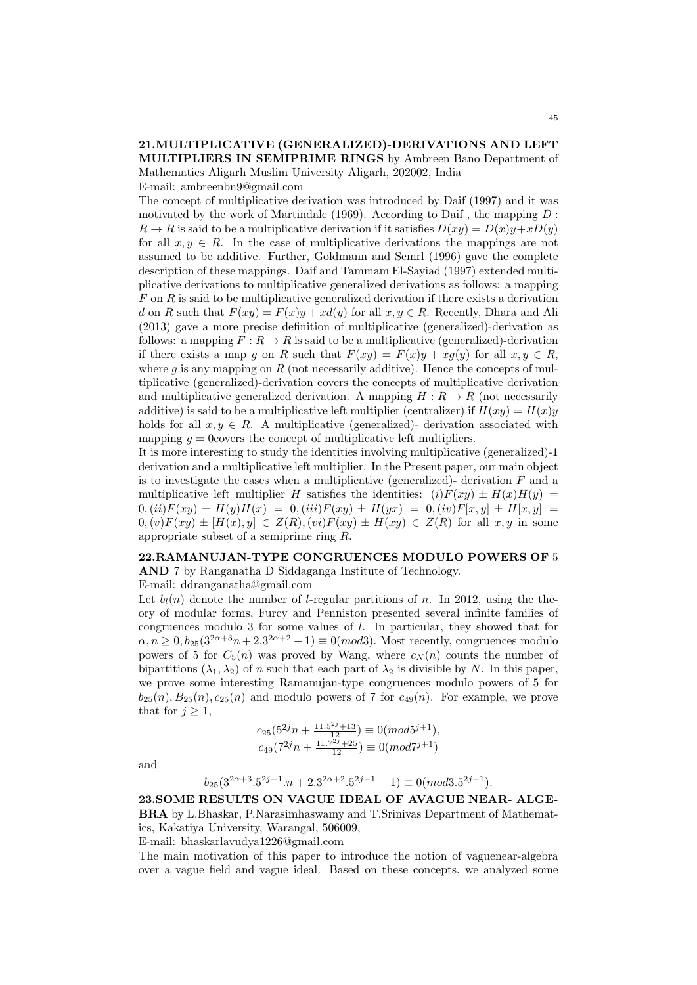## 21.MULTIPLICATIVE (GENERALIZED)-DERIVATIONS AND LEFT MULTIPLIERS IN SEMIPRIME RINGS by Ambreen Bano Department of Mathematics Aligarh Muslim University Aligarh, 202002, India

E-mail: ambreenbn9@gmail.com

The concept of multiplicative derivation was introduced by Daif (1997) and it was motivated by the work of Martindale (1969). According to Daif, the mapping  $D$ :  $R \to R$  is said to be a multiplicative derivation if it satisfies  $D(xy) = D(x)y + xD(y)$ for all  $x, y \in R$ . In the case of multiplicative derivations the mappings are not assumed to be additive. Further, Goldmann and Semrl (1996) gave the complete description of these mappings. Daif and Tammam El-Sayiad (1997) extended multiplicative derivations to multiplicative generalized derivations as follows: a mapping  $F$  on  $R$  is said to be multiplicative generalized derivation if there exists a derivation d on R such that  $F(xy) = F(x)y + xd(y)$  for all  $x, y \in R$ . Recently, Dhara and Ali (2013) gave a more precise definition of multiplicative (generalized)-derivation as follows: a mapping  $F: R \to R$  is said to be a multiplicative (generalized)-derivation if there exists a map q on R such that  $F(xy) = F(x)y + xq(y)$  for all  $x, y \in R$ , where  $g$  is any mapping on  $R$  (not necessarily additive). Hence the concepts of multiplicative (generalized)-derivation covers the concepts of multiplicative derivation and multiplicative generalized derivation. A mapping  $H: R \to R$  (not necessarily additive) is said to be a multiplicative left multiplier (centralizer) if  $H(xy) = H(x)y$ holds for all  $x, y \in R$ . A multiplicative (generalized)- derivation associated with mapping  $q = 0$  covers the concept of multiplicative left multipliers.

It is more interesting to study the identities involving multiplicative (generalized)-1 derivation and a multiplicative left multiplier. In the Present paper, our main object is to investigate the cases when a multiplicative (generalized)- derivation  $F$  and a multiplicative left multiplier H satisfies the identities:  $(i)F(xy) \pm H(x)H(y) =$  $0, (ii)F(xy) \pm H(y)H(x) = 0, (iii)F(xy) \pm H(yx) = 0, (iv)F[x, y] \pm H[x, y] =$  $(0,(v)F(xy) \pm [H(x), y] \in Z(R), (vi)F(xy) \pm H(xy) \in Z(R)$  for all  $x, y$  in some appropriate subset of a semiprime ring R.

#### 22.RAMANUJAN-TYPE CONGRUENCES MODULO POWERS OF 5

AND 7 by Ranganatha D Siddaganga Institute of Technology.

E-mail: ddranganatha@gmail.com

Let  $b_l(n)$  denote the number of *l*-regular partitions of n. In 2012, using the theory of modular forms, Furcy and Penniston presented several infinite families of congruences modulo 3 for some values of l. In particular, they showed that for  $\alpha, n \geq 0, b_{25}(3^{2\alpha+3}n+2.3^{2\alpha+2}-1) \equiv 0 (mod 3)$ . Most recently, congruences modulo powers of 5 for  $C_5(n)$  was proved by Wang, where  $c_N(n)$  counts the number of bipartitions  $(\lambda_1, \lambda_2)$  of n such that each part of  $\lambda_2$  is divisible by N. In this paper, we prove some interesting Ramanujan-type congruences modulo powers of 5 for  $b_{25}(n), B_{25}(n), c_{25}(n)$  and modulo powers of 7 for  $c_{49}(n)$ . For example, we prove that for  $j \geq 1$ ,

$$
c_{25}(5^{2j}n + \frac{11.5^{2j} + 13}{12}) \equiv 0(mod5^{j+1}),
$$
  

$$
c_{49}(7^{2j}n + \frac{11.7^{2j} + 25}{12}) \equiv 0(mod7^{j+1})
$$

and

$$
b_{25}(3^{2\alpha+3} \cdot 5^{2j-1} \cdot n + 2 \cdot 3^{2\alpha+2} \cdot 5^{2j-1} - 1) \equiv 0 \pmod{3 \cdot 5^{2j-1}}.
$$

23.SOME RESULTS ON VAGUE IDEAL OF AVAGUE NEAR- ALGE-BRA by L.Bhaskar, P.Narasimhaswamy and T.Srinivas Department of Mathematics, Kakatiya University, Warangal, 506009,

E-mail: bhaskarlavudya1226@gmail.com

The main motivation of this paper to introduce the notion of vaguenear-algebra over a vague field and vague ideal. Based on these concepts, we analyzed some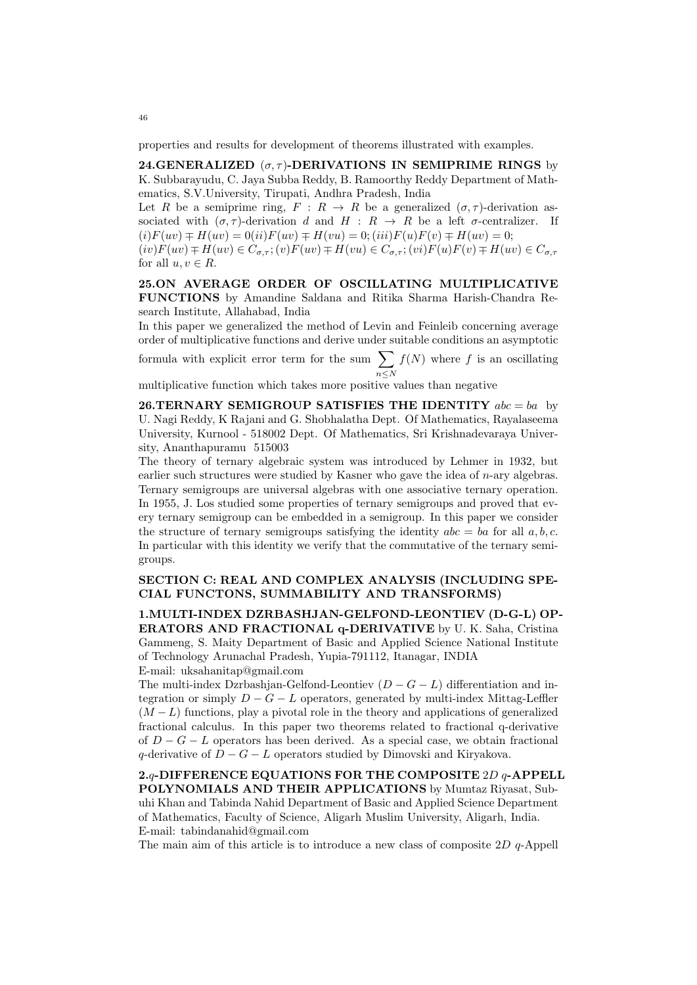properties and results for development of theorems illustrated with examples.

24.GENERALIZED  $(\sigma, \tau)$ -DERIVATIONS IN SEMIPRIME RINGS by K. Subbarayudu, C. Jaya Subba Reddy, B. Ramoorthy Reddy Department of Mathematics, S.V.University, Tirupati, Andhra Pradesh, India

Let R be a semiprime ring,  $F: R \to R$  be a generalized  $(\sigma, \tau)$ -derivation associated with  $(\sigma, \tau)$ -derivation d and  $H : R \to R$  be a left  $\sigma$ -centralizer. If  $(i)F(uv) \mp H(uv) = 0(ii)F(uv) \mp H(vu) = 0; (iii)F(u)F(v) \mp H(uv) = 0;$  $(iv)F(uv) \mp H(uv) \in C_{\sigma,\tau}$ ;  $(v)F(uv) \mp H(vu) \in C_{\sigma,\tau}$ ;  $(vi)F(u)F(v) \mp H(uv) \in C_{\sigma,\tau}$ 

for all  $u, v \in R$ .

25.ON AVERAGE ORDER OF OSCILLATING MULTIPLICATIVE FUNCTIONS by Amandine Saldana and Ritika Sharma Harish-Chandra Research Institute, Allahabad, India

In this paper we generalized the method of Levin and Feinleib concerning average order of multiplicative functions and derive under suitable conditions an asymptotic

formula with explicit error term for the sum  $\sum$  $n \leq N$  $f(N)$  where f is an oscillating

multiplicative function which takes more positive values than negative

26.TERNARY SEMIGROUP SATISFIES THE IDENTITY  $abc = ba$  by U. Nagi Reddy, K Rajani and G. Shobhalatha Dept. Of Mathematics, Rayalaseema University, Kurnool - 518002 Dept. Of Mathematics, Sri Krishnadevaraya University, Ananthapuramu 515003

The theory of ternary algebraic system was introduced by Lehmer in 1932, but earlier such structures were studied by Kasner who gave the idea of  $n$ -ary algebras. Ternary semigroups are universal algebras with one associative ternary operation. In 1955, J. Los studied some properties of ternary semigroups and proved that every ternary semigroup can be embedded in a semigroup. In this paper we consider the structure of ternary semigroups satisfying the identity  $abc = ba$  for all a, b, c. In particular with this identity we verify that the commutative of the ternary semigroups.

#### SECTION C: REAL AND COMPLEX ANALYSIS (INCLUDING SPE-CIAL FUNCTONS, SUMMABILITY AND TRANSFORMS)

1.MULTI-INDEX DZRBASHJAN-GELFOND-LEONTIEV (D-G-L) OP-ERATORS AND FRACTIONAL q-DERIVATIVE by U. K. Saha, Cristina Gammeng, S. Maity Department of Basic and Applied Science National Institute of Technology Arunachal Pradesh, Yupia-791112, Itanagar, INDIA E-mail: uksahanitap@gmail.com

The multi-index Dzrbashjan-Gelfond-Leontiev  $(D - G - L)$  differentiation and integration or simply  $D - G - L$  operators, generated by multi-index Mittag-Leffler  $(M - L)$  functions, play a pivotal role in the theory and applications of generalized fractional calculus. In this paper two theorems related to fractional q-derivative of  $D - G - L$  operators has been derived. As a special case, we obtain fractional q-derivative of  $D - G - L$  operators studied by Dimovski and Kiryakova.

2.q-DIFFERENCE EQUATIONS FOR THE COMPOSITE 2D q-APPELL POLYNOMIALS AND THEIR APPLICATIONS by Mumtaz Riyasat, Subuhi Khan and Tabinda Nahid Department of Basic and Applied Science Department of Mathematics, Faculty of Science, Aligarh Muslim University, Aligarh, India. E-mail: tabindanahid@gmail.com

The main aim of this article is to introduce a new class of composite  $2D$  q-Appell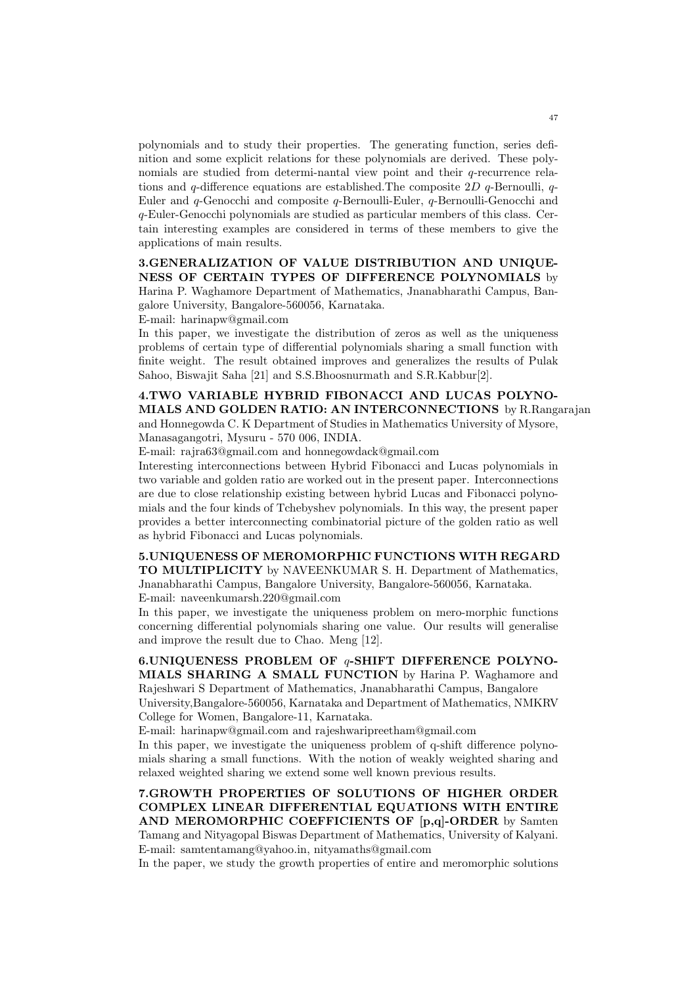polynomials and to study their properties. The generating function, series definition and some explicit relations for these polynomials are derived. These polynomials are studied from determi-nantal view point and their q-recurrence relations and q-difference equations are established. The composite  $2D$  q-Bernoulli, q-Euler and q-Genocchi and composite q-Bernoulli-Euler, q-Bernoulli-Genocchi and q-Euler-Genocchi polynomials are studied as particular members of this class. Certain interesting examples are considered in terms of these members to give the applications of main results.

## 3.GENERALIZATION OF VALUE DISTRIBUTION AND UNIQUE-NESS OF CERTAIN TYPES OF DIFFERENCE POLYNOMIALS by Harina P. Waghamore Department of Mathematics, Jnanabharathi Campus, Ban-

galore University, Bangalore-560056, Karnataka.

E-mail: harinapw@gmail.com

In this paper, we investigate the distribution of zeros as well as the uniqueness problems of certain type of differential polynomials sharing a small function with finite weight. The result obtained improves and generalizes the results of Pulak Sahoo, Biswajit Saha [21] and S.S.Bhoosnurmath and S.R.Kabbur[2].

## 4.TWO VARIABLE HYBRID FIBONACCI AND LUCAS POLYNO-MIALS AND GOLDEN RATIO: AN INTERCONNECTIONS by R.Rangarajan and Honnegowda C. K Department of Studies in Mathematics University of Mysore, Manasagangotri, Mysuru - 570 006, INDIA.

E-mail: rajra63@gmail.com and honnegowdack@gmail.com

Interesting interconnections between Hybrid Fibonacci and Lucas polynomials in two variable and golden ratio are worked out in the present paper. Interconnections are due to close relationship existing between hybrid Lucas and Fibonacci polynomials and the four kinds of Tchebyshev polynomials. In this way, the present paper provides a better interconnecting combinatorial picture of the golden ratio as well as hybrid Fibonacci and Lucas polynomials.

## 5.UNIQUENESS OF MEROMORPHIC FUNCTIONS WITH REGARD

TO MULTIPLICITY by NAVEENKUMAR S. H. Department of Mathematics, Jnanabharathi Campus, Bangalore University, Bangalore-560056, Karnataka. E-mail: naveenkumarsh.220@gmail.com

In this paper, we investigate the uniqueness problem on mero-morphic functions concerning differential polynomials sharing one value. Our results will generalise and improve the result due to Chao. Meng [12].

# 6.UNIQUENESS PROBLEM OF q-SHIFT DIFFERENCE POLYNO-MIALS SHARING A SMALL FUNCTION by Harina P. Waghamore and Rajeshwari S Department of Mathematics, Jnanabharathi Campus, Bangalore

University,Bangalore-560056, Karnataka and Department of Mathematics, NMKRV College for Women, Bangalore-11, Karnataka.

E-mail: harinapw@gmail.com and rajeshwaripreetham@gmail.com

In this paper, we investigate the uniqueness problem of q-shift difference polynomials sharing a small functions. With the notion of weakly weighted sharing and relaxed weighted sharing we extend some well known previous results.

## 7.GROWTH PROPERTIES OF SOLUTIONS OF HIGHER ORDER COMPLEX LINEAR DIFFERENTIAL EQUATIONS WITH ENTIRE AND MEROMORPHIC COEFFICIENTS OF [p,q]-ORDER by Samten Tamang and Nityagopal Biswas Department of Mathematics, University of Kalyani. E-mail: samtentamang@yahoo.in, nityamaths@gmail.com

In the paper, we study the growth properties of entire and meromorphic solutions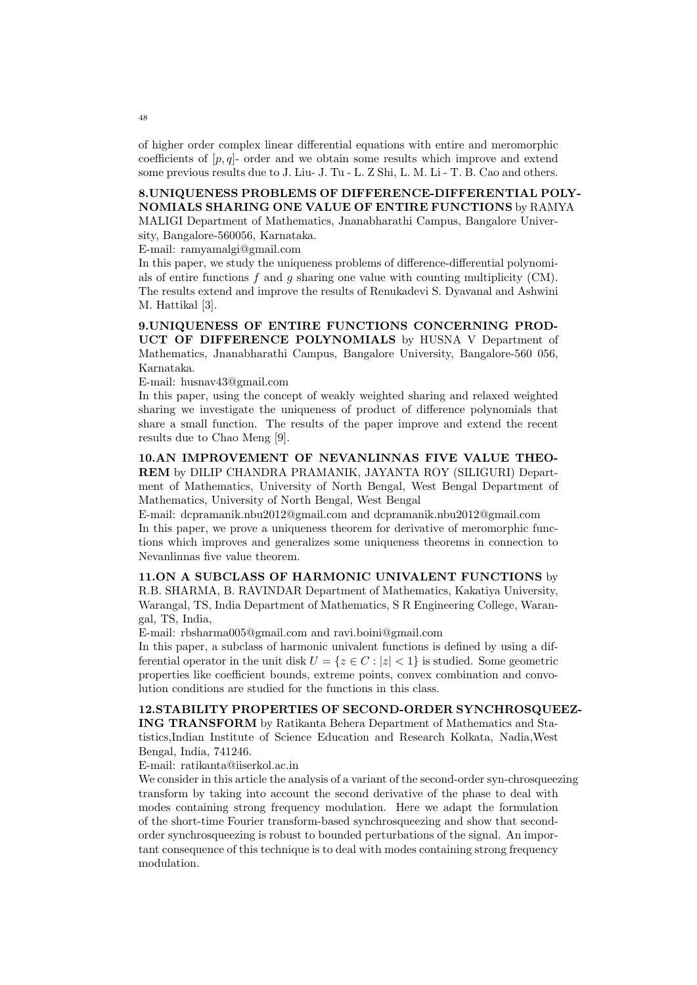of higher order complex linear differential equations with entire and meromorphic coefficients of  $[p, q]$ - order and we obtain some results which improve and extend some previous results due to J. Liu- J. Tu - L. Z Shi, L. M. Li - T. B. Cao and others.

## 8.UNIQUENESS PROBLEMS OF DIFFERENCE-DIFFERENTIAL POLY-NOMIALS SHARING ONE VALUE OF ENTIRE FUNCTIONS by RAMYA

MALIGI Department of Mathematics, Jnanabharathi Campus, Bangalore University, Bangalore-560056, Karnataka.

E-mail: ramyamalgi@gmail.com

In this paper, we study the uniqueness problems of difference-differential polynomials of entire functions  $f$  and  $g$  sharing one value with counting multiplicity (CM). The results extend and improve the results of Renukadevi S. Dyavanal and Ashwini M. Hattikal [3].

9.UNIQUENESS OF ENTIRE FUNCTIONS CONCERNING PROD-UCT OF DIFFERENCE POLYNOMIALS by HUSNA V Department of Mathematics, Jnanabharathi Campus, Bangalore University, Bangalore-560 056, Karnataka.

E-mail: husnav43@gmail.com

In this paper, using the concept of weakly weighted sharing and relaxed weighted sharing we investigate the uniqueness of product of difference polynomials that share a small function. The results of the paper improve and extend the recent results due to Chao Meng [9].

10.AN IMPROVEMENT OF NEVANLINNAS FIVE VALUE THEO-REM by DILIP CHANDRA PRAMANIK, JAYANTA ROY (SILIGURI) Department of Mathematics, University of North Bengal, West Bengal Department of Mathematics, University of North Bengal, West Bengal

E-mail: dcpramanik.nbu2012@gmail.com and dcpramanik.nbu2012@gmail.com In this paper, we prove a uniqueness theorem for derivative of meromorphic functions which improves and generalizes some uniqueness theorems in connection to Nevanlinnas five value theorem.

11.ON A SUBCLASS OF HARMONIC UNIVALENT FUNCTIONS by R.B. SHARMA, B. RAVINDAR Department of Mathematics, Kakatiya University, Warangal, TS, India Department of Mathematics, S R Engineering College, Warangal, TS, India,

E-mail: rbsharma005@gmail.com and ravi.boini@gmail.com

In this paper, a subclass of harmonic univalent functions is defined by using a differential operator in the unit disk  $U = \{z \in C : |z| < 1\}$  is studied. Some geometric properties like coefficient bounds, extreme points, convex combination and convolution conditions are studied for the functions in this class.

## 12.STABILITY PROPERTIES OF SECOND-ORDER SYNCHROSQUEEZ-

ING TRANSFORM by Ratikanta Behera Department of Mathematics and Statistics,Indian Institute of Science Education and Research Kolkata, Nadia,West Bengal, India, 741246.

E-mail: ratikanta@iiserkol.ac.in

We consider in this article the analysis of a variant of the second-order syn-chrosqueezing transform by taking into account the second derivative of the phase to deal with modes containing strong frequency modulation. Here we adapt the formulation of the short-time Fourier transform-based synchrosqueezing and show that secondorder synchrosqueezing is robust to bounded perturbations of the signal. An important consequence of this technique is to deal with modes containing strong frequency modulation.

48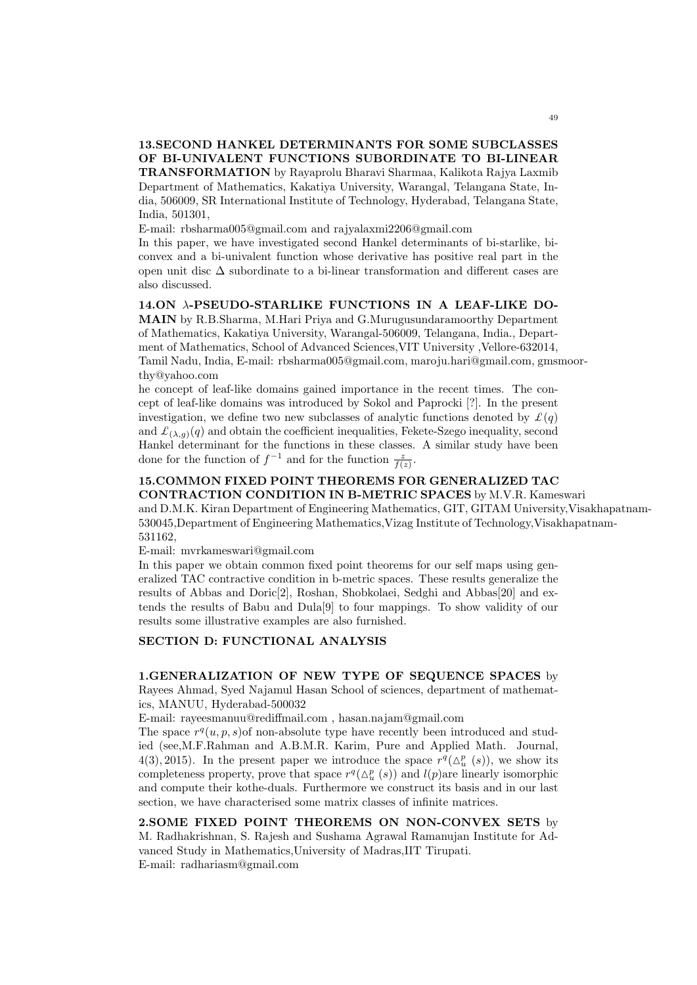13.SECOND HANKEL DETERMINANTS FOR SOME SUBCLASSES OF BI-UNIVALENT FUNCTIONS SUBORDINATE TO BI-LINEAR TRANSFORMATION by Rayaprolu Bharavi Sharmaa, Kalikota Rajya Laxmib Department of Mathematics, Kakatiya University, Warangal, Telangana State, India, 506009, SR International Institute of Technology, Hyderabad, Telangana State, India, 501301,

E-mail: rbsharma005@gmail.com and rajyalaxmi2206@gmail.com

In this paper, we have investigated second Hankel determinants of bi-starlike, biconvex and a bi-univalent function whose derivative has positive real part in the open unit disc ∆ subordinate to a bi-linear transformation and different cases are also discussed.

14.ON λ-PSEUDO-STARLIKE FUNCTIONS IN A LEAF-LIKE DO-MAIN by R.B.Sharma, M.Hari Priya and G.Murugusundaramoorthy Department of Mathematics, Kakatiya University, Warangal-506009, Telangana, India., Department of Mathematics, School of Advanced Sciences,VIT University ,Vellore-632014, Tamil Nadu, India, E-mail: rbsharma005@gmail.com, maroju.hari@gmail.com, gmsmoorthy@yahoo.com

he concept of leaf-like domains gained importance in the recent times. The concept of leaf-like domains was introduced by Sokol and Paprocki [?]. In the present investigation, we define two new subclasses of analytic functions denoted by  $\mathcal{L}(q)$ and  $\mathcal{L}_{(\lambda,g)}(q)$  and obtain the coefficient inequalities, Fekete-Szego inequality, second Hankel determinant for the functions in these classes. A similar study have been done for the function of  $f^{-1}$  and for the function  $\frac{z}{f(z)}$ .

# 15.COMMON FIXED POINT THEOREMS FOR GENERALIZED TAC

CONTRACTION CONDITION IN B-METRIC SPACES by M.V.R. Kameswari and D.M.K. Kiran Department of Engineering Mathematics, GIT, GITAM University,Visakhapatnam-530045,Department of Engineering Mathematics,Vizag Institute of Technology,Visakhapatnam-531162,

E-mail: mvrkameswari@gmail.com

In this paper we obtain common fixed point theorems for our self maps using generalized TAC contractive condition in b-metric spaces. These results generalize the results of Abbas and Doric[2], Roshan, Shobkolaei, Sedghi and Abbas[20] and extends the results of Babu and Dula[9] to four mappings. To show validity of our results some illustrative examples are also furnished.

#### SECTION D: FUNCTIONAL ANALYSIS

## 1.GENERALIZATION OF NEW TYPE OF SEQUENCE SPACES by

Rayees Ahmad, Syed Najamul Hasan School of sciences, department of mathematics, MANUU, Hyderabad-500032

E-mail: rayeesmanuu@rediffmail.com , hasan.najam@gmail.com

The space  $r^q(u, p, s)$  of non-absolute type have recently been introduced and studied (see,M.F.Rahman and A.B.M.R. Karim, Pure and Applied Math. Journal, 4(3), 2015). In the present paper we introduce the space  $r^q(\Delta_u^p(s))$ , we show its completeness property, prove that space  $r^q(\Delta_u^p(s))$  and  $l(p)$ are linearly isomorphic and compute their kothe-duals. Furthermore we construct its basis and in our last section, we have characterised some matrix classes of infinite matrices.

2.SOME FIXED POINT THEOREMS ON NON-CONVEX SETS by M. Radhakrishnan, S. Rajesh and Sushama Agrawal Ramanujan Institute for Advanced Study in Mathematics,University of Madras,IIT Tirupati. E-mail: radhariasm@gmail.com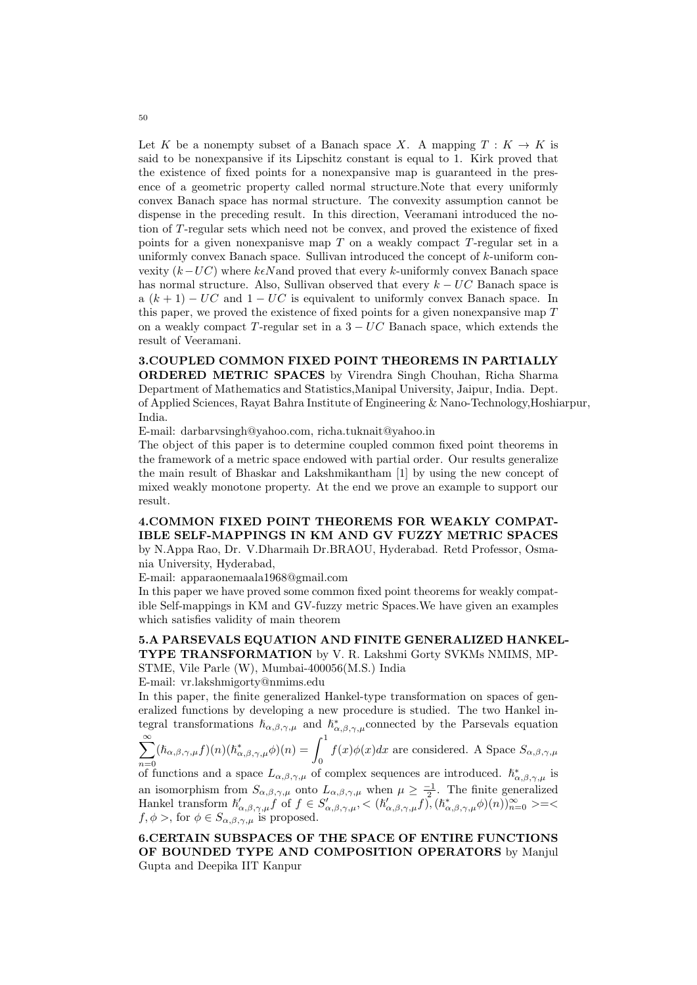Let K be a nonempty subset of a Banach space X. A mapping  $T : K \to K$  is said to be nonexpansive if its Lipschitz constant is equal to 1. Kirk proved that the existence of fixed points for a nonexpansive map is guaranteed in the presence of a geometric property called normal structure.Note that every uniformly convex Banach space has normal structure. The convexity assumption cannot be dispense in the preceding result. In this direction, Veeramani introduced the notion of T-regular sets which need not be convex, and proved the existence of fixed points for a given nonexpanisve map T on a weakly compact T-regular set in a uniformly convex Banach space. Sullivan introduced the concept of k-uniform convexity  $(k-UC)$  where  $k\epsilon N$  and proved that every k-uniformly convex Banach space has normal structure. Also, Sullivan observed that every  $k - UC$  Banach space is a  $(k + 1) - UC$  and  $1 - UC$  is equivalent to uniformly convex Banach space. In this paper, we proved the existence of fixed points for a given nonexpansive map  $T$ on a weakly compact T-regular set in a  $3 - UC$  Banach space, which extends the result of Veeramani.

3.COUPLED COMMON FIXED POINT THEOREMS IN PARTIALLY ORDERED METRIC SPACES by Virendra Singh Chouhan, Richa Sharma Department of Mathematics and Statistics,Manipal University, Jaipur, India. Dept. of Applied Sciences, Rayat Bahra Institute of Engineering & Nano-Technology,Hoshiarpur, India.

E-mail: darbarvsingh@yahoo.com, richa.tuknait@yahoo.in

The object of this paper is to determine coupled common fixed point theorems in the framework of a metric space endowed with partial order. Our results generalize the main result of Bhaskar and Lakshmikantham [1] by using the new concept of mixed weakly monotone property. At the end we prove an example to support our result.

4.COMMON FIXED POINT THEOREMS FOR WEAKLY COMPAT-IBLE SELF-MAPPINGS IN KM AND GV FUZZY METRIC SPACES by N.Appa Rao, Dr. V.Dharmaih Dr.BRAOU, Hyderabad. Retd Professor, Osma-

nia University, Hyderabad,

E-mail: apparaonemaala1968@gmail.com

In this paper we have proved some common fixed point theorems for weakly compatible Self-mappings in KM and GV-fuzzy metric Spaces.We have given an examples which satisfies validity of main theorem

# 5.A PARSEVALS EQUATION AND FINITE GENERALIZED HANKEL-TYPE TRANSFORMATION by V. R. Lakshmi Gorty SVKMs NMIMS, MP-

STME, Vile Parle (W), Mumbai-400056(M.S.) India

E-mail: vr.lakshmigorty@nmims.edu

In this paper, the finite generalized Hankel-type transformation on spaces of generalized functions by developing a new procedure is studied. The two Hankel integral transformations  $h_{\alpha,\beta,\gamma,\mu}$  and  $h_{\alpha,\beta,\gamma,\mu}^*$  connected by the Parsevals equation

$$
\sum_{n=0}^{\infty} (\hbar_{\alpha,\beta,\gamma,\mu} f)(n) (\hbar_{\alpha,\beta,\gamma,\mu}^{*} \phi)(n) = \int_{0}^{1} f(x) \phi(x) dx
$$
 are considered. A Space  $S_{\alpha,\beta,\gamma,\mu}$ 

<sup>n=0</sup> of functions and a space  $L_{\alpha,\beta,\gamma,\mu}$  of complex sequences are introduced.  $\hbar^*_{\alpha,\beta,\gamma,\mu}$  is an isomorphism from  $S_{\alpha,\beta,\gamma,\mu}$  onto  $L_{\alpha,\beta,\gamma,\mu}$  when  $\mu \geq \frac{-1}{2}$ . The finite generalized Hankel transform  $h'_{\alpha,\beta,\gamma,\mu}f^{\gamma}$  of  $f \in S'_{\alpha,\beta,\gamma,\mu}, < (h'_{\alpha,\beta,\gamma,\mu}f)$ ,  $(h^{*}_{\alpha,\beta,\gamma,\mu}\phi)(n)$ ,  $\sum_{n=0}^{\infty}$  >=<  $f, \phi >$ , for  $\phi \in S_{\alpha,\beta,\gamma,\mu}$  is proposed.

6.CERTAIN SUBSPACES OF THE SPACE OF ENTIRE FUNCTIONS OF BOUNDED TYPE AND COMPOSITION OPERATORS by Manjul Gupta and Deepika IIT Kanpur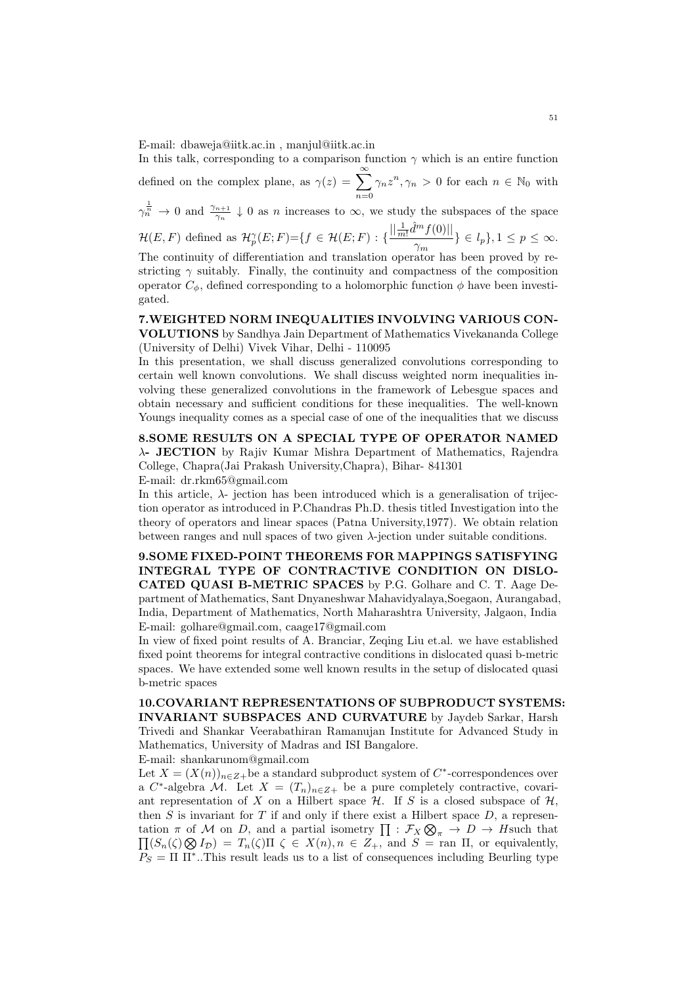E-mail: dbaweja@iitk.ac.in , manjul@iitk.ac.in

In this talk, corresponding to a comparison function  $\gamma$  which is an entire function defined on the complex plane, as  $\gamma(z) = \sum_{n=0}^{\infty}$  $n=0$  $\gamma_n z^n, \gamma_n > 0$  for each  $n \in \mathbb{N}_0$  with

 $\gamma_n^{\frac{1}{n}} \to 0$  and  $\frac{\gamma_{n+1}}{\gamma_n} \downarrow 0$  as n increases to  $\infty$ , we study the subspaces of the space

$$
\mathcal{H}(E,F) \text{ defined as } \mathcal{H}_p^{\gamma}(E;F) = \{ f \in \mathcal{H}(E;F) : \{ \frac{||\frac{1}{m!} \hat{d}^m f(0)||}{\gamma_m} \} \in l_p \}, 1 \leq p \leq \infty.
$$

The continuity of differentiation and translation operator has been proved by restricting  $\gamma$  suitably. Finally, the continuity and compactness of the composition operator  $C_{\phi}$ , defined corresponding to a holomorphic function  $\phi$  have been investigated.

#### 7.WEIGHTED NORM INEQUALITIES INVOLVING VARIOUS CON-VOLUTIONS by Sandhya Jain Department of Mathematics Vivekananda College (University of Delhi) Vivek Vihar, Delhi - 110095

In this presentation, we shall discuss generalized convolutions corresponding to certain well known convolutions. We shall discuss weighted norm inequalities involving these generalized convolutions in the framework of Lebesgue spaces and obtain necessary and sufficient conditions for these inequalities. The well-known Youngs inequality comes as a special case of one of the inequalities that we discuss

8.SOME RESULTS ON A SPECIAL TYPE OF OPERATOR NAMED λ- JECTION by Rajiv Kumar Mishra Department of Mathematics, Rajendra College, Chapra(Jai Prakash University,Chapra), Bihar- 841301

E-mail: dr.rkm65@gmail.com

In this article,  $\lambda$ - jection has been introduced which is a generalisation of trijection operator as introduced in P.Chandras Ph.D. thesis titled Investigation into the theory of operators and linear spaces (Patna University,1977). We obtain relation between ranges and null spaces of two given  $\lambda$ -jection under suitable conditions.

9.SOME FIXED-POINT THEOREMS FOR MAPPINGS SATISFYING INTEGRAL TYPE OF CONTRACTIVE CONDITION ON DISLO-CATED QUASI B-METRIC SPACES by P.G. Golhare and C. T. Aage Department of Mathematics, Sant Dnyaneshwar Mahavidyalaya,Soegaon, Aurangabad, India, Department of Mathematics, North Maharashtra University, Jalgaon, India E-mail: golhare@gmail.com, caage17@gmail.com

In view of fixed point results of A. Branciar, Zeqing Liu et.al. we have established fixed point theorems for integral contractive conditions in dislocated quasi b-metric spaces. We have extended some well known results in the setup of dislocated quasi b-metric spaces

10.COVARIANT REPRESENTATIONS OF SUBPRODUCT SYSTEMS: INVARIANT SUBSPACES AND CURVATURE by Jaydeb Sarkar, Harsh Trivedi and Shankar Veerabathiran Ramanujan Institute for Advanced Study in Mathematics, University of Madras and ISI Bangalore.

E-mail: shankarunom@gmail.com

Let  $X = (X(n))_{n \in \mathbb{Z}+}$  be a standard subproduct system of  $C^*$ -correspondences over a C<sup>\*</sup>-algebra M. Let  $X = (T_n)_{n \in \mathbb{Z}+}$  be a pure completely contractive, covariant representation of X on a Hilbert space  $H$ . If S is a closed subspace of  $H$ , then S is invariant for T if and only if there exist a Hilbert space  $D$ , a representation  $\pi$  of M on D, and a partial isometry  $\prod : \mathcal{F}_X \otimes$ tation  $\pi$  of M on D, and a partial isometry  $\prod : \mathcal{F}_X \otimes_{\pi} \to D \to H$ such that  $\prod (S_n(\zeta) \otimes I_D) = T_n(\zeta) \Pi \zeta \in X(n), n \in Z_+$ , and  $S = \text{ran } \Pi$ , or equivalently,  $P_S = \Pi \Pi^*$ ..This result leads us to a list of consequences including Beurling type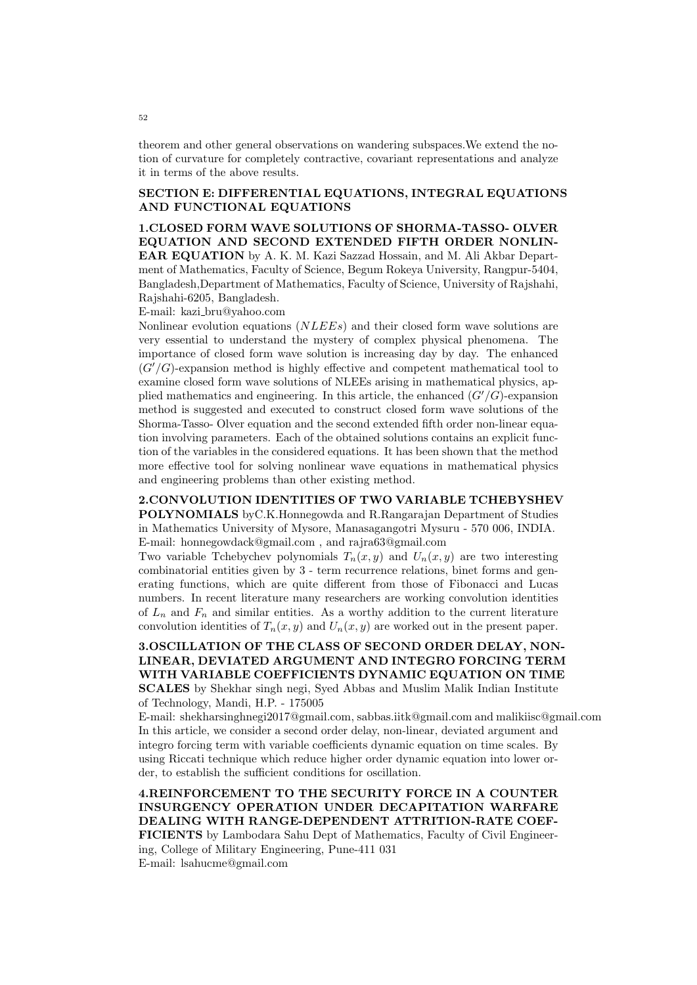theorem and other general observations on wandering subspaces.We extend the notion of curvature for completely contractive, covariant representations and analyze it in terms of the above results.

#### SECTION E: DIFFERENTIAL EQUATIONS, INTEGRAL EQUATIONS AND FUNCTIONAL EQUATIONS

1.CLOSED FORM WAVE SOLUTIONS OF SHORMA-TASSO- OLVER EQUATION AND SECOND EXTENDED FIFTH ORDER NONLIN-EAR EQUATION by A. K. M. Kazi Sazzad Hossain, and M. Ali Akbar Department of Mathematics, Faculty of Science, Begum Rokeya University, Rangpur-5404, Bangladesh,Department of Mathematics, Faculty of Science, University of Rajshahi, Rajshahi-6205, Bangladesh.

E-mail: kazi bru@yahoo.com

Nonlinear evolution equations (NLEEs) and their closed form wave solutions are very essential to understand the mystery of complex physical phenomena. The importance of closed form wave solution is increasing day by day. The enhanced  $(G'/G)$ -expansion method is highly effective and competent mathematical tool to examine closed form wave solutions of NLEEs arising in mathematical physics, applied mathematics and engineering. In this article, the enhanced  $(G'/G)$ -expansion method is suggested and executed to construct closed form wave solutions of the Shorma-Tasso- Olver equation and the second extended fifth order non-linear equation involving parameters. Each of the obtained solutions contains an explicit function of the variables in the considered equations. It has been shown that the method more effective tool for solving nonlinear wave equations in mathematical physics and engineering problems than other existing method.

2.CONVOLUTION IDENTITIES OF TWO VARIABLE TCHEBYSHEV POLYNOMIALS byC.K.Honnegowda and R.Rangarajan Department of Studies in Mathematics University of Mysore, Manasagangotri Mysuru - 570 006, INDIA. E-mail: honnegowdack@gmail.com , and rajra63@gmail.com

Two variable Tchebychev polynomials  $T_n(x, y)$  and  $U_n(x, y)$  are two interesting combinatorial entities given by 3 - term recurrence relations, binet forms and generating functions, which are quite different from those of Fibonacci and Lucas numbers. In recent literature many researchers are working convolution identities of  $L_n$  and  $F_n$  and similar entities. As a worthy addition to the current literature convolution identities of  $T_n(x, y)$  and  $U_n(x, y)$  are worked out in the present paper.

## 3.OSCILLATION OF THE CLASS OF SECOND ORDER DELAY, NON-LINEAR, DEVIATED ARGUMENT AND INTEGRO FORCING TERM WITH VARIABLE COEFFICIENTS DYNAMIC EQUATION ON TIME SCALES by Shekhar singh negi, Syed Abbas and Muslim Malik Indian Institute of Technology, Mandi, H.P. - 175005

E-mail: shekharsinghnegi2017@gmail.com, sabbas.iitk@gmail.com and malikiisc@gmail.com In this article, we consider a second order delay, non-linear, deviated argument and integro forcing term with variable coefficients dynamic equation on time scales. By using Riccati technique which reduce higher order dynamic equation into lower order, to establish the sufficient conditions for oscillation.

4.REINFORCEMENT TO THE SECURITY FORCE IN A COUNTER INSURGENCY OPERATION UNDER DECAPITATION WARFARE DEALING WITH RANGE-DEPENDENT ATTRITION-RATE COEF-FICIENTS by Lambodara Sahu Dept of Mathematics, Faculty of Civil Engineering, College of Military Engineering, Pune-411 031 E-mail: lsahucme@gmail.com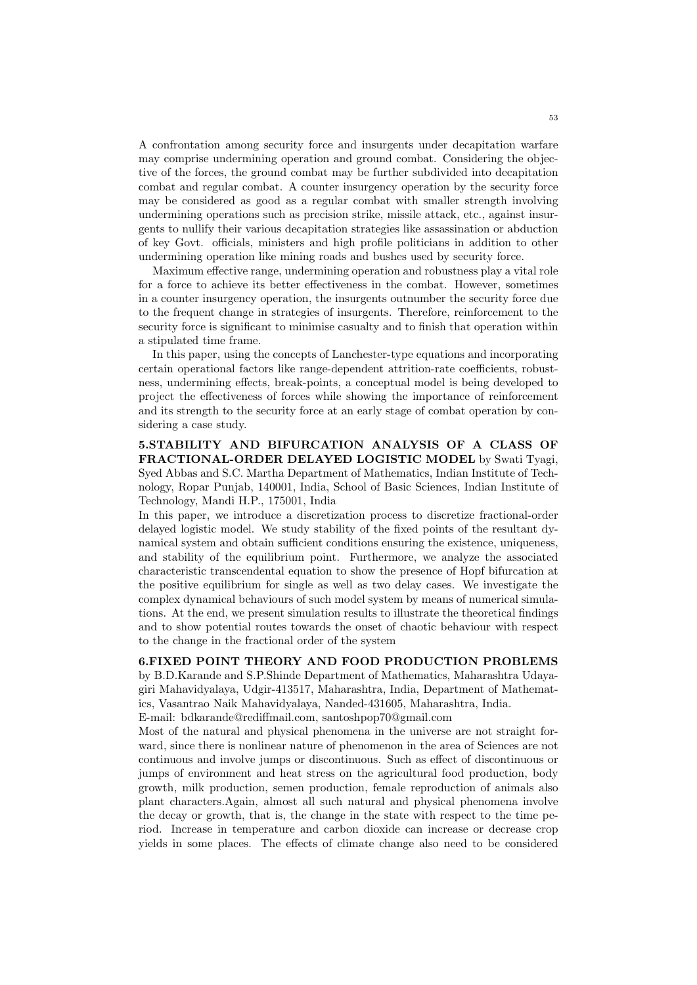A confrontation among security force and insurgents under decapitation warfare may comprise undermining operation and ground combat. Considering the objective of the forces, the ground combat may be further subdivided into decapitation combat and regular combat. A counter insurgency operation by the security force may be considered as good as a regular combat with smaller strength involving undermining operations such as precision strike, missile attack, etc., against insurgents to nullify their various decapitation strategies like assassination or abduction of key Govt. officials, ministers and high profile politicians in addition to other undermining operation like mining roads and bushes used by security force.

Maximum effective range, undermining operation and robustness play a vital role for a force to achieve its better effectiveness in the combat. However, sometimes in a counter insurgency operation, the insurgents outnumber the security force due to the frequent change in strategies of insurgents. Therefore, reinforcement to the security force is significant to minimise casualty and to finish that operation within a stipulated time frame.

In this paper, using the concepts of Lanchester-type equations and incorporating certain operational factors like range-dependent attrition-rate coefficients, robustness, undermining effects, break-points, a conceptual model is being developed to project the effectiveness of forces while showing the importance of reinforcement and its strength to the security force at an early stage of combat operation by considering a case study.

5.STABILITY AND BIFURCATION ANALYSIS OF A CLASS OF FRACTIONAL-ORDER DELAYED LOGISTIC MODEL by Swati Tyagi, Syed Abbas and S.C. Martha Department of Mathematics, Indian Institute of Technology, Ropar Punjab, 140001, India, School of Basic Sciences, Indian Institute of Technology, Mandi H.P., 175001, India

In this paper, we introduce a discretization process to discretize fractional-order delayed logistic model. We study stability of the fixed points of the resultant dynamical system and obtain sufficient conditions ensuring the existence, uniqueness, and stability of the equilibrium point. Furthermore, we analyze the associated characteristic transcendental equation to show the presence of Hopf bifurcation at the positive equilibrium for single as well as two delay cases. We investigate the complex dynamical behaviours of such model system by means of numerical simulations. At the end, we present simulation results to illustrate the theoretical findings and to show potential routes towards the onset of chaotic behaviour with respect to the change in the fractional order of the system

#### 6.FIXED POINT THEORY AND FOOD PRODUCTION PROBLEMS

by B.D.Karande and S.P.Shinde Department of Mathematics, Maharashtra Udayagiri Mahavidyalaya, Udgir-413517, Maharashtra, India, Department of Mathematics, Vasantrao Naik Mahavidyalaya, Nanded-431605, Maharashtra, India.

E-mail: bdkarande@rediffmail.com, santoshpop70@gmail.com

Most of the natural and physical phenomena in the universe are not straight forward, since there is nonlinear nature of phenomenon in the area of Sciences are not continuous and involve jumps or discontinuous. Such as effect of discontinuous or jumps of environment and heat stress on the agricultural food production, body growth, milk production, semen production, female reproduction of animals also plant characters.Again, almost all such natural and physical phenomena involve the decay or growth, that is, the change in the state with respect to the time period. Increase in temperature and carbon dioxide can increase or decrease crop yields in some places. The effects of climate change also need to be considered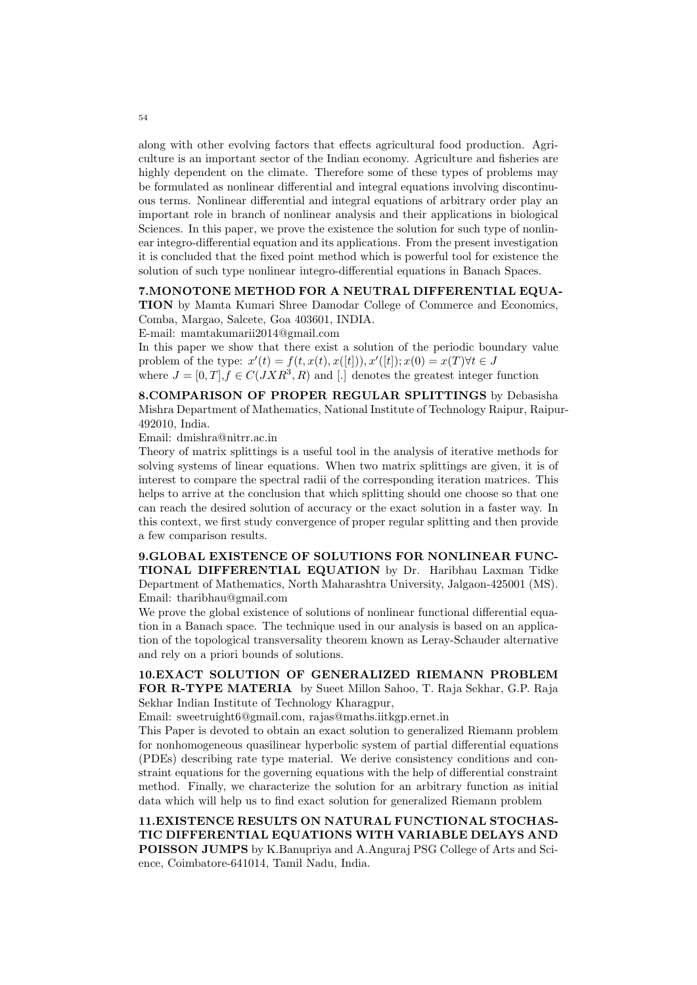along with other evolving factors that effects agricultural food production. Agriculture is an important sector of the Indian economy. Agriculture and fisheries are highly dependent on the climate. Therefore some of these types of problems may be formulated as nonlinear differential and integral equations involving discontinuous terms. Nonlinear differential and integral equations of arbitrary order play an important role in branch of nonlinear analysis and their applications in biological Sciences. In this paper, we prove the existence the solution for such type of nonlinear integro-differential equation and its applications. From the present investigation it is concluded that the fixed point method which is powerful tool for existence the solution of such type nonlinear integro-differential equations in Banach Spaces.

#### 7.MONOTONE METHOD FOR A NEUTRAL DIFFERENTIAL EQUA-

TION by Mamta Kumari Shree Damodar College of Commerce and Economics, Comba, Margao, Salcete, Goa 403601, INDIA.

E-mail: mamtakumarii2014@gmail.com

In this paper we show that there exist a solution of the periodic boundary value problem of the type:  $x'(t) = f(t, x(t), x([t]), x'([t]); x(0) = x(T) \forall t \in J$ where  $J = [0, T], f \in C(JXR^3, R)$  and [.] denotes the greatest integer function

8.COMPARISON OF PROPER REGULAR SPLITTINGS by Debasisha Mishra Department of Mathematics, National Institute of Technology Raipur, Raipur-492010, India.

Email: dmishra@nitrr.ac.in

Theory of matrix splittings is a useful tool in the analysis of iterative methods for solving systems of linear equations. When two matrix splittings are given, it is of interest to compare the spectral radii of the corresponding iteration matrices. This helps to arrive at the conclusion that which splitting should one choose so that one can reach the desired solution of accuracy or the exact solution in a faster way. In this context, we first study convergence of proper regular splitting and then provide a few comparison results.

9.GLOBAL EXISTENCE OF SOLUTIONS FOR NONLINEAR FUNC-TIONAL DIFFERENTIAL EQUATION by Dr. Haribhau Laxman Tidke Department of Mathematics, North Maharashtra University, Jalgaon-425001 (MS). Email: tharibhau@gmail.com

We prove the global existence of solutions of nonlinear functional differential equation in a Banach space. The technique used in our analysis is based on an application of the topological transversality theorem known as Leray-Schauder alternative and rely on a priori bounds of solutions.

10.EXACT SOLUTION OF GENERALIZED RIEMANN PROBLEM FOR R-TYPE MATERIA by Sueet Millon Sahoo, T. Raja Sekhar, G.P. Raja Sekhar Indian Institute of Technology Kharagpur,

Email: sweetruight6@gmail.com, rajas@maths.iitkgp.ernet.in

This Paper is devoted to obtain an exact solution to generalized Riemann problem for nonhomogeneous quasilinear hyperbolic system of partial differential equations (PDEs) describing rate type material. We derive consistency conditions and constraint equations for the governing equations with the help of differential constraint method. Finally, we characterize the solution for an arbitrary function as initial data which will help us to find exact solution for generalized Riemann problem

11.EXISTENCE RESULTS ON NATURAL FUNCTIONAL STOCHAS-TIC DIFFERENTIAL EQUATIONS WITH VARIABLE DELAYS AND POISSON JUMPS by K.Banupriya and A.Anguraj PSG College of Arts and Science, Coimbatore-641014, Tamil Nadu, India.

54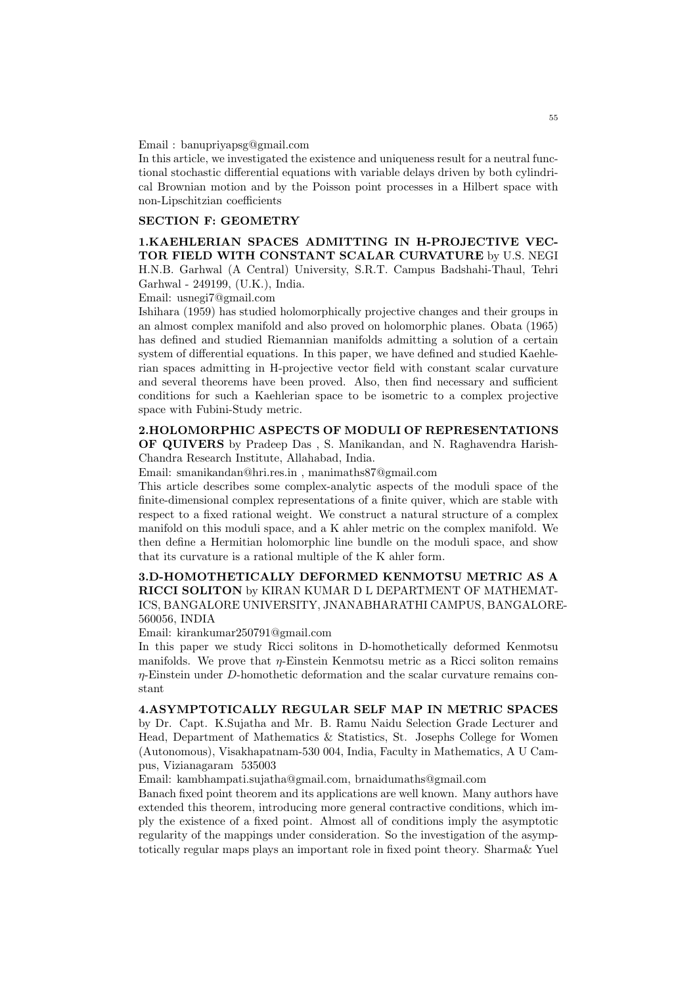#### Email : banupriyapsg@gmail.com

In this article, we investigated the existence and uniqueness result for a neutral functional stochastic differential equations with variable delays driven by both cylindrical Brownian motion and by the Poisson point processes in a Hilbert space with non-Lipschitzian coefficients

## SECTION F: GEOMETRY

1.KAEHLERIAN SPACES ADMITTING IN H-PROJECTIVE VEC-TOR FIELD WITH CONSTANT SCALAR CURVATURE by U.S. NEGI H.N.B. Garhwal (A Central) University, S.R.T. Campus Badshahi-Thaul, Tehri Garhwal - 249199, (U.K.), India.

Email: usnegi7@gmail.com

Ishihara (1959) has studied holomorphically projective changes and their groups in an almost complex manifold and also proved on holomorphic planes. Obata (1965) has defined and studied Riemannian manifolds admitting a solution of a certain system of differential equations. In this paper, we have defined and studied Kaehlerian spaces admitting in H-projective vector field with constant scalar curvature and several theorems have been proved. Also, then find necessary and sufficient conditions for such a Kaehlerian space to be isometric to a complex projective space with Fubini-Study metric.

## 2.HOLOMORPHIC ASPECTS OF MODULI OF REPRESENTATIONS

OF QUIVERS by Pradeep Das , S. Manikandan, and N. Raghavendra Harish-Chandra Research Institute, Allahabad, India.

Email: smanikandan@hri.res.in , manimaths87@gmail.com

This article describes some complex-analytic aspects of the moduli space of the finite-dimensional complex representations of a finite quiver, which are stable with respect to a fixed rational weight. We construct a natural structure of a complex manifold on this moduli space, and a K ahler metric on the complex manifold. We then define a Hermitian holomorphic line bundle on the moduli space, and show that its curvature is a rational multiple of the K ahler form.

#### 3.D-HOMOTHETICALLY DEFORMED KENMOTSU METRIC AS A RICCI SOLITON by KIRAN KUMAR D L DEPARTMENT OF MATHEMAT-ICS, BANGALORE UNIVERSITY, JNANABHARATHI CAMPUS, BANGALORE-560056, INDIA

Email: kirankumar250791@gmail.com

In this paper we study Ricci solitons in D-homothetically deformed Kenmotsu manifolds. We prove that  $\eta$ -Einstein Kenmotsu metric as a Ricci soliton remains η-Einstein under D-homothetic deformation and the scalar curvature remains constant

#### 4.ASYMPTOTICALLY REGULAR SELF MAP IN METRIC SPACES

by Dr. Capt. K.Sujatha and Mr. B. Ramu Naidu Selection Grade Lecturer and Head, Department of Mathematics & Statistics, St. Josephs College for Women (Autonomous), Visakhapatnam-530 004, India, Faculty in Mathematics, A U Campus, Vizianagaram 535003

Email: kambhampati.sujatha@gmail.com, brnaidumaths@gmail.com

Banach fixed point theorem and its applications are well known. Many authors have extended this theorem, introducing more general contractive conditions, which imply the existence of a fixed point. Almost all of conditions imply the asymptotic regularity of the mappings under consideration. So the investigation of the asymptotically regular maps plays an important role in fixed point theory. Sharma& Yuel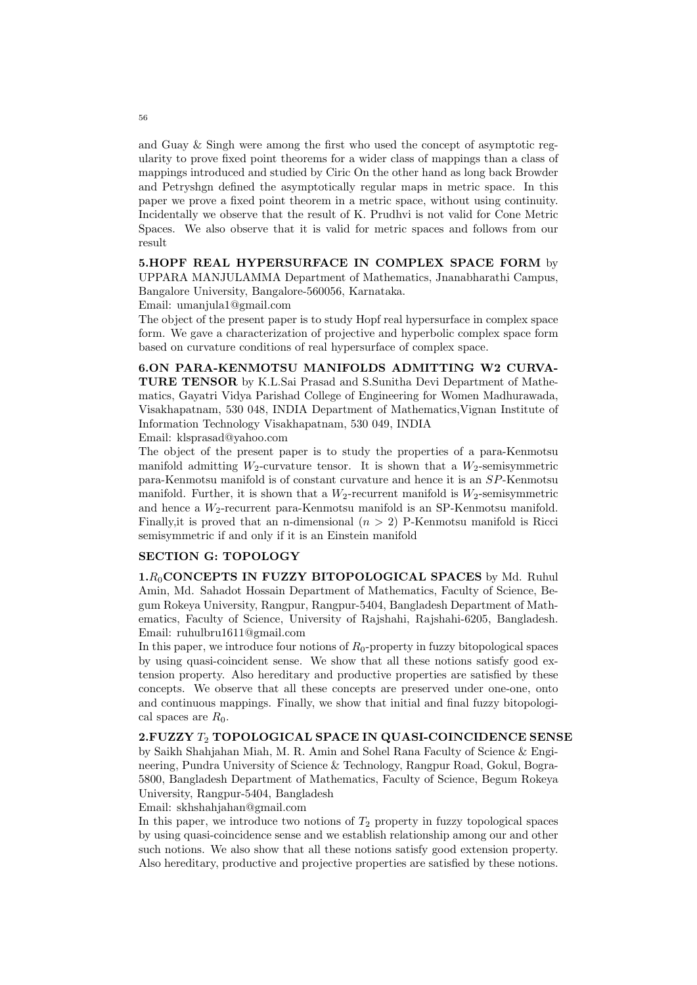and Guay & Singh were among the first who used the concept of asymptotic regularity to prove fixed point theorems for a wider class of mappings than a class of mappings introduced and studied by Ciric On the other hand as long back Browder and Petryshgn defined the asymptotically regular maps in metric space. In this paper we prove a fixed point theorem in a metric space, without using continuity. Incidentally we observe that the result of K. Prudhvi is not valid for Cone Metric Spaces. We also observe that it is valid for metric spaces and follows from our result

#### 5.HOPF REAL HYPERSURFACE IN COMPLEX SPACE FORM by UPPARA MANJULAMMA Department of Mathematics, Jnanabharathi Campus, Bangalore University, Bangalore-560056, Karnataka.

Email: umanjula1@gmail.com

The object of the present paper is to study Hopf real hypersurface in complex space form. We gave a characterization of projective and hyperbolic complex space form based on curvature conditions of real hypersurface of complex space.

6.ON PARA-KENMOTSU MANIFOLDS ADMITTING W2 CURVA-TURE TENSOR by K.L.Sai Prasad and S.Sunitha Devi Department of Mathematics, Gayatri Vidya Parishad College of Engineering for Women Madhurawada, Visakhapatnam, 530 048, INDIA Department of Mathematics,Vignan Institute of Information Technology Visakhapatnam, 530 049, INDIA

Email: klsprasad@yahoo.com

The object of the present paper is to study the properties of a para-Kenmotsu manifold admitting  $W_2$ -curvature tensor. It is shown that a  $W_2$ -semisymmetric para-Kenmotsu manifold is of constant curvature and hence it is an SP-Kenmotsu manifold. Further, it is shown that a  $W_2$ -recurrent manifold is  $W_2$ -semisymmetric and hence a W2-recurrent para-Kenmotsu manifold is an SP-Kenmotsu manifold. Finally, it is proved that an n-dimensional  $(n > 2)$  P-Kenmotsu manifold is Ricci semisymmetric if and only if it is an Einstein manifold

## SECTION G: TOPOLOGY

 $1.R_0$ CONCEPTS IN FUZZY BITOPOLOGICAL SPACES by Md. Ruhul Amin, Md. Sahadot Hossain Department of Mathematics, Faculty of Science, Begum Rokeya University, Rangpur, Rangpur-5404, Bangladesh Department of Mathematics, Faculty of Science, University of Rajshahi, Rajshahi-6205, Bangladesh. Email: ruhulbru1611@gmail.com

In this paper, we introduce four notions of  $R_0$ -property in fuzzy bitopological spaces by using quasi-coincident sense. We show that all these notions satisfy good extension property. Also hereditary and productive properties are satisfied by these concepts. We observe that all these concepts are preserved under one-one, onto and continuous mappings. Finally, we show that initial and final fuzzy bitopological spaces are  $R_0$ .

## 2. FUZZY T<sub>2</sub> TOPOLOGICAL SPACE IN QUASI-COINCIDENCE SENSE

by Saikh Shahjahan Miah, M. R. Amin and Sohel Rana Faculty of Science & Engineering, Pundra University of Science & Technology, Rangpur Road, Gokul, Bogra-5800, Bangladesh Department of Mathematics, Faculty of Science, Begum Rokeya University, Rangpur-5404, Bangladesh

Email: skhshahjahan@gmail.com

In this paper, we introduce two notions of  $T_2$  property in fuzzy topological spaces by using quasi-coincidence sense and we establish relationship among our and other such notions. We also show that all these notions satisfy good extension property. Also hereditary, productive and projective properties are satisfied by these notions.

56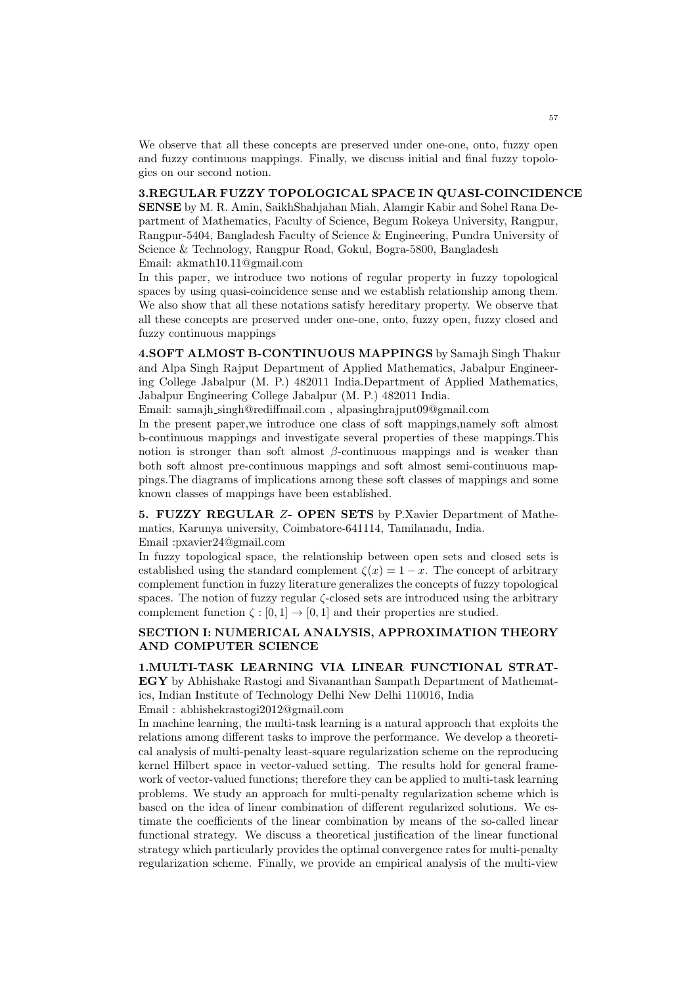We observe that all these concepts are preserved under one-one, onto, fuzzy open and fuzzy continuous mappings. Finally, we discuss initial and final fuzzy topologies on our second notion.

#### 3.REGULAR FUZZY TOPOLOGICAL SPACE IN QUASI-COINCIDENCE

SENSE by M. R. Amin, SaikhShahjahan Miah, Alamgir Kabir and Sohel Rana Department of Mathematics, Faculty of Science, Begum Rokeya University, Rangpur, Rangpur-5404, Bangladesh Faculty of Science & Engineering, Pundra University of Science & Technology, Rangpur Road, Gokul, Bogra-5800, Bangladesh Email: akmath10.11@gmail.com

In this paper, we introduce two notions of regular property in fuzzy topological spaces by using quasi-coincidence sense and we establish relationship among them. We also show that all these notations satisfy hereditary property. We observe that all these concepts are preserved under one-one, onto, fuzzy open, fuzzy closed and fuzzy continuous mappings

4.SOFT ALMOST B-CONTINUOUS MAPPINGS by Samajh Singh Thakur and Alpa Singh Rajput Department of Applied Mathematics, Jabalpur Engineering College Jabalpur (M. P.) 482011 India.Department of Applied Mathematics, Jabalpur Engineering College Jabalpur (M. P.) 482011 India.

Email: samajh singh@rediffmail.com , alpasinghrajput09@gmail.com

In the present paper,we introduce one class of soft mappings,namely soft almost b-continuous mappings and investigate several properties of these mappings.This notion is stronger than soft almost  $\beta$ -continuous mappings and is weaker than both soft almost pre-continuous mappings and soft almost semi-continuous mappings.The diagrams of implications among these soft classes of mappings and some known classes of mappings have been established.

5. FUZZY REGULAR Z- OPEN SETS by P.Xavier Department of Mathematics, Karunya university, Coimbatore-641114, Tamilanadu, India.

Email :pxavier24@gmail.com

In fuzzy topological space, the relationship between open sets and closed sets is established using the standard complement  $\zeta(x) = 1 - x$ . The concept of arbitrary complement function in fuzzy literature generalizes the concepts of fuzzy topological spaces. The notion of fuzzy regular  $\zeta$ -closed sets are introduced using the arbitrary complement function  $\zeta : [0,1] \to [0,1]$  and their properties are studied.

#### SECTION I: NUMERICAL ANALYSIS, APPROXIMATION THEORY AND COMPUTER SCIENCE

1.MULTI-TASK LEARNING VIA LINEAR FUNCTIONAL STRAT-EGY by Abhishake Rastogi and Sivananthan Sampath Department of Mathematics, Indian Institute of Technology Delhi New Delhi 110016, India Email : abhishekrastogi2012@gmail.com

In machine learning, the multi-task learning is a natural approach that exploits the relations among different tasks to improve the performance. We develop a theoretical analysis of multi-penalty least-square regularization scheme on the reproducing kernel Hilbert space in vector-valued setting. The results hold for general framework of vector-valued functions; therefore they can be applied to multi-task learning problems. We study an approach for multi-penalty regularization scheme which is based on the idea of linear combination of different regularized solutions. We estimate the coefficients of the linear combination by means of the so-called linear functional strategy. We discuss a theoretical justification of the linear functional strategy which particularly provides the optimal convergence rates for multi-penalty regularization scheme. Finally, we provide an empirical analysis of the multi-view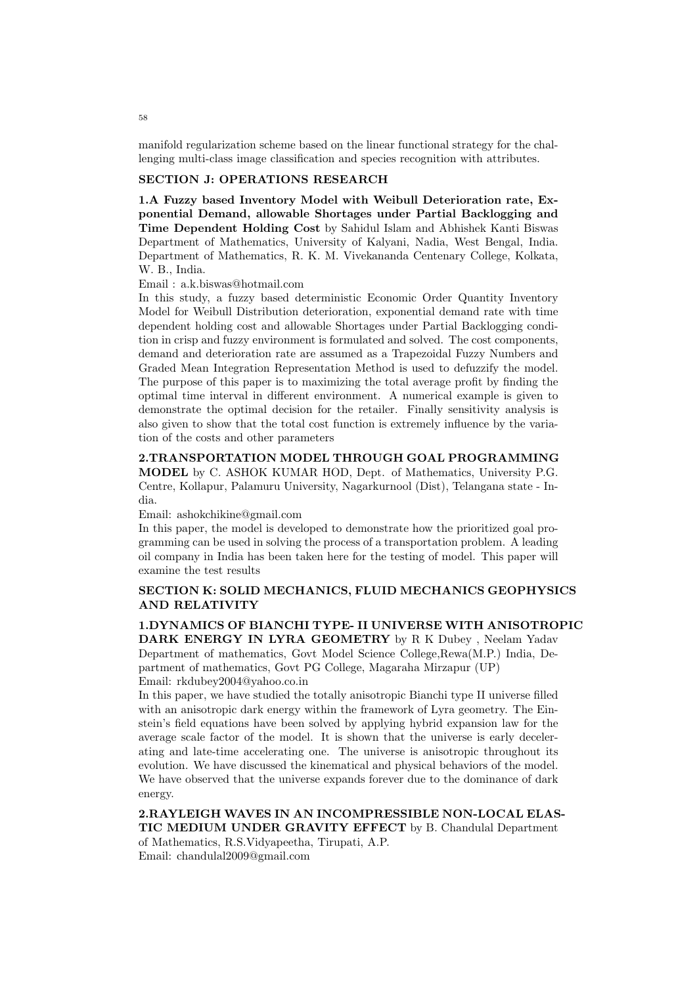manifold regularization scheme based on the linear functional strategy for the challenging multi-class image classification and species recognition with attributes.

## SECTION J: OPERATIONS RESEARCH

1.A Fuzzy based Inventory Model with Weibull Deterioration rate, Exponential Demand, allowable Shortages under Partial Backlogging and Time Dependent Holding Cost by Sahidul Islam and Abhishek Kanti Biswas Department of Mathematics, University of Kalyani, Nadia, West Bengal, India. Department of Mathematics, R. K. M. Vivekananda Centenary College, Kolkata, W. B., India.

Email : a.k.biswas@hotmail.com

In this study, a fuzzy based deterministic Economic Order Quantity Inventory Model for Weibull Distribution deterioration, exponential demand rate with time dependent holding cost and allowable Shortages under Partial Backlogging condition in crisp and fuzzy environment is formulated and solved. The cost components, demand and deterioration rate are assumed as a Trapezoidal Fuzzy Numbers and Graded Mean Integration Representation Method is used to defuzzify the model. The purpose of this paper is to maximizing the total average profit by finding the optimal time interval in different environment. A numerical example is given to demonstrate the optimal decision for the retailer. Finally sensitivity analysis is also given to show that the total cost function is extremely influence by the variation of the costs and other parameters

2.TRANSPORTATION MODEL THROUGH GOAL PROGRAMMING MODEL by C. ASHOK KUMAR HOD, Dept. of Mathematics, University P.G. Centre, Kollapur, Palamuru University, Nagarkurnool (Dist), Telangana state - India.

Email: ashokchikine@gmail.com

In this paper, the model is developed to demonstrate how the prioritized goal programming can be used in solving the process of a transportation problem. A leading oil company in India has been taken here for the testing of model. This paper will examine the test results

#### SECTION K: SOLID MECHANICS, FLUID MECHANICS GEOPHYSICS AND RELATIVITY

1.DYNAMICS OF BIANCHI TYPE- II UNIVERSE WITH ANISOTROPIC DARK ENERGY IN LYRA GEOMETRY by R K Dubey , Neelam Yadav Department of mathematics, Govt Model Science College,Rewa(M.P.) India, Department of mathematics, Govt PG College, Magaraha Mirzapur (UP) Email: rkdubey2004@yahoo.co.in

In this paper, we have studied the totally anisotropic Bianchi type II universe filled with an anisotropic dark energy within the framework of Lyra geometry. The Einstein's field equations have been solved by applying hybrid expansion law for the average scale factor of the model. It is shown that the universe is early decelerating and late-time accelerating one. The universe is anisotropic throughout its evolution. We have discussed the kinematical and physical behaviors of the model. We have observed that the universe expands forever due to the dominance of dark energy.

2.RAYLEIGH WAVES IN AN INCOMPRESSIBLE NON-LOCAL ELAS-TIC MEDIUM UNDER GRAVITY EFFECT by B. Chandulal Department of Mathematics, R.S.Vidyapeetha, Tirupati, A.P. Email: chandulal2009@gmail.com

58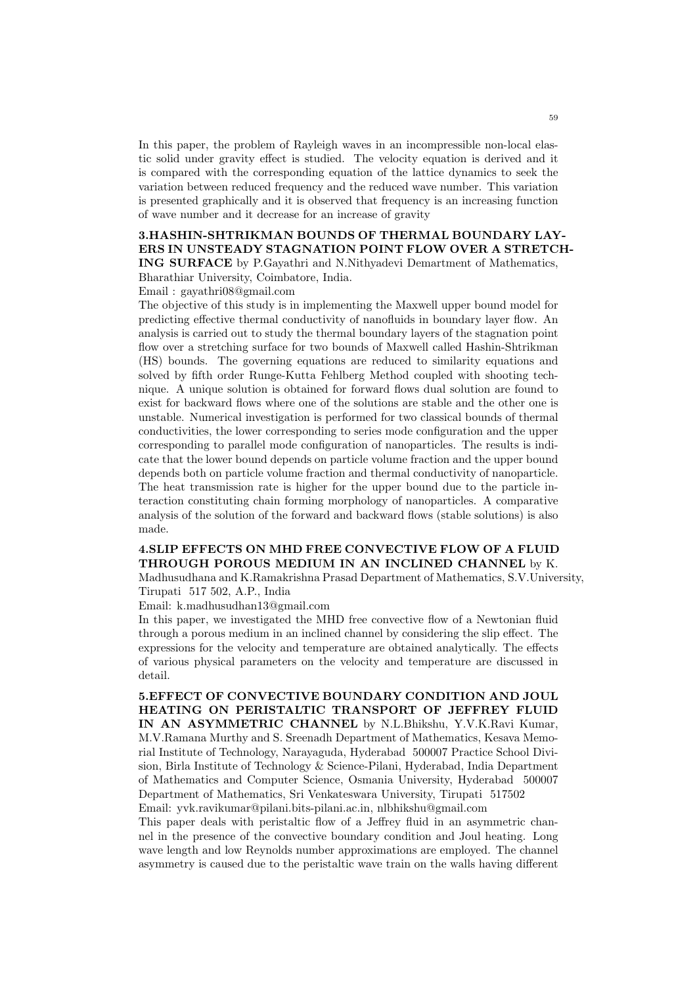In this paper, the problem of Rayleigh waves in an incompressible non-local elastic solid under gravity effect is studied. The velocity equation is derived and it is compared with the corresponding equation of the lattice dynamics to seek the variation between reduced frequency and the reduced wave number. This variation is presented graphically and it is observed that frequency is an increasing function of wave number and it decrease for an increase of gravity

# 3.HASHIN-SHTRIKMAN BOUNDS OF THERMAL BOUNDARY LAY-ERS IN UNSTEADY STAGNATION POINT FLOW OVER A STRETCH-

ING SURFACE by P.Gayathri and N.Nithyadevi Demartment of Mathematics, Bharathiar University, Coimbatore, India.

Email : gayathri08@gmail.com

The objective of this study is in implementing the Maxwell upper bound model for predicting effective thermal conductivity of nanofluids in boundary layer flow. An analysis is carried out to study the thermal boundary layers of the stagnation point flow over a stretching surface for two bounds of Maxwell called Hashin-Shtrikman (HS) bounds. The governing equations are reduced to similarity equations and solved by fifth order Runge-Kutta Fehlberg Method coupled with shooting technique. A unique solution is obtained for forward flows dual solution are found to exist for backward flows where one of the solutions are stable and the other one is unstable. Numerical investigation is performed for two classical bounds of thermal conductivities, the lower corresponding to series mode configuration and the upper corresponding to parallel mode configuration of nanoparticles. The results is indicate that the lower bound depends on particle volume fraction and the upper bound depends both on particle volume fraction and thermal conductivity of nanoparticle. The heat transmission rate is higher for the upper bound due to the particle interaction constituting chain forming morphology of nanoparticles. A comparative analysis of the solution of the forward and backward flows (stable solutions) is also made.

## 4.SLIP EFFECTS ON MHD FREE CONVECTIVE FLOW OF A FLUID THROUGH POROUS MEDIUM IN AN INCLINED CHANNEL by K.

Madhusudhana and K.Ramakrishna Prasad Department of Mathematics, S.V.University, Tirupati 517 502, A.P., India

Email: k.madhusudhan13@gmail.com

In this paper, we investigated the MHD free convective flow of a Newtonian fluid through a porous medium in an inclined channel by considering the slip effect. The expressions for the velocity and temperature are obtained analytically. The effects of various physical parameters on the velocity and temperature are discussed in detail.

5.EFFECT OF CONVECTIVE BOUNDARY CONDITION AND JOUL HEATING ON PERISTALTIC TRANSPORT OF JEFFREY FLUID IN AN ASYMMETRIC CHANNEL by N.L.Bhikshu, Y.V.K.Ravi Kumar, M.V.Ramana Murthy and S. Sreenadh Department of Mathematics, Kesava Memorial Institute of Technology, Narayaguda, Hyderabad 500007 Practice School Division, Birla Institute of Technology & Science-Pilani, Hyderabad, India Department of Mathematics and Computer Science, Osmania University, Hyderabad 500007 Department of Mathematics, Sri Venkateswara University, Tirupati 517502 Email: yvk.ravikumar@pilani.bits-pilani.ac.in, nlbhikshu@gmail.com

This paper deals with peristaltic flow of a Jeffrey fluid in an asymmetric channel in the presence of the convective boundary condition and Joul heating. Long wave length and low Reynolds number approximations are employed. The channel asymmetry is caused due to the peristaltic wave train on the walls having different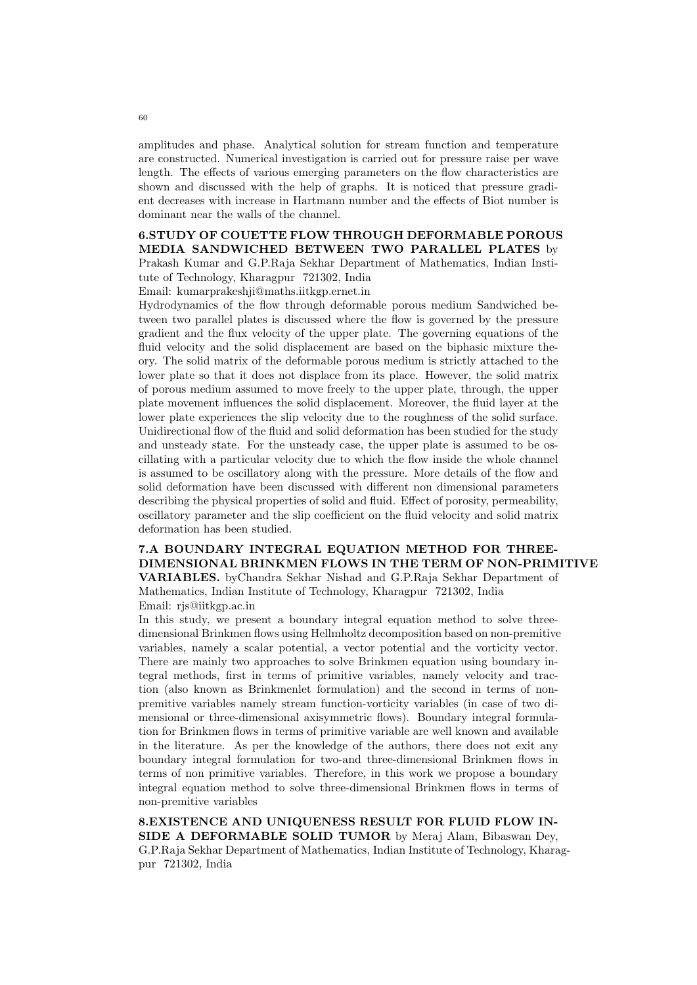amplitudes and phase. Analytical solution for stream function and temperature are constructed. Numerical investigation is carried out for pressure raise per wave length. The effects of various emerging parameters on the flow characteristics are shown and discussed with the help of graphs. It is noticed that pressure gradient decreases with increase in Hartmann number and the effects of Biot number is dominant near the walls of the channel.

#### 6.STUDY OF COUETTE FLOW THROUGH DEFORMABLE POROUS MEDIA SANDWICHED BETWEEN TWO PARALLEL PLATES by Prakash Kumar and G.P.Raja Sekhar Department of Mathematics, Indian Insti-

tute of Technology, Kharagpur 721302, India

Email: kumarprakeshji@maths.iitkgp.ernet.in

Hydrodynamics of the flow through deformable porous medium Sandwiched between two parallel plates is discussed where the flow is governed by the pressure gradient and the flux velocity of the upper plate. The governing equations of the fluid velocity and the solid displacement are based on the biphasic mixture theory. The solid matrix of the deformable porous medium is strictly attached to the lower plate so that it does not displace from its place. However, the solid matrix of porous medium assumed to move freely to the upper plate, through, the upper plate movement influences the solid displacement. Moreover, the fluid layer at the lower plate experiences the slip velocity due to the roughness of the solid surface. Unidirectional flow of the fluid and solid deformation has been studied for the study and unsteady state. For the unsteady case, the upper plate is assumed to be oscillating with a particular velocity due to which the flow inside the whole channel is assumed to be oscillatory along with the pressure. More details of the flow and solid deformation have been discussed with different non dimensional parameters describing the physical properties of solid and fluid. Effect of porosity, permeability, oscillatory parameter and the slip coefficient on the fluid velocity and solid matrix deformation has been studied.

#### 7.A BOUNDARY INTEGRAL EQUATION METHOD FOR THREE-DIMENSIONAL BRINKMEN FLOWS IN THE TERM OF NON-PRIMITIVE VARIABLES. byChandra Sekhar Nishad and G.P.Raja Sekhar Department of

Mathematics, Indian Institute of Technology, Kharagpur 721302, India Email: rjs@iitkgp.ac.in

In this study, we present a boundary integral equation method to solve threedimensional Brinkmen flows using Hellmholtz decomposition based on non-premitive variables, namely a scalar potential, a vector potential and the vorticity vector. There are mainly two approaches to solve Brinkmen equation using boundary integral methods, first in terms of primitive variables, namely velocity and traction (also known as Brinkmenlet formulation) and the second in terms of nonpremitive variables namely stream function-vorticity variables (in case of two dimensional or three-dimensional axisymmetric flows). Boundary integral formulation for Brinkmen flows in terms of primitive variable are well known and available in the literature. As per the knowledge of the authors, there does not exit any boundary integral formulation for two-and three-dimensional Brinkmen flows in terms of non primitive variables. Therefore, in this work we propose a boundary integral equation method to solve three-dimensional Brinkmen flows in terms of non-premitive variables

8.EXISTENCE AND UNIQUENESS RESULT FOR FLUID FLOW IN-SIDE A DEFORMABLE SOLID TUMOR by Meraj Alam, Bibaswan Dey, G.P.Raja Sekhar Department of Mathematics, Indian Institute of Technology, Kharagpur 721302, India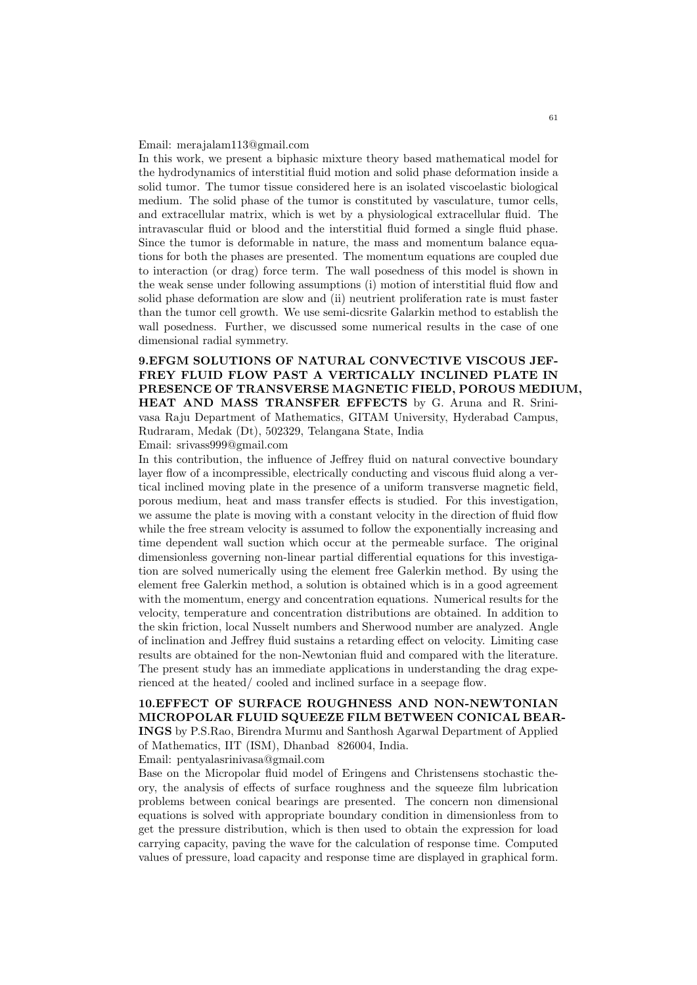#### Email: merajalam113@gmail.com

In this work, we present a biphasic mixture theory based mathematical model for the hydrodynamics of interstitial fluid motion and solid phase deformation inside a solid tumor. The tumor tissue considered here is an isolated viscoelastic biological medium. The solid phase of the tumor is constituted by vasculature, tumor cells, and extracellular matrix, which is wet by a physiological extracellular fluid. The intravascular fluid or blood and the interstitial fluid formed a single fluid phase. Since the tumor is deformable in nature, the mass and momentum balance equations for both the phases are presented. The momentum equations are coupled due to interaction (or drag) force term. The wall posedness of this model is shown in the weak sense under following assumptions (i) motion of interstitial fluid flow and solid phase deformation are slow and (ii) neutrient proliferation rate is must faster than the tumor cell growth. We use semi-dicsrite Galarkin method to establish the wall posedness. Further, we discussed some numerical results in the case of one dimensional radial symmetry.

9.EFGM SOLUTIONS OF NATURAL CONVECTIVE VISCOUS JEF-FREY FLUID FLOW PAST A VERTICALLY INCLINED PLATE IN PRESENCE OF TRANSVERSE MAGNETIC FIELD, POROUS MEDIUM, HEAT AND MASS TRANSFER EFFECTS by G. Aruna and R. Srinivasa Raju Department of Mathematics, GITAM University, Hyderabad Campus, Rudraram, Medak (Dt), 502329, Telangana State, India Email: srivass999@gmail.com

In this contribution, the influence of Jeffrey fluid on natural convective boundary layer flow of a incompressible, electrically conducting and viscous fluid along a vertical inclined moving plate in the presence of a uniform transverse magnetic field, porous medium, heat and mass transfer effects is studied. For this investigation, we assume the plate is moving with a constant velocity in the direction of fluid flow while the free stream velocity is assumed to follow the exponentially increasing and time dependent wall suction which occur at the permeable surface. The original dimensionless governing non-linear partial differential equations for this investigation are solved numerically using the element free Galerkin method. By using the element free Galerkin method, a solution is obtained which is in a good agreement with the momentum, energy and concentration equations. Numerical results for the velocity, temperature and concentration distributions are obtained. In addition to the skin friction, local Nusselt numbers and Sherwood number are analyzed. Angle of inclination and Jeffrey fluid sustains a retarding effect on velocity. Limiting case results are obtained for the non-Newtonian fluid and compared with the literature. The present study has an immediate applications in understanding the drag experienced at the heated/ cooled and inclined surface in a seepage flow.

# 10.EFFECT OF SURFACE ROUGHNESS AND NON-NEWTONIAN MICROPOLAR FLUID SQUEEZE FILM BETWEEN CONICAL BEAR-

INGS by P.S.Rao, Birendra Murmu and Santhosh Agarwal Department of Applied of Mathematics, IIT (ISM), Dhanbad 826004, India.

Email: pentyalasrinivasa@gmail.com

Base on the Micropolar fluid model of Eringens and Christensens stochastic theory, the analysis of effects of surface roughness and the squeeze film lubrication problems between conical bearings are presented. The concern non dimensional equations is solved with appropriate boundary condition in dimensionless from to get the pressure distribution, which is then used to obtain the expression for load carrying capacity, paving the wave for the calculation of response time. Computed values of pressure, load capacity and response time are displayed in graphical form.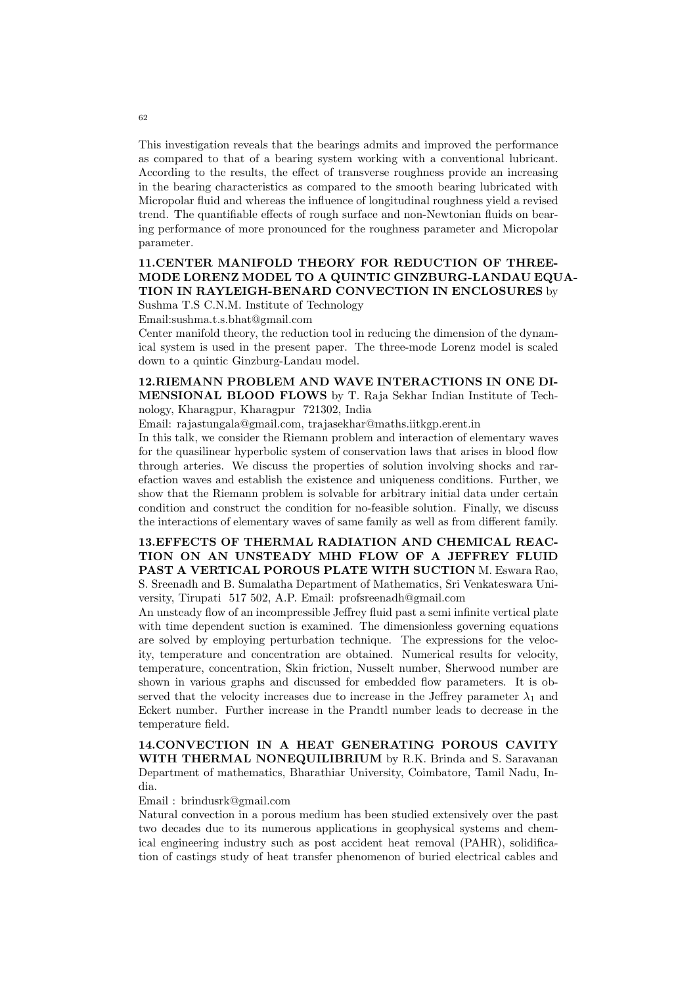This investigation reveals that the bearings admits and improved the performance as compared to that of a bearing system working with a conventional lubricant. According to the results, the effect of transverse roughness provide an increasing in the bearing characteristics as compared to the smooth bearing lubricated with Micropolar fluid and whereas the influence of longitudinal roughness yield a revised trend. The quantifiable effects of rough surface and non-Newtonian fluids on bearing performance of more pronounced for the roughness parameter and Micropolar parameter.

# 11.CENTER MANIFOLD THEORY FOR REDUCTION OF THREE-MODE LORENZ MODEL TO A QUINTIC GINZBURG-LANDAU EQUA-TION IN RAYLEIGH-BENARD CONVECTION IN ENCLOSURES by

Sushma T.S C.N.M. Institute of Technology

Email:sushma.t.s.bhat@gmail.com

Center manifold theory, the reduction tool in reducing the dimension of the dynamical system is used in the present paper. The three-mode Lorenz model is scaled down to a quintic Ginzburg-Landau model.

#### 12.RIEMANN PROBLEM AND WAVE INTERACTIONS IN ONE DI-MENSIONAL BLOOD FLOWS by T. Raja Sekhar Indian Institute of Technology, Kharagpur, Kharagpur 721302, India

Email: rajastungala@gmail.com, trajasekhar@maths.iitkgp.erent.in

In this talk, we consider the Riemann problem and interaction of elementary waves for the quasilinear hyperbolic system of conservation laws that arises in blood flow through arteries. We discuss the properties of solution involving shocks and rarefaction waves and establish the existence and uniqueness conditions. Further, we show that the Riemann problem is solvable for arbitrary initial data under certain condition and construct the condition for no-feasible solution. Finally, we discuss the interactions of elementary waves of same family as well as from different family.

13.EFFECTS OF THERMAL RADIATION AND CHEMICAL REAC-TION ON AN UNSTEADY MHD FLOW OF A JEFFREY FLUID PAST A VERTICAL POROUS PLATE WITH SUCTION M. Eswara Rao, S. Sreenadh and B. Sumalatha Department of Mathematics, Sri Venkateswara University, Tirupati 517 502, A.P. Email: profsreenadh@gmail.com

An unsteady flow of an incompressible Jeffrey fluid past a semi infinite vertical plate with time dependent suction is examined. The dimensionless governing equations are solved by employing perturbation technique. The expressions for the velocity, temperature and concentration are obtained. Numerical results for velocity, temperature, concentration, Skin friction, Nusselt number, Sherwood number are shown in various graphs and discussed for embedded flow parameters. It is observed that the velocity increases due to increase in the Jeffrey parameter  $\lambda_1$  and Eckert number. Further increase in the Prandtl number leads to decrease in the temperature field.

14.CONVECTION IN A HEAT GENERATING POROUS CAVITY WITH THERMAL NONEQUILIBRIUM by R.K. Brinda and S. Saravanan Department of mathematics, Bharathiar University, Coimbatore, Tamil Nadu, India.

Email : brindusrk@gmail.com

Natural convection in a porous medium has been studied extensively over the past two decades due to its numerous applications in geophysical systems and chemical engineering industry such as post accident heat removal (PAHR), solidification of castings study of heat transfer phenomenon of buried electrical cables and

62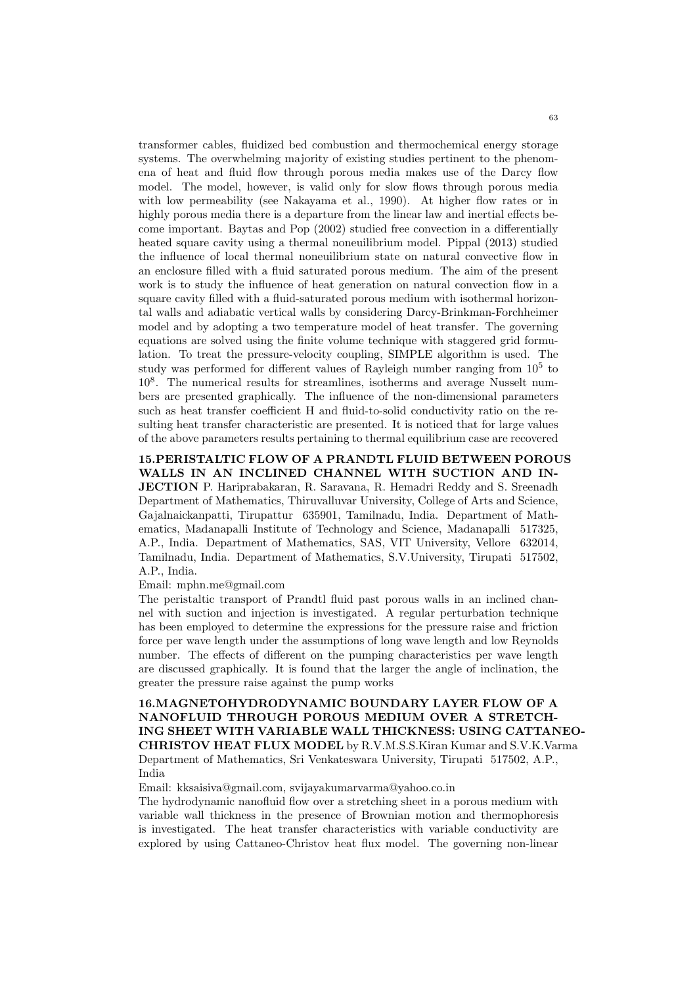transformer cables, fluidized bed combustion and thermochemical energy storage systems. The overwhelming majority of existing studies pertinent to the phenomena of heat and fluid flow through porous media makes use of the Darcy flow model. The model, however, is valid only for slow flows through porous media with low permeability (see Nakayama et al., 1990). At higher flow rates or in highly porous media there is a departure from the linear law and inertial effects become important. Baytas and Pop (2002) studied free convection in a differentially heated square cavity using a thermal noneuilibrium model. Pippal (2013) studied the influence of local thermal noneuilibrium state on natural convective flow in an enclosure filled with a fluid saturated porous medium. The aim of the present work is to study the influence of heat generation on natural convection flow in a square cavity filled with a fluid-saturated porous medium with isothermal horizontal walls and adiabatic vertical walls by considering Darcy-Brinkman-Forchheimer model and by adopting a two temperature model of heat transfer. The governing equations are solved using the finite volume technique with staggered grid formulation. To treat the pressure-velocity coupling, SIMPLE algorithm is used. The study was performed for different values of Rayleigh number ranging from  $10^5$  to 10<sup>8</sup> . The numerical results for streamlines, isotherms and average Nusselt numbers are presented graphically. The influence of the non-dimensional parameters such as heat transfer coefficient H and fluid-to-solid conductivity ratio on the resulting heat transfer characteristic are presented. It is noticed that for large values of the above parameters results pertaining to thermal equilibrium case are recovered

15.PERISTALTIC FLOW OF A PRANDTL FLUID BETWEEN POROUS WALLS IN AN INCLINED CHANNEL WITH SUCTION AND IN-JECTION P. Hariprabakaran, R. Saravana, R. Hemadri Reddy and S. Sreenadh Department of Mathematics, Thiruvalluvar University, College of Arts and Science, Gajalnaickanpatti, Tirupattur 635901, Tamilnadu, India. Department of Mathematics, Madanapalli Institute of Technology and Science, Madanapalli 517325, A.P., India. Department of Mathematics, SAS, VIT University, Vellore 632014, Tamilnadu, India. Department of Mathematics, S.V.University, Tirupati 517502, A.P., India.

Email: mphn.me@gmail.com

The peristaltic transport of Prandtl fluid past porous walls in an inclined channel with suction and injection is investigated. A regular perturbation technique has been employed to determine the expressions for the pressure raise and friction force per wave length under the assumptions of long wave length and low Reynolds number. The effects of different on the pumping characteristics per wave length are discussed graphically. It is found that the larger the angle of inclination, the greater the pressure raise against the pump works

16.MAGNETOHYDRODYNAMIC BOUNDARY LAYER FLOW OF A NANOFLUID THROUGH POROUS MEDIUM OVER A STRETCH-ING SHEET WITH VARIABLE WALL THICKNESS: USING CATTANEO-CHRISTOV HEAT FLUX MODEL by R.V.M.S.S.Kiran Kumar and S.V.K.Varma Department of Mathematics, Sri Venkateswara University, Tirupati 517502, A.P., India

Email: kksaisiva@gmail.com, svijayakumarvarma@yahoo.co.in

The hydrodynamic nanofluid flow over a stretching sheet in a porous medium with variable wall thickness in the presence of Brownian motion and thermophoresis is investigated. The heat transfer characteristics with variable conductivity are explored by using Cattaneo-Christov heat flux model. The governing non-linear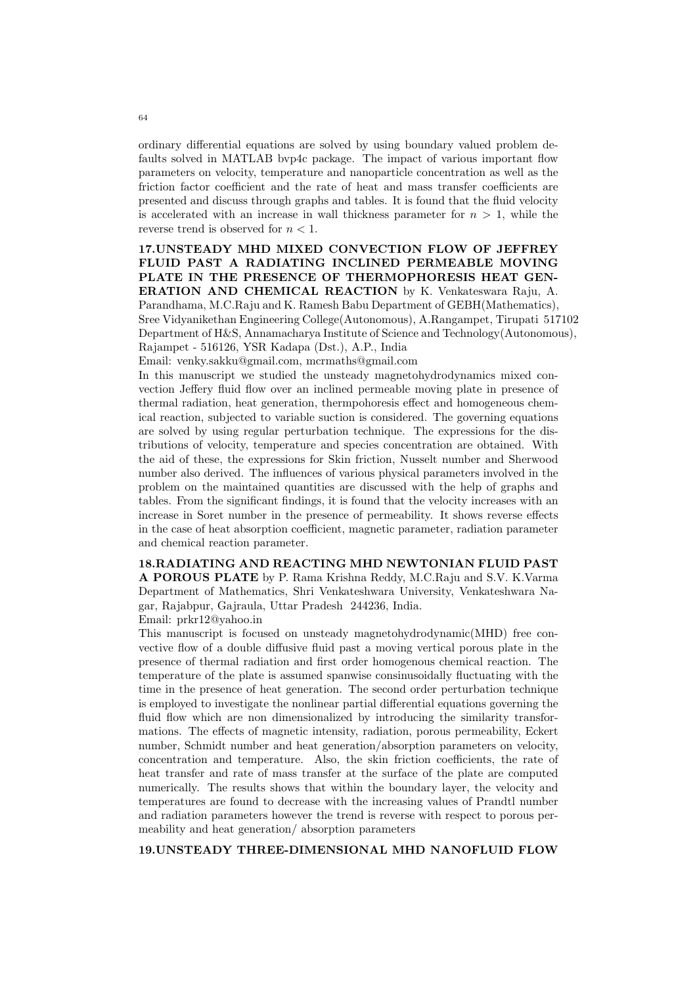ordinary differential equations are solved by using boundary valued problem defaults solved in MATLAB bvp4c package. The impact of various important flow parameters on velocity, temperature and nanoparticle concentration as well as the friction factor coefficient and the rate of heat and mass transfer coefficients are presented and discuss through graphs and tables. It is found that the fluid velocity is accelerated with an increase in wall thickness parameter for  $n > 1$ , while the reverse trend is observed for  $n < 1$ .

## 17.UNSTEADY MHD MIXED CONVECTION FLOW OF JEFFREY FLUID PAST A RADIATING INCLINED PERMEABLE MOVING PLATE IN THE PRESENCE OF THERMOPHORESIS HEAT GEN-ERATION AND CHEMICAL REACTION by K. Venkateswara Raju, A. Parandhama, M.C.Raju and K. Ramesh Babu Department of GEBH(Mathematics), Sree Vidyanikethan Engineering College(Autonomous), A.Rangampet, Tirupati 517102 Department of H&S, Annamacharya Institute of Science and Technology(Autonomous), Rajampet - 516126, YSR Kadapa (Dst.), A.P., India

Email: venky.sakku@gmail.com, mcrmaths@gmail.com

In this manuscript we studied the unsteady magnetohydrodynamics mixed convection Jeffery fluid flow over an inclined permeable moving plate in presence of thermal radiation, heat generation, thermpohoresis effect and homogeneous chemical reaction, subjected to variable suction is considered. The governing equations are solved by using regular perturbation technique. The expressions for the distributions of velocity, temperature and species concentration are obtained. With the aid of these, the expressions for Skin friction, Nusselt number and Sherwood number also derived. The influences of various physical parameters involved in the problem on the maintained quantities are discussed with the help of graphs and tables. From the significant findings, it is found that the velocity increases with an increase in Soret number in the presence of permeability. It shows reverse effects in the case of heat absorption coefficient, magnetic parameter, radiation parameter and chemical reaction parameter.

18.RADIATING AND REACTING MHD NEWTONIAN FLUID PAST A POROUS PLATE by P. Rama Krishna Reddy, M.C.Raju and S.V. K.Varma Department of Mathematics, Shri Venkateshwara University, Venkateshwara Nagar, Rajabpur, Gajraula, Uttar Pradesh 244236, India.

Email: prkr12@yahoo.in

This manuscript is focused on unsteady magnetohydrodynamic(MHD) free convective flow of a double diffusive fluid past a moving vertical porous plate in the presence of thermal radiation and first order homogenous chemical reaction. The temperature of the plate is assumed spanwise consinusoidally fluctuating with the time in the presence of heat generation. The second order perturbation technique is employed to investigate the nonlinear partial differential equations governing the fluid flow which are non dimensionalized by introducing the similarity transformations. The effects of magnetic intensity, radiation, porous permeability, Eckert number, Schmidt number and heat generation/absorption parameters on velocity, concentration and temperature. Also, the skin friction coefficients, the rate of heat transfer and rate of mass transfer at the surface of the plate are computed numerically. The results shows that within the boundary layer, the velocity and temperatures are found to decrease with the increasing values of Prandtl number and radiation parameters however the trend is reverse with respect to porous permeability and heat generation/ absorption parameters

#### 19.UNSTEADY THREE-DIMENSIONAL MHD NANOFLUID FLOW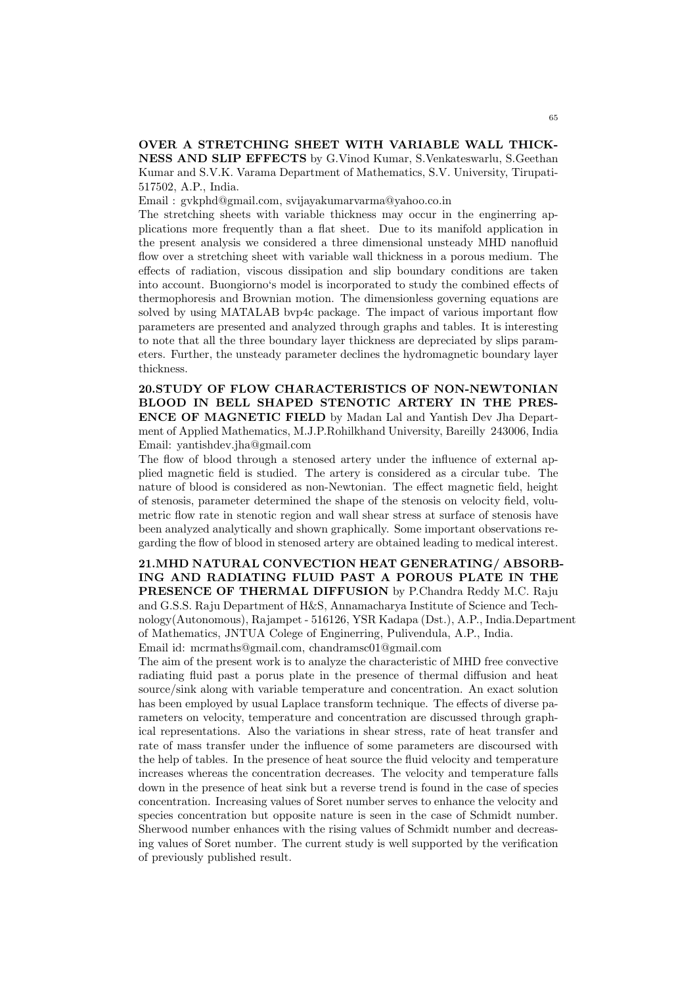#### OVER A STRETCHING SHEET WITH VARIABLE WALL THICK-NESS AND SLIP EFFECTS by G.Vinod Kumar, S.Venkateswarlu, S.Geethan Kumar and S.V.K. Varama Department of Mathematics, S.V. University, Tirupati-517502, A.P., India.

Email : gvkphd@gmail.com, svijayakumarvarma@yahoo.co.in

The stretching sheets with variable thickness may occur in the enginerring applications more frequently than a flat sheet. Due to its manifold application in the present analysis we considered a three dimensional unsteady MHD nanofluid flow over a stretching sheet with variable wall thickness in a porous medium. The effects of radiation, viscous dissipation and slip boundary conditions are taken into account. Buongiorno's model is incorporated to study the combined effects of thermophoresis and Brownian motion. The dimensionless governing equations are solved by using MATALAB bvp4c package. The impact of various important flow parameters are presented and analyzed through graphs and tables. It is interesting to note that all the three boundary layer thickness are depreciated by slips parameters. Further, the unsteady parameter declines the hydromagnetic boundary layer thickness.

20.STUDY OF FLOW CHARACTERISTICS OF NON-NEWTONIAN BLOOD IN BELL SHAPED STENOTIC ARTERY IN THE PRES-ENCE OF MAGNETIC FIELD by Madan Lal and Yantish Dev Jha Department of Applied Mathematics, M.J.P.Rohilkhand University, Bareilly 243006, India Email: yantishdev.jha@gmail.com

The flow of blood through a stenosed artery under the influence of external applied magnetic field is studied. The artery is considered as a circular tube. The nature of blood is considered as non-Newtonian. The effect magnetic field, height of stenosis, parameter determined the shape of the stenosis on velocity field, volumetric flow rate in stenotic region and wall shear stress at surface of stenosis have been analyzed analytically and shown graphically. Some important observations regarding the flow of blood in stenosed artery are obtained leading to medical interest.

21.MHD NATURAL CONVECTION HEAT GENERATING/ ABSORB-ING AND RADIATING FLUID PAST A POROUS PLATE IN THE PRESENCE OF THERMAL DIFFUSION by P.Chandra Reddy M.C. Raju and G.S.S. Raju Department of H&S, Annamacharya Institute of Science and Technology(Autonomous), Rajampet - 516126, YSR Kadapa (Dst.), A.P., India.Department of Mathematics, JNTUA Colege of Enginerring, Pulivendula, A.P., India. Email id: mcrmaths@gmail.com, chandramsc01@gmail.com

The aim of the present work is to analyze the characteristic of MHD free convective radiating fluid past a porus plate in the presence of thermal diffusion and heat source/sink along with variable temperature and concentration. An exact solution has been employed by usual Laplace transform technique. The effects of diverse parameters on velocity, temperature and concentration are discussed through graphical representations. Also the variations in shear stress, rate of heat transfer and rate of mass transfer under the influence of some parameters are discoursed with the help of tables. In the presence of heat source the fluid velocity and temperature increases whereas the concentration decreases. The velocity and temperature falls down in the presence of heat sink but a reverse trend is found in the case of species concentration. Increasing values of Soret number serves to enhance the velocity and species concentration but opposite nature is seen in the case of Schmidt number. Sherwood number enhances with the rising values of Schmidt number and decreasing values of Soret number. The current study is well supported by the verification of previously published result.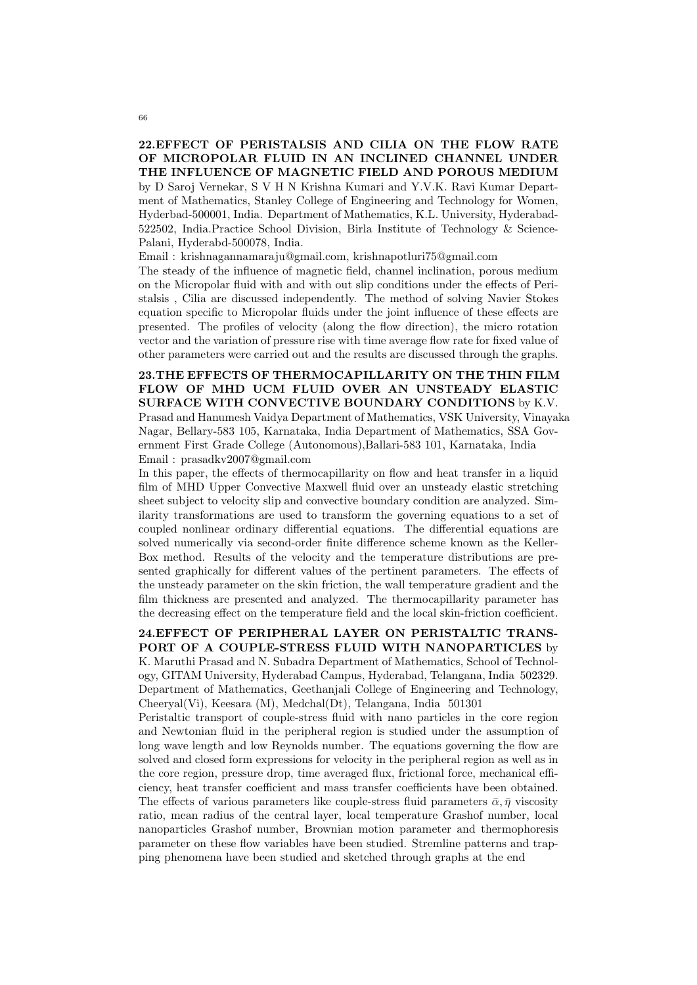## 22.EFFECT OF PERISTALSIS AND CILIA ON THE FLOW RATE OF MICROPOLAR FLUID IN AN INCLINED CHANNEL UNDER THE INFLUENCE OF MAGNETIC FIELD AND POROUS MEDIUM

by D Saroj Vernekar, S V H N Krishna Kumari and Y.V.K. Ravi Kumar Department of Mathematics, Stanley College of Engineering and Technology for Women, Hyderbad-500001, India. Department of Mathematics, K.L. University, Hyderabad-522502, India.Practice School Division, Birla Institute of Technology & Science-Palani, Hyderabd-500078, India.

Email : krishnagannamaraju@gmail.com, krishnapotluri75@gmail.com

The steady of the influence of magnetic field, channel inclination, porous medium on the Micropolar fluid with and with out slip conditions under the effects of Peristalsis , Cilia are discussed independently. The method of solving Navier Stokes equation specific to Micropolar fluids under the joint influence of these effects are presented. The profiles of velocity (along the flow direction), the micro rotation vector and the variation of pressure rise with time average flow rate for fixed value of other parameters were carried out and the results are discussed through the graphs.

23.THE EFFECTS OF THERMOCAPILLARITY ON THE THIN FILM FLOW OF MHD UCM FLUID OVER AN UNSTEADY ELASTIC SURFACE WITH CONVECTIVE BOUNDARY CONDITIONS by K.V. Prasad and Hanumesh Vaidya Department of Mathematics, VSK University, Vinayaka Nagar, Bellary-583 105, Karnataka, India Department of Mathematics, SSA Government First Grade College (Autonomous),Ballari-583 101, Karnataka, India Email : prasadkv2007@gmail.com

In this paper, the effects of thermocapillarity on flow and heat transfer in a liquid film of MHD Upper Convective Maxwell fluid over an unsteady elastic stretching sheet subject to velocity slip and convective boundary condition are analyzed. Similarity transformations are used to transform the governing equations to a set of coupled nonlinear ordinary differential equations. The differential equations are solved numerically via second-order finite difference scheme known as the Keller-Box method. Results of the velocity and the temperature distributions are presented graphically for different values of the pertinent parameters. The effects of the unsteady parameter on the skin friction, the wall temperature gradient and the film thickness are presented and analyzed. The thermocapillarity parameter has the decreasing effect on the temperature field and the local skin-friction coefficient.

# 24.EFFECT OF PERIPHERAL LAYER ON PERISTALTIC TRANS-PORT OF A COUPLE-STRESS FLUID WITH NANOPARTICLES by K. Maruthi Prasad and N. Subadra Department of Mathematics, School of Technol-

ogy, GITAM University, Hyderabad Campus, Hyderabad, Telangana, India 502329. Department of Mathematics, Geethanjali College of Engineering and Technology, Cheeryal(Vi), Keesara (M), Medchal(Dt), Telangana, India 501301

Peristaltic transport of couple-stress fluid with nano particles in the core region and Newtonian fluid in the peripheral region is studied under the assumption of long wave length and low Reynolds number. The equations governing the flow are solved and closed form expressions for velocity in the peripheral region as well as in the core region, pressure drop, time averaged flux, frictional force, mechanical efficiency, heat transfer coefficient and mass transfer coefficients have been obtained. The effects of various parameters like couple-stress fluid parameters  $\bar{\alpha}, \bar{\eta}$  viscosity ratio, mean radius of the central layer, local temperature Grashof number, local nanoparticles Grashof number, Brownian motion parameter and thermophoresis parameter on these flow variables have been studied. Stremline patterns and trapping phenomena have been studied and sketched through graphs at the end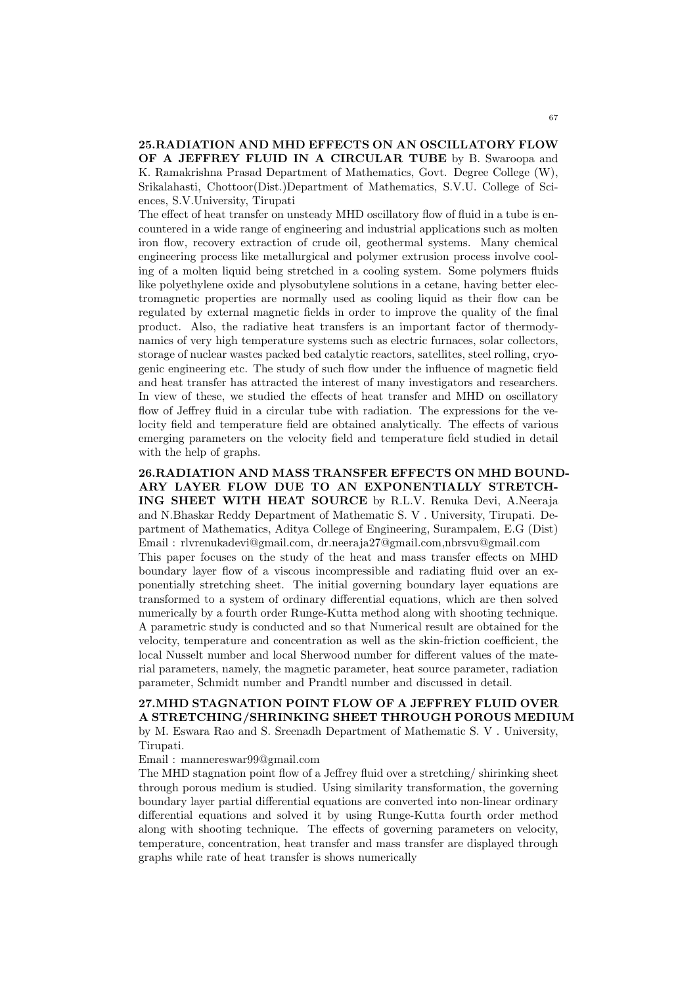25.RADIATION AND MHD EFFECTS ON AN OSCILLATORY FLOW OF A JEFFREY FLUID IN A CIRCULAR TUBE by B. Swaroopa and K. Ramakrishna Prasad Department of Mathematics, Govt. Degree College (W), Srikalahasti, Chottoor(Dist.)Department of Mathematics, S.V.U. College of Sciences, S.V.University, Tirupati

The effect of heat transfer on unsteady MHD oscillatory flow of fluid in a tube is encountered in a wide range of engineering and industrial applications such as molten iron flow, recovery extraction of crude oil, geothermal systems. Many chemical engineering process like metallurgical and polymer extrusion process involve cooling of a molten liquid being stretched in a cooling system. Some polymers fluids like polyethylene oxide and plysobutylene solutions in a cetane, having better electromagnetic properties are normally used as cooling liquid as their flow can be regulated by external magnetic fields in order to improve the quality of the final product. Also, the radiative heat transfers is an important factor of thermodynamics of very high temperature systems such as electric furnaces, solar collectors, storage of nuclear wastes packed bed catalytic reactors, satellites, steel rolling, cryogenic engineering etc. The study of such flow under the influence of magnetic field and heat transfer has attracted the interest of many investigators and researchers. In view of these, we studied the effects of heat transfer and MHD on oscillatory flow of Jeffrey fluid in a circular tube with radiation. The expressions for the velocity field and temperature field are obtained analytically. The effects of various emerging parameters on the velocity field and temperature field studied in detail with the help of graphs.

26.RADIATION AND MASS TRANSFER EFFECTS ON MHD BOUND-ARY LAYER FLOW DUE TO AN EXPONENTIALLY STRETCH-ING SHEET WITH HEAT SOURCE by R.L.V. Renuka Devi, A.Neeraja and N.Bhaskar Reddy Department of Mathematic S. V . University, Tirupati. Department of Mathematics, Aditya College of Engineering, Surampalem, E.G (Dist) Email : rlvrenukadevi@gmail.com, dr.neeraja27@gmail.com,nbrsvu@gmail.com This paper focuses on the study of the heat and mass transfer effects on MHD boundary layer flow of a viscous incompressible and radiating fluid over an exponentially stretching sheet. The initial governing boundary layer equations are transformed to a system of ordinary differential equations, which are then solved numerically by a fourth order Runge-Kutta method along with shooting technique. A parametric study is conducted and so that Numerical result are obtained for the velocity, temperature and concentration as well as the skin-friction coefficient, the local Nusselt number and local Sherwood number for different values of the material parameters, namely, the magnetic parameter, heat source parameter, radiation parameter, Schmidt number and Prandtl number and discussed in detail.

#### 27.MHD STAGNATION POINT FLOW OF A JEFFREY FLUID OVER A STRETCHING/SHRINKING SHEET THROUGH POROUS MEDIUM

by M. Eswara Rao and S. Sreenadh Department of Mathematic S. V . University, Tirupati.

Email : mannereswar99@gmail.com

The MHD stagnation point flow of a Jeffrey fluid over a stretching/ shirinking sheet through porous medium is studied. Using similarity transformation, the governing boundary layer partial differential equations are converted into non-linear ordinary differential equations and solved it by using Runge-Kutta fourth order method along with shooting technique. The effects of governing parameters on velocity, temperature, concentration, heat transfer and mass transfer are displayed through graphs while rate of heat transfer is shows numerically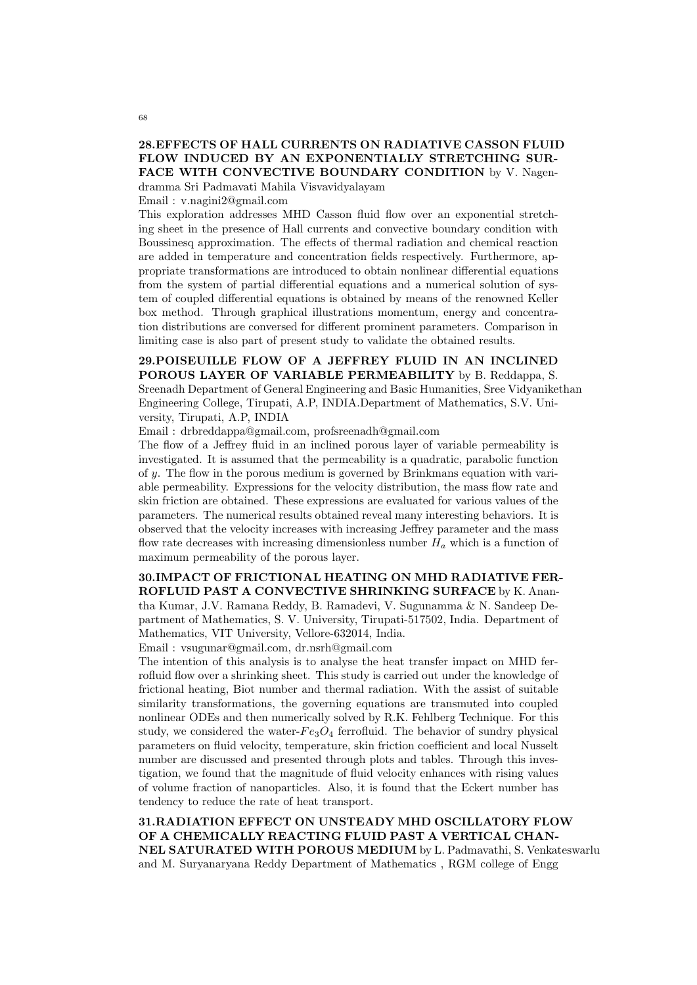## 28.EFFECTS OF HALL CURRENTS ON RADIATIVE CASSON FLUID FLOW INDUCED BY AN EXPONENTIALLY STRETCHING SUR-FACE WITH CONVECTIVE BOUNDARY CONDITION by V. Nagen-

dramma Sri Padmavati Mahila Visvavidyalayam

Email : v.nagini2@gmail.com

This exploration addresses MHD Casson fluid flow over an exponential stretching sheet in the presence of Hall currents and convective boundary condition with Boussinesq approximation. The effects of thermal radiation and chemical reaction are added in temperature and concentration fields respectively. Furthermore, appropriate transformations are introduced to obtain nonlinear differential equations from the system of partial differential equations and a numerical solution of system of coupled differential equations is obtained by means of the renowned Keller box method. Through graphical illustrations momentum, energy and concentration distributions are conversed for different prominent parameters. Comparison in limiting case is also part of present study to validate the obtained results.

29.POISEUILLE FLOW OF A JEFFREY FLUID IN AN INCLINED POROUS LAYER OF VARIABLE PERMEABILITY by B. Reddappa, S. Sreenadh Department of General Engineering and Basic Humanities, Sree Vidyanikethan Engineering College, Tirupati, A.P, INDIA.Department of Mathematics, S.V. University, Tirupati, A.P, INDIA

Email : drbreddappa@gmail.com, profsreenadh@gmail.com

The flow of a Jeffrey fluid in an inclined porous layer of variable permeability is investigated. It is assumed that the permeability is a quadratic, parabolic function of y. The flow in the porous medium is governed by Brinkmans equation with variable permeability. Expressions for the velocity distribution, the mass flow rate and skin friction are obtained. These expressions are evaluated for various values of the parameters. The numerical results obtained reveal many interesting behaviors. It is observed that the velocity increases with increasing Jeffrey parameter and the mass flow rate decreases with increasing dimensionless number  $H_a$  which is a function of maximum permeability of the porous layer.

# 30.IMPACT OF FRICTIONAL HEATING ON MHD RADIATIVE FER-ROFLUID PAST A CONVECTIVE SHRINKING SURFACE by K. Anan-

tha Kumar, J.V. Ramana Reddy, B. Ramadevi, V. Sugunamma & N. Sandeep Department of Mathematics, S. V. University, Tirupati-517502, India. Department of Mathematics, VIT University, Vellore-632014, India.

Email : vsugunar@gmail.com, dr.nsrh@gmail.com

The intention of this analysis is to analyse the heat transfer impact on MHD ferrofluid flow over a shrinking sheet. This study is carried out under the knowledge of frictional heating, Biot number and thermal radiation. With the assist of suitable similarity transformations, the governing equations are transmuted into coupled nonlinear ODEs and then numerically solved by R.K. Fehlberg Technique. For this study, we considered the water- $Fe<sub>3</sub>O<sub>4</sub>$  ferrofluid. The behavior of sundry physical parameters on fluid velocity, temperature, skin friction coefficient and local Nusselt number are discussed and presented through plots and tables. Through this investigation, we found that the magnitude of fluid velocity enhances with rising values of volume fraction of nanoparticles. Also, it is found that the Eckert number has tendency to reduce the rate of heat transport.

31.RADIATION EFFECT ON UNSTEADY MHD OSCILLATORY FLOW OF A CHEMICALLY REACTING FLUID PAST A VERTICAL CHAN-NEL SATURATED WITH POROUS MEDIUM by L. Padmavathi, S. Venkateswarlu and M. Suryanaryana Reddy Department of Mathematics , RGM college of Engg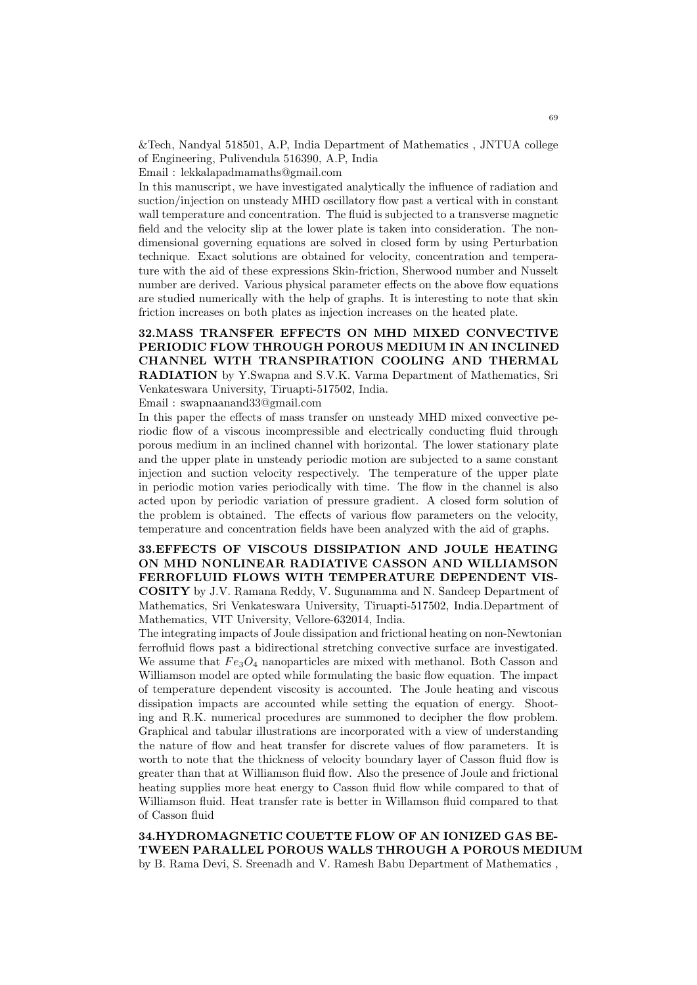&Tech, Nandyal 518501, A.P, India Department of Mathematics , JNTUA college of Engineering, Pulivendula 516390, A.P, India

Email : lekkalapadmamaths@gmail.com

In this manuscript, we have investigated analytically the influence of radiation and suction/injection on unsteady MHD oscillatory flow past a vertical with in constant wall temperature and concentration. The fluid is subjected to a transverse magnetic field and the velocity slip at the lower plate is taken into consideration. The nondimensional governing equations are solved in closed form by using Perturbation technique. Exact solutions are obtained for velocity, concentration and temperature with the aid of these expressions Skin-friction, Sherwood number and Nusselt number are derived. Various physical parameter effects on the above flow equations are studied numerically with the help of graphs. It is interesting to note that skin friction increases on both plates as injection increases on the heated plate.

## 32.MASS TRANSFER EFFECTS ON MHD MIXED CONVECTIVE PERIODIC FLOW THROUGH POROUS MEDIUM IN AN INCLINED CHANNEL WITH TRANSPIRATION COOLING AND THERMAL RADIATION by Y.Swapna and S.V.K. Varma Department of Mathematics, Sri Venkateswara University, Tiruapti-517502, India.

Email : swapnaanand33@gmail.com

In this paper the effects of mass transfer on unsteady MHD mixed convective periodic flow of a viscous incompressible and electrically conducting fluid through porous medium in an inclined channel with horizontal. The lower stationary plate and the upper plate in unsteady periodic motion are subjected to a same constant injection and suction velocity respectively. The temperature of the upper plate in periodic motion varies periodically with time. The flow in the channel is also acted upon by periodic variation of pressure gradient. A closed form solution of the problem is obtained. The effects of various flow parameters on the velocity, temperature and concentration fields have been analyzed with the aid of graphs.

## 33.EFFECTS OF VISCOUS DISSIPATION AND JOULE HEATING ON MHD NONLINEAR RADIATIVE CASSON AND WILLIAMSON FERROFLUID FLOWS WITH TEMPERATURE DEPENDENT VIS-COSITY by J.V. Ramana Reddy, V. Sugunamma and N. Sandeep Department of Mathematics, Sri Venkateswara University, Tiruapti-517502, India.Department of Mathematics, VIT University, Vellore-632014, India.

The integrating impacts of Joule dissipation and frictional heating on non-Newtonian ferrofluid flows past a bidirectional stretching convective surface are investigated. We assume that  $Fe<sub>3</sub>O<sub>4</sub>$  nanoparticles are mixed with methanol. Both Casson and Williamson model are opted while formulating the basic flow equation. The impact of temperature dependent viscosity is accounted. The Joule heating and viscous dissipation impacts are accounted while setting the equation of energy. Shooting and R.K. numerical procedures are summoned to decipher the flow problem. Graphical and tabular illustrations are incorporated with a view of understanding the nature of flow and heat transfer for discrete values of flow parameters. It is worth to note that the thickness of velocity boundary layer of Casson fluid flow is greater than that at Williamson fluid flow. Also the presence of Joule and frictional heating supplies more heat energy to Casson fluid flow while compared to that of Williamson fluid. Heat transfer rate is better in Willamson fluid compared to that of Casson fluid

34.HYDROMAGNETIC COUETTE FLOW OF AN IONIZED GAS BE-TWEEN PARALLEL POROUS WALLS THROUGH A POROUS MEDIUM by B. Rama Devi, S. Sreenadh and V. Ramesh Babu Department of Mathematics ,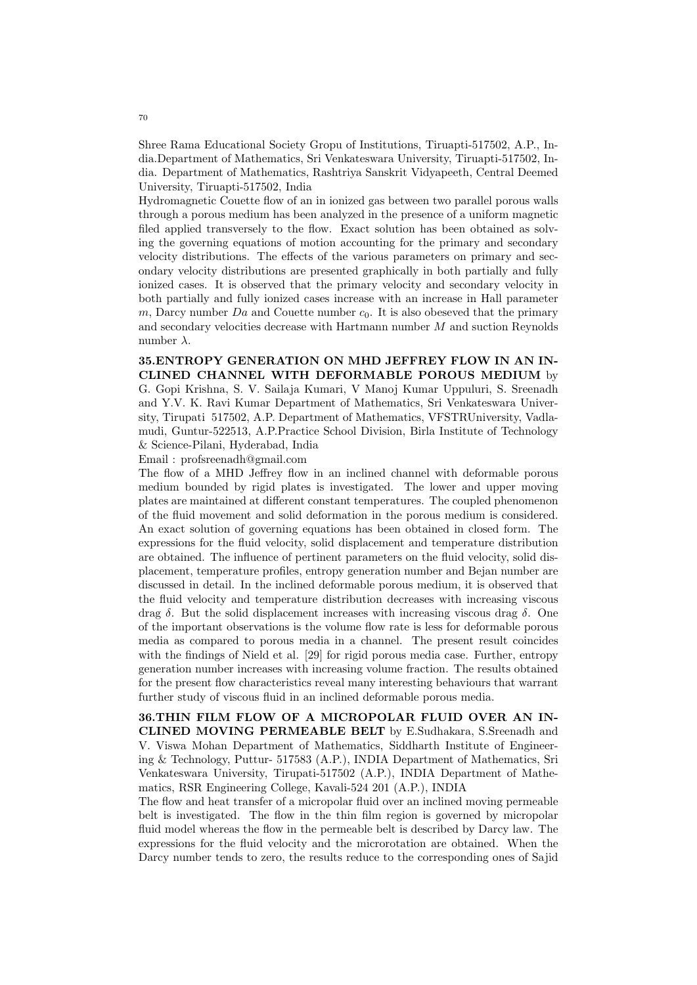Shree Rama Educational Society Gropu of Institutions, Tiruapti-517502, A.P., India.Department of Mathematics, Sri Venkateswara University, Tiruapti-517502, India. Department of Mathematics, Rashtriya Sanskrit Vidyapeeth, Central Deemed University, Tiruapti-517502, India

Hydromagnetic Couette flow of an in ionized gas between two parallel porous walls through a porous medium has been analyzed in the presence of a uniform magnetic filed applied transversely to the flow. Exact solution has been obtained as solving the governing equations of motion accounting for the primary and secondary velocity distributions. The effects of the various parameters on primary and secondary velocity distributions are presented graphically in both partially and fully ionized cases. It is observed that the primary velocity and secondary velocity in both partially and fully ionized cases increase with an increase in Hall parameter  $m$ , Darcy number  $Da$  and Couette number  $c_0$ . It is also obeseved that the primary and secondary velocities decrease with Hartmann number M and suction Reynolds number  $\lambda$ .

35.ENTROPY GENERATION ON MHD JEFFREY FLOW IN AN IN-CLINED CHANNEL WITH DEFORMABLE POROUS MEDIUM by G. Gopi Krishna, S. V. Sailaja Kumari, V Manoj Kumar Uppuluri, S. Sreenadh and Y.V. K. Ravi Kumar Department of Mathematics, Sri Venkateswara University, Tirupati 517502, A.P. Department of Mathematics, VFSTRUniversity, Vadlamudi, Guntur-522513, A.P.Practice School Division, Birla Institute of Technology & Science-Pilani, Hyderabad, India

Email : profsreenadh@gmail.com

The flow of a MHD Jeffrey flow in an inclined channel with deformable porous medium bounded by rigid plates is investigated. The lower and upper moving plates are maintained at different constant temperatures. The coupled phenomenon of the fluid movement and solid deformation in the porous medium is considered. An exact solution of governing equations has been obtained in closed form. The expressions for the fluid velocity, solid displacement and temperature distribution are obtained. The influence of pertinent parameters on the fluid velocity, solid displacement, temperature profiles, entropy generation number and Bejan number are discussed in detail. In the inclined deformable porous medium, it is observed that the fluid velocity and temperature distribution decreases with increasing viscous drag  $\delta$ . But the solid displacement increases with increasing viscous drag  $\delta$ . One of the important observations is the volume flow rate is less for deformable porous media as compared to porous media in a channel. The present result coincides with the findings of Nield et al. [29] for rigid porous media case. Further, entropy generation number increases with increasing volume fraction. The results obtained for the present flow characteristics reveal many interesting behaviours that warrant further study of viscous fluid in an inclined deformable porous media.

36.THIN FILM FLOW OF A MICROPOLAR FLUID OVER AN IN-CLINED MOVING PERMEABLE BELT by E.Sudhakara, S.Sreenadh and V. Viswa Mohan Department of Mathematics, Siddharth Institute of Engineering & Technology, Puttur- 517583 (A.P.), INDIA Department of Mathematics, Sri Venkateswara University, Tirupati-517502 (A.P.), INDIA Department of Mathematics, RSR Engineering College, Kavali-524 201 (A.P.), INDIA

The flow and heat transfer of a micropolar fluid over an inclined moving permeable belt is investigated. The flow in the thin film region is governed by micropolar fluid model whereas the flow in the permeable belt is described by Darcy law. The expressions for the fluid velocity and the microrotation are obtained. When the Darcy number tends to zero, the results reduce to the corresponding ones of Sajid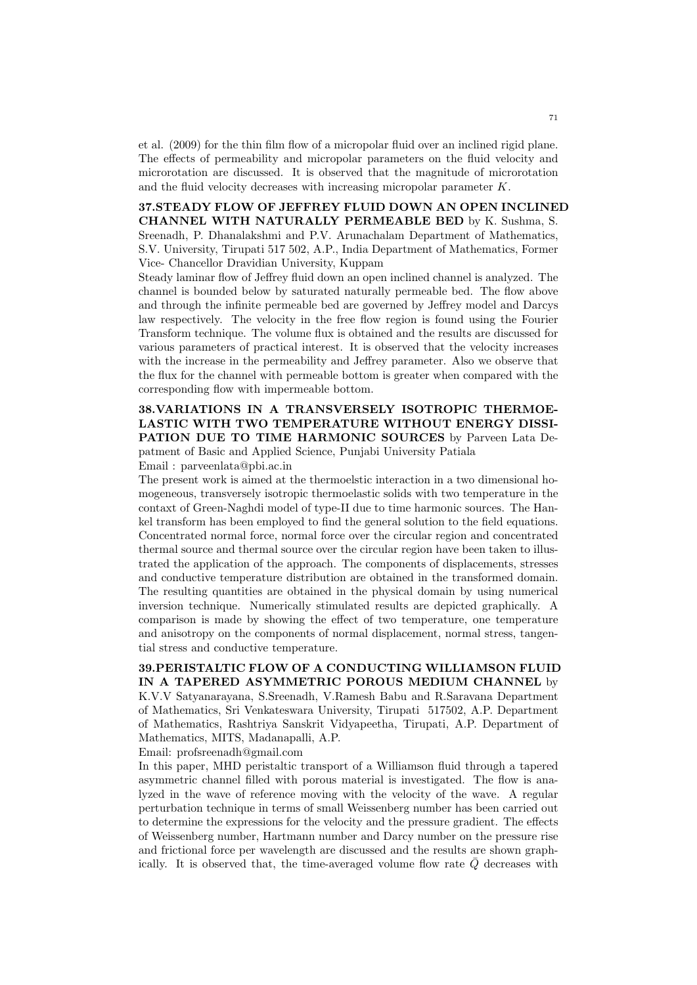et al. (2009) for the thin film flow of a micropolar fluid over an inclined rigid plane. The effects of permeability and micropolar parameters on the fluid velocity and microrotation are discussed. It is observed that the magnitude of microrotation and the fluid velocity decreases with increasing micropolar parameter K.

# 37.STEADY FLOW OF JEFFREY FLUID DOWN AN OPEN INCLINED CHANNEL WITH NATURALLY PERMEABLE BED by K. Sushma, S. Sreenadh, P. Dhanalakshmi and P.V. Arunachalam Department of Mathematics, S.V. University, Tirupati 517 502, A.P., India Department of Mathematics, Former Vice- Chancellor Dravidian University, Kuppam

Steady laminar flow of Jeffrey fluid down an open inclined channel is analyzed. The channel is bounded below by saturated naturally permeable bed. The flow above and through the infinite permeable bed are governed by Jeffrey model and Darcys law respectively. The velocity in the free flow region is found using the Fourier Transform technique. The volume flux is obtained and the results are discussed for various parameters of practical interest. It is observed that the velocity increases with the increase in the permeability and Jeffrey parameter. Also we observe that the flux for the channel with permeable bottom is greater when compared with the corresponding flow with impermeable bottom.

38.VARIATIONS IN A TRANSVERSELY ISOTROPIC THERMOE-LASTIC WITH TWO TEMPERATURE WITHOUT ENERGY DISSI-PATION DUE TO TIME HARMONIC SOURCES by Parveen Lata Depatment of Basic and Applied Science, Punjabi University Patiala Email : parveenlata@pbi.ac.in

The present work is aimed at the thermoelstic interaction in a two dimensional homogeneous, transversely isotropic thermoelastic solids with two temperature in the contaxt of Green-Naghdi model of type-II due to time harmonic sources. The Hankel transform has been employed to find the general solution to the field equations. Concentrated normal force, normal force over the circular region and concentrated thermal source and thermal source over the circular region have been taken to illustrated the application of the approach. The components of displacements, stresses and conductive temperature distribution are obtained in the transformed domain. The resulting quantities are obtained in the physical domain by using numerical inversion technique. Numerically stimulated results are depicted graphically. A comparison is made by showing the effect of two temperature, one temperature and anisotropy on the components of normal displacement, normal stress, tangential stress and conductive temperature.

39.PERISTALTIC FLOW OF A CONDUCTING WILLIAMSON FLUID IN A TAPERED ASYMMETRIC POROUS MEDIUM CHANNEL by K.V.V Satyanarayana, S.Sreenadh, V.Ramesh Babu and R.Saravana Department of Mathematics, Sri Venkateswara University, Tirupati 517502, A.P. Department of Mathematics, Rashtriya Sanskrit Vidyapeetha, Tirupati, A.P. Department of Mathematics, MITS, Madanapalli, A.P.

Email: profsreenadh@gmail.com

In this paper, MHD peristaltic transport of a Williamson fluid through a tapered asymmetric channel filled with porous material is investigated. The flow is analyzed in the wave of reference moving with the velocity of the wave. A regular perturbation technique in terms of small Weissenberg number has been carried out to determine the expressions for the velocity and the pressure gradient. The effects of Weissenberg number, Hartmann number and Darcy number on the pressure rise and frictional force per wavelength are discussed and the results are shown graphically. It is observed that, the time-averaged volume flow rate  $\overline{Q}$  decreases with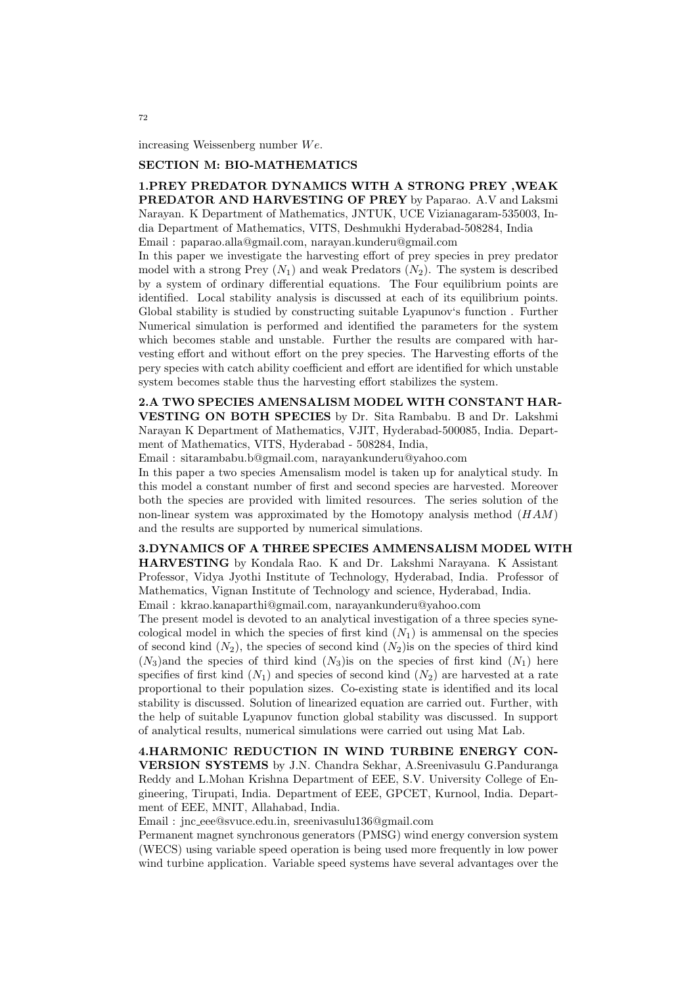increasing Weissenberg number  $We.$ 

#### SECTION M: BIO-MATHEMATICS

1.PREY PREDATOR DYNAMICS WITH A STRONG PREY ,WEAK PREDATOR AND HARVESTING OF PREY by Paparao. A.V and Laksmi Narayan. K Department of Mathematics, JNTUK, UCE Vizianagaram-535003, India Department of Mathematics, VITS, Deshmukhi Hyderabad-508284, India Email : paparao.alla@gmail.com, narayan.kunderu@gmail.com

In this paper we investigate the harvesting effort of prey species in prey predator model with a strong Prey  $(N_1)$  and weak Predators  $(N_2)$ . The system is described by a system of ordinary differential equations. The Four equilibrium points are identified. Local stability analysis is discussed at each of its equilibrium points. Global stability is studied by constructing suitable Lyapunov's function . Further Numerical simulation is performed and identified the parameters for the system which becomes stable and unstable. Further the results are compared with harvesting effort and without effort on the prey species. The Harvesting efforts of the pery species with catch ability coefficient and effort are identified for which unstable system becomes stable thus the harvesting effort stabilizes the system.

2.A TWO SPECIES AMENSALISM MODEL WITH CONSTANT HAR-VESTING ON BOTH SPECIES by Dr. Sita Rambabu. B and Dr. Lakshmi Narayan K Department of Mathematics, VJIT, Hyderabad-500085, India. Department of Mathematics, VITS, Hyderabad - 508284, India,

Email : sitarambabu.b@gmail.com, narayankunderu@yahoo.com

In this paper a two species Amensalism model is taken up for analytical study. In this model a constant number of first and second species are harvested. Moreover both the species are provided with limited resources. The series solution of the non-linear system was approximated by the Homotopy analysis method  $(HAM)$ and the results are supported by numerical simulations.

3.DYNAMICS OF A THREE SPECIES AMMENSALISM MODEL WITH HARVESTING by Kondala Rao. K and Dr. Lakshmi Narayana. K Assistant Professor, Vidya Jyothi Institute of Technology, Hyderabad, India. Professor of Mathematics, Vignan Institute of Technology and science, Hyderabad, India. Email : kkrao.kanaparthi@gmail.com, narayankunderu@yahoo.com

The present model is devoted to an analytical investigation of a three species synecological model in which the species of first kind  $(N_1)$  is ammensal on the species of second kind  $(N_2)$ , the species of second kind  $(N_2)$  is on the species of third kind  $(N_3)$ and the species of third kind  $(N_3)$ is on the species of first kind  $(N_1)$  here specifies of first kind  $(N_1)$  and species of second kind  $(N_2)$  are harvested at a rate proportional to their population sizes. Co-existing state is identified and its local stability is discussed. Solution of linearized equation are carried out. Further, with the help of suitable Lyapunov function global stability was discussed. In support of analytical results, numerical simulations were carried out using Mat Lab.

4.HARMONIC REDUCTION IN WIND TURBINE ENERGY CON-VERSION SYSTEMS by J.N. Chandra Sekhar, A.Sreenivasulu G.Panduranga Reddy and L.Mohan Krishna Department of EEE, S.V. University College of Engineering, Tirupati, India. Department of EEE, GPCET, Kurnool, India. Department of EEE, MNIT, Allahabad, India.

Email : jnc eee@svuce.edu.in, sreenivasulu136@gmail.com

Permanent magnet synchronous generators (PMSG) wind energy conversion system (WECS) using variable speed operation is being used more frequently in low power wind turbine application. Variable speed systems have several advantages over the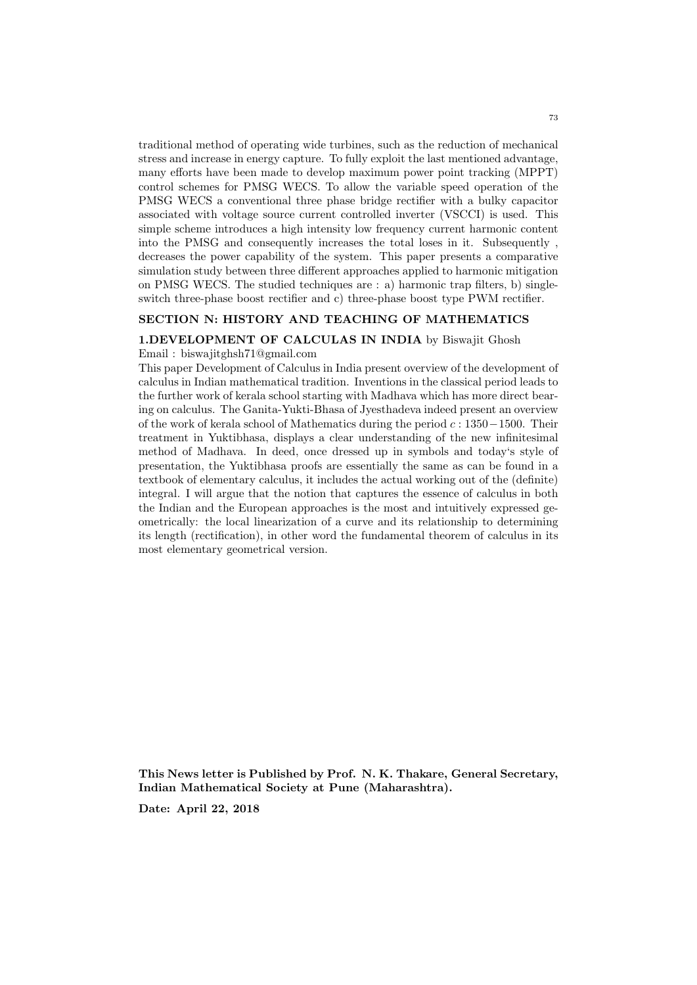traditional method of operating wide turbines, such as the reduction of mechanical stress and increase in energy capture. To fully exploit the last mentioned advantage, many efforts have been made to develop maximum power point tracking (MPPT) control schemes for PMSG WECS. To allow the variable speed operation of the PMSG WECS a conventional three phase bridge rectifier with a bulky capacitor associated with voltage source current controlled inverter (VSCCI) is used. This simple scheme introduces a high intensity low frequency current harmonic content into the PMSG and consequently increases the total loses in it. Subsequently , decreases the power capability of the system. This paper presents a comparative simulation study between three different approaches applied to harmonic mitigation on PMSG WECS. The studied techniques are : a) harmonic trap filters, b) singleswitch three-phase boost rectifier and c) three-phase boost type PWM rectifier.

## SECTION N: HISTORY AND TEACHING OF MATHEMATICS

#### 1.DEVELOPMENT OF CALCULAS IN INDIA by Biswajit Ghosh

Email : biswajitghsh71@gmail.com

This paper Development of Calculus in India present overview of the development of calculus in Indian mathematical tradition. Inventions in the classical period leads to the further work of kerala school starting with Madhava which has more direct bearing on calculus. The Ganita-Yukti-Bhasa of Jyesthadeva indeed present an overview of the work of kerala school of Mathematics during the period c : 1350−1500. Their treatment in Yuktibhasa, displays a clear understanding of the new infinitesimal method of Madhava. In deed, once dressed up in symbols and today's style of presentation, the Yuktibhasa proofs are essentially the same as can be found in a textbook of elementary calculus, it includes the actual working out of the (definite) integral. I will argue that the notion that captures the essence of calculus in both the Indian and the European approaches is the most and intuitively expressed geometrically: the local linearization of a curve and its relationship to determining its length (rectification), in other word the fundamental theorem of calculus in its most elementary geometrical version.

This News letter is Published by Prof. N. K. Thakare, General Secretary, Indian Mathematical Society at Pune (Maharashtra).

Date: April 22, 2018